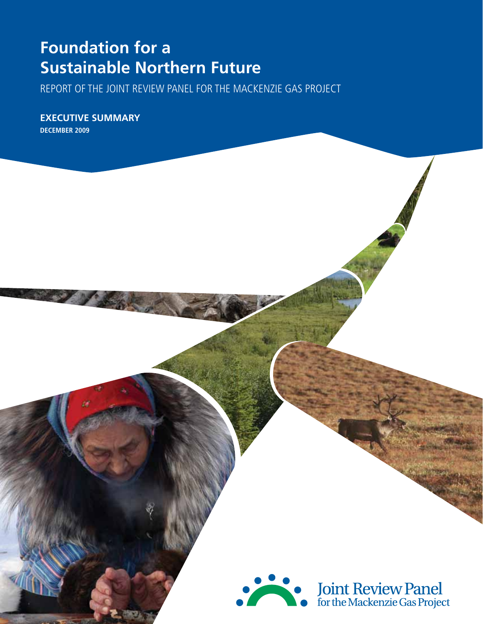# **Foundation for a Sustainable Northern Future**

Report of the Joint Review Panel for the Mackenzie Gas Project

**Executive summary December 2009**

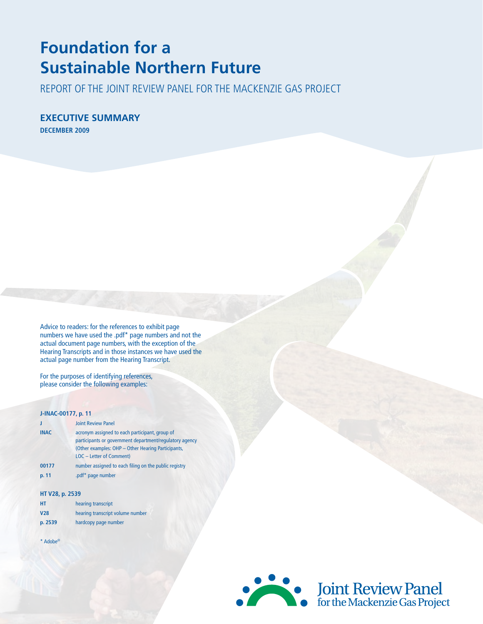# **Foundation for a Sustainable Northern Future**

Report of the Joint Review Panel for the Mackenzie Gas Project

**Executive summary December 2009**

Advice to readers: for the references to exhibit page numbers we have used the .pdf\* page numbers and not the actual document page numbers, with the exception of the Hearing Transcripts and in those instances we have used the actual page number from the Hearing Transcript.

For the purposes of identifying references, please consider the following examples:

#### **J-INAC-00177, p. 11**

| П           | <b>Joint Review Panel</b>                                                                                 |
|-------------|-----------------------------------------------------------------------------------------------------------|
| <b>INAC</b> | acronym assigned to each participant, group of<br>participants or government department/regulatory agency |
|             | (Other examples: OHP - Other Hearing Participants,<br>LOC - Letter of Comment)                            |
| 00177       | number assigned to each filing on the public registry                                                     |
| p. 11       | .pdf* page number                                                                                         |

#### **HT V28, p. 2539**

| HT         | hearing transcript               |
|------------|----------------------------------|
| <b>V28</b> | hearing transcript volume number |
| p. 2539    | hardcopy page number             |

\* Adobe©

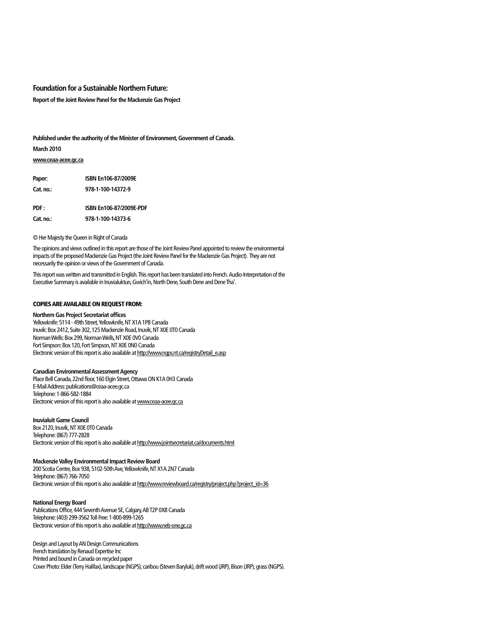#### **Foundation for a Sustainable Northern Future:**

**Report of the Joint Review Panel for the Mackenzie Gas Project**

**Published under the authority of the Minister of Environment, Government of Canada.**

**March 2010**

#### **www.ceaa-acee.gc.ca**

| Paper:    | ISBN En106-87/2009E     |
|-----------|-------------------------|
| Cat. no.: | 978-1-100-14372-9       |
| PDF:      | ISBN En106-87/2009E-PDF |
| Cat. no.: | 978-1-100-14373-6       |

© Her Majesty the Queen in Right of Canada

The opinions and views outlined in this report are those of the Joint Review Panel appointed to review the environmental impacts of the proposed Mackenzie Gas Project (the Joint Review Panel for the Mackenzie Gas Project). They are not necessarily the opinion or views of the Government of Canada.

This report was written and transmitted in English. This report has been translated into French. Audio-Interpretation of the Executive Summary is available in Inuvialuktun, Gwich'in, North Dene, South Dene and Dene Tha'.

#### Copies are available on request from:

#### **Northern Gas Project Secretariat offices**

Yellowknife: 5114 - 49th Street, Yellowknife, NT X1A 1P8 Canada Inuvik: Box 2412, Suite 302, 125 Mackenzie Road, Inuvik, NT X0E 0T0 Canada Norman Wells: Box 299, Norman Wells, NT X0E 0V0 Canada Fort Simpson: Box 120, Fort Simpson, NT X0E 0N0 Canada Electronic version of this report is also available at http://www.ngps.nt.ca/registryDetail\_e.asp

#### **Canadian Environmental Assessment Agency**

Place Bell Canada, 22nd floor, 160 Elgin Street, Ottawa ON K1A 0H3 Canada E-Mail Address: publications@ceaa-acee.gc.ca Telephone: 1-866-582-1884 Electronic version of this report is also available at www.ceaa-acee.gc.ca

#### **Inuvialuit Game Council**

Box 2120, Inuvik, NT X0E 0T0 Canada Telephone: (867) 777-2828 Electronic version of this report is also available at http://www.jointsecretariat.ca/documents.html

#### **Mackenzie Valley Environmental Impact Review Board**

200 Scotia Centre, Box 938, 5102-50th Ave, Yellowknife, NT X1A 2N7 Canada Telephone: (867) 766-7050 Electronic version of this report is also available at http://www.reviewboard.ca/registry/project\_php?project\_id=36

#### **National Energy Board**

Publications Office, 444 Seventh Avenue SE, Calgary, AB T2P 0X8 Canada Telephone: (403) 299-3562 Toll Free: 1-800-899-1265 Electronic version of this report is also available at http://www.neb-one.gc.ca

Design and Layout by AN Design Communications French translation by Renaud Expertise Inc Printed and bound in Canada on recycled paper Cover Photo: Elder (Terry Halifax), landscape (NGPS), caribou (Steven Baryluk), drift wood (JRP), Bison (JRP), grass (NGPS).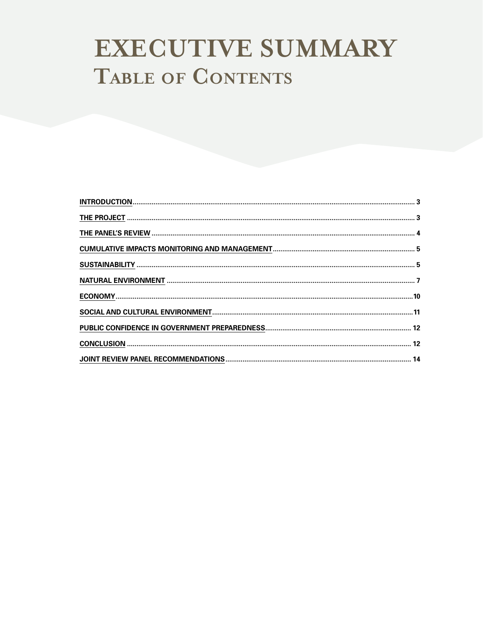# EXECUTIVE SUMMARY TABLE OF CONTENTS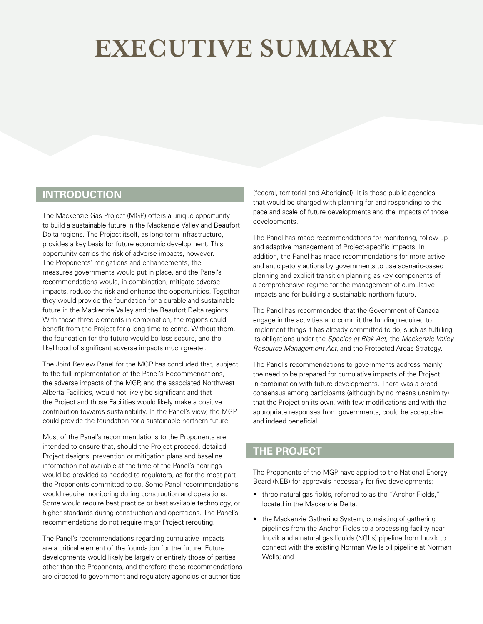# <span id="page-6-0"></span>**EXECUTIVE SUMMARY**

# **INTRODUCTION**

The Mackenzie Gas Project (MGP) offers a unique opportunity to build a sustainable future in the Mackenzie Valley and Beaufort Delta regions. The Project itself, as long-term infrastructure, provides a key basis for future economic development. This opportunity carries the risk of adverse impacts, however. The Proponents' mitigations and enhancements, the measures governments would put in place, and the Panel's recommendations would, in combination, mitigate adverse impacts, reduce the risk and enhance the opportunities. Together they would provide the foundation for a durable and sustainable future in the Mackenzie Valley and the Beaufort Delta regions. With these three elements in combination, the regions could benefit from the Project for a long time to come. Without them, the foundation for the future would be less secure, and the likelihood of significant adverse impacts much greater.

The Joint Review Panel for the MGP has concluded that, subject to the full implementation of the Panel's Recommendations, the adverse impacts of the MGP, and the associated Northwest Alberta Facilities, would not likely be significant and that the Project and those Facilities would likely make a positive contribution towards sustainability. In the Panel's view, the MGP could provide the foundation for a sustainable northern future.

Most of the Panel's recommendations to the Proponents are intended to ensure that, should the Project proceed, detailed Project designs, prevention or mitigation plans and baseline information not available at the time of the Panel's hearings would be provided as needed to regulators, as for the most part the Proponents committed to do. Some Panel recommendations would require monitoring during construction and operations. Some would require best practice or best available technology, or higher standards during construction and operations. The Panel's recommendations do not require major Project rerouting.

The Panel's recommendations regarding cumulative impacts are a critical element of the foundation for the future. Future developments would likely be largely or entirely those of parties other than the Proponents, and therefore these recommendations are directed to government and regulatory agencies or authorities

(federal, territorial and Aboriginal). It is those public agencies that would be charged with planning for and responding to the pace and scale of future developments and the impacts of those developments.

The Panel has made recommendations for monitoring, follow-up and adaptive management of Project-specific impacts. In addition, the Panel has made recommendations for more active and anticipatory actions by governments to use scenario-based planning and explicit transition planning as key components of a comprehensive regime for the management of cumulative impacts and for building a sustainable northern future.

The Panel has recommended that the Government of Canada engage in the activities and commit the funding required to implement things it has already committed to do, such as fulfilling its obligations under the *Species at Risk Act*, the *Mackenzie Valley Resource Management Act*, and the Protected Areas Strategy.

The Panel's recommendations to governments address mainly the need to be prepared for cumulative impacts of the Project in combination with future developments. There was a broad consensus among participants (although by no means unanimity) that the Project on its own, with few modifications and with the appropriate responses from governments, could be acceptable and indeed beneficial.

# **THE PROJECT**

The Proponents of the MGP have applied to the National Energy Board (NEB) for approvals necessary for five developments:

- three natural gas fields, referred to as the "Anchor Fields," located in the Mackenzie Delta;
- the Mackenzie Gathering System, consisting of gathering pipelines from the Anchor Fields to a processing facility near Inuvik and a natural gas liquids (NGLs) pipeline from Inuvik to connect with the existing Norman Wells oil pipeline at Norman Wells; and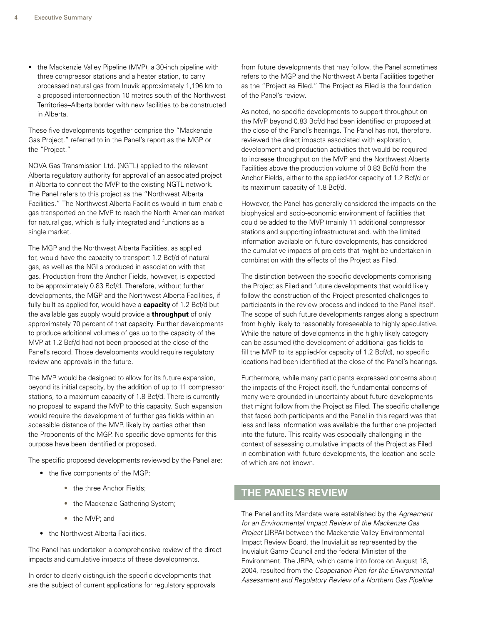<span id="page-7-0"></span>• the Mackenzie Valley Pipeline (MVP), a 30-inch pipeline with three compressor stations and a heater station, to carry processed natural gas from Inuvik approximately 1,196 km to a proposed interconnection 10 metres south of the Northwest Territories–Alberta border with new facilities to be constructed in Alberta.

These five developments together comprise the "Mackenzie Gas Project," referred to in the Panel's report as the MGP or the "Project."

NOVA Gas Transmission Ltd. (NGTL) applied to the relevant Alberta regulatory authority for approval of an associated project in Alberta to connect the MVP to the existing NGTL network. The Panel refers to this project as the "Northwest Alberta Facilities." The Northwest Alberta Facilities would in turn enable gas transported on the MVP to reach the North American market for natural gas, which is fully integrated and functions as a single market.

The MGP and the Northwest Alberta Facilities, as applied for, would have the capacity to transport 1.2 Bcf/d of natural gas, as well as the NGLs produced in association with that gas. Production from the Anchor Fields, however, is expected to be approximately 0.83 Bcf/d. Therefore, without further developments, the MGP and the Northwest Alberta Facilities, if fully built as applied for, would have a **capacity** of 1.2 Bcf/d but the available gas supply would provide a **throughput** of only approximately 70 percent of that capacity. Further developments to produce additional volumes of gas up to the capacity of the MVP at 1.2 Bcf/d had not been proposed at the close of the Panel's record. Those developments would require regulatory review and approvals in the future.

The MVP would be designed to allow for its future expansion, beyond its initial capacity, by the addition of up to 11 compressor stations, to a maximum capacity of 1.8 Bcf/d. There is currently no proposal to expand the MVP to this capacity. Such expansion would require the development of further gas fields within an accessible distance of the MVP, likely by parties other than the Proponents of the MGP. No specific developments for this purpose have been identified or proposed.

The specific proposed developments reviewed by the Panel are:

- the five components of the MGP:
	- the three Anchor Fields:
	- the Mackenzie Gathering System;
	- the MVP; and
- the Northwest Alberta Facilities.

The Panel has undertaken a comprehensive review of the direct impacts and cumulative impacts of these developments.

In order to clearly distinguish the specific developments that are the subject of current applications for regulatory approvals from future developments that may follow, the Panel sometimes refers to the MGP and the Northwest Alberta Facilities together as the "Project as Filed." The Project as Filed is the foundation of the Panel's review.

As noted, no specific developments to support throughput on the MVP beyond 0.83 Bcf/d had been identified or proposed at the close of the Panel's hearings. The Panel has not, therefore, reviewed the direct impacts associated with exploration, development and production activities that would be required to increase throughput on the MVP and the Northwest Alberta Facilities above the production volume of 0.83 Bcf/d from the Anchor Fields, either to the applied-for capacity of 1.2 Bcf/d or its maximum capacity of 1.8 Bcf/d.

However, the Panel has generally considered the impacts on the biophysical and socio-economic environment of facilities that could be added to the MVP (mainly 11 additional compressor stations and supporting infrastructure) and, with the limited information available on future developments, has considered the cumulative impacts of projects that might be undertaken in combination with the effects of the Project as Filed.

The distinction between the specific developments comprising the Project as Filed and future developments that would likely follow the construction of the Project presented challenges to participants in the review process and indeed to the Panel itself. The scope of such future developments ranges along a spectrum from highly likely to reasonably foreseeable to highly speculative. While the nature of developments in the highly likely category can be assumed (the development of additional gas fields to fill the MVP to its applied-for capacity of 1.2 Bcf/d), no specific locations had been identified at the close of the Panel's hearings.

Furthermore, while many participants expressed concerns about the impacts of the Project itself, the fundamental concerns of many were grounded in uncertainty about future developments that might follow from the Project as Filed. The specific challenge that faced both participants and the Panel in this regard was that less and less information was available the further one projected into the future. This reality was especially challenging in the context of assessing cumulative impacts of the Project as Filed in combination with future developments, the location and scale of which are not known.

### **THE PANEL'S REVIEW**

The Panel and its Mandate were established by the *Agreement for an Environmental Impact Review of the Mackenzie Gas Project* (JRPA) between the Mackenzie Valley Environmental Impact Review Board, the Inuvialuit as represented by the Inuvialuit Game Council and the federal Minister of the Environment. The JRPA, which came into force on August 18, 2004, resulted from the *Cooperation Plan for the Environmental Assessment and Regulatory Review of a Northern Gas Pipeline*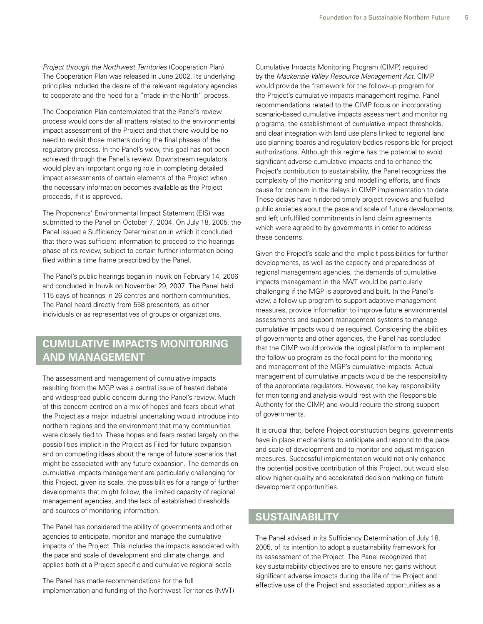<span id="page-8-0"></span>*Project through the Northwest Territories* (Cooperation Plan). The Cooperation Plan was released in June 2002. Its underlying principles included the desire of the relevant regulatory agencies to cooperate and the need for a "made-in-the-North" process.

The Cooperation Plan contemplated that the Panel's review process would consider all matters related to the environmental impact assessment of the Project and that there would be no need to revisit those matters during the final phases of the regulatory process. In the Panel's view, this goal has not been achieved through the Panel's review. Downstream regulators would play an important ongoing role in completing detailed impact assessments of certain elements of the Project when the necessary information becomes available as the Project proceeds, if it is approved.

The Proponents' Environmental Impact Statement (EIS) was submitted to the Panel on October 7, 2004. On July 18, 2005, the Panel issued a Sufficiency Determination in which it concluded that there was sufficient information to proceed to the hearings phase of its review, subject to certain further information being filed within a time frame prescribed by the Panel.

The Panel's public hearings began in Inuvik on February 14, 2006 and concluded in Inuvik on November 29, 2007. The Panel held 115 days of hearings in 26 centres and northern communities. The Panel heard directly from 558 presenters, as either individuals or as representatives of groups or organizations.

# **CUMULATIVE IMPACTS MONITORING AND MANAGEMENT**

The assessment and management of cumulative impacts resulting from the MGP was a central issue of heated debate and widespread public concern during the Panel's review. Much of this concern centred on a mix of hopes and fears about what the Project as a major industrial undertaking would introduce into northern regions and the environment that many communities were closely tied to. These hopes and fears rested largely on the possibilities implicit in the Project as Filed for future expansion and on competing ideas about the range of future scenarios that might be associated with any future expansion. The demands on cumulative impacts management are particularly challenging for this Project, given its scale, the possibilities for a range of further developments that might follow, the limited capacity of regional management agencies, and the lack of established thresholds and sources of monitoring information.

The Panel has considered the ability of governments and other agencies to anticipate, monitor and manage the cumulative impacts of the Project. This includes the impacts associated with the pace and scale of development and climate change, and applies both at a Project specific and cumulative regional scale.

The Panel has made recommendations for the full implementation and funding of the Northwest Territories (NWT)

Cumulative Impacts Monitoring Program (CIMP) required by the *Mackenzie Valley Resource Management Act*. CIMP would provide the framework for the follow-up program for the Project's cumulative impacts management regime. Panel recommendations related to the CIMP focus on incorporating scenario-based cumulative impacts assessment and monitoring programs, the establishment of cumulative impact thresholds, and clear integration with land use plans linked to regional land use planning boards and regulatory bodies responsible for project authorizations. Although this regime has the potential to avoid significant adverse cumulative impacts and to enhance the Project's contribution to sustainability, the Panel recognizes the complexity of the monitoring and modelling efforts, and finds cause for concern in the delays in CIMP implementation to date. These delays have hindered timely project reviews and fuelled public anxieties about the pace and scale of future developments, and left unfulfilled commitments in land claim agreements which were agreed to by governments in order to address these concerns.

Given the Project's scale and the implicit possibilities for further developments, as well as the capacity and preparedness of regional management agencies, the demands of cumulative impacts management in the NWT would be particularly challenging if the MGP is approved and built. In the Panel's view, a follow-up program to support adaptive management measures, provide information to improve future environmental assessments and support management systems to manage cumulative impacts would be required. Considering the abilities of governments and other agencies, the Panel has concluded that the CIMP would provide the logical platform to implement the follow-up program as the focal point for the monitoring and management of the MGP's cumulative impacts. Actual management of cumulative impacts would be the responsibility of the appropriate regulators. However, the key responsibility for monitoring and analysis would rest with the Responsible Authority for the CIMP, and would require the strong support of governments.

It is crucial that, before Project construction begins, governments have in place mechanisms to anticipate and respond to the pace and scale of development and to monitor and adjust mitigation measures. Successful implementation would not only enhance the potential positive contribution of this Project, but would also allow higher quality and accelerated decision making on future development opportunities.

### **SUSTAINABILITY**

The Panel advised in its Sufficiency Determination of July 18, 2005, of its intention to adopt a sustainability framework for its assessment of the Project. The Panel recognized that key sustainability objectives are to ensure net gains without significant adverse impacts during the life of the Project and effective use of the Project and associated opportunities as a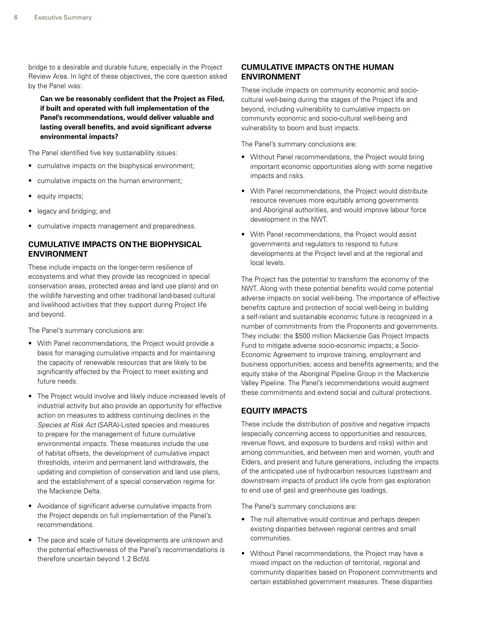bridge to a desirable and durable future, especially in the Project Review Area. In light of these objectives, the core question asked by the Panel was:

**Can we be reasonably confident that the Project as Filed, if built and operated with full implementation of the Panel's recommendations, would deliver valuable and lasting overall benefits, and avoid significant adverse environmental impacts?**

The Panel identified five key sustainability issues:

- cumulative impacts on the biophysical environment;
- cumulative impacts on the human environment;
- equity impacts;
- legacy and bridging; and
- cumulative impacts management and preparedness.

#### **Cumulative Impacts on the Biophysical Environment**

These include impacts on the longer-term resilience of ecosystems and what they provide (as recognized in special conservation areas, protected areas and land use plans) and on the wildlife harvesting and other traditional land-based cultural and livelihood activities that they support during Project life and beyond.

The Panel's summary conclusions are:

- With Panel recommendations, the Project would provide a basis for managing cumulative impacts and for maintaining the capacity of renewable resources that are likely to be significantly affected by the Project to meet existing and future needs.
- The Project would involve and likely induce increased levels of industrial activity but also provide an opportunity for effective action on measures to address continuing declines in the *Species at Risk Act* (SARA)-Listed species and measures to prepare for the management of future cumulative environmental impacts. These measures include the use of habitat offsets, the development of cumulative impact thresholds, interim and permanent land withdrawals, the updating and completion of conservation and land use plans, and the establishment of a special conservation regime for the Mackenzie Delta.
- Avoidance of significant adverse cumulative impacts from the Project depends on full implementation of the Panel's recommendations.
- The pace and scale of future developments are unknown and the potential effectiveness of the Panel's recommendations is therefore uncertain beyond 1.2 Bcf/d.

#### **Cumulative Impacts on the Human Environment**

These include impacts on community economic and sociocultural well-being during the stages of the Project life and beyond, including vulnerability to cumulative impacts on community economic and socio-cultural well-being and vulnerability to boom and bust impacts.

The Panel's summary conclusions are:

- Without Panel recommendations, the Project would bring important economic opportunities along with some negative impacts and risks.
- With Panel recommendations, the Project would distribute resource revenues more equitably among governments and Aboriginal authorities, and would improve labour force development in the NWT.
- With Panel recommendations, the Project would assist governments and regulators to respond to future developments at the Project level and at the regional and local levels.

The Project has the potential to transform the economy of the NWT. Along with these potential benefits would come potential adverse impacts on social well-being. The importance of effective benefits capture and protection of social well-being in building a self-reliant and sustainable economic future is recognized in a number of commitments from the Proponents and governments. They include: the \$500 million Mackenzie Gas Project Impacts Fund to mitigate adverse socio-economic impacts; a Socio-Economic Agreement to improve training, employment and business opportunities; access and benefits agreements; and the equity stake of the Aboriginal Pipeline Group in the Mackenzie Valley Pipeline. The Panel's recommendations would augment these commitments and extend social and cultural protections.

#### **Equity Impacts**

These include the distribution of positive and negative impacts (especially concerning access to opportunities and resources, revenue flows, and exposure to burdens and risks) within and among communities, and between men and women, youth and Elders, and present and future generations, including the impacts of the anticipated use of hydrocarbon resources (upstream and downstream impacts of product life cycle from gas exploration to end use of gas) and greenhouse gas loadings.

The Panel's summary conclusions are:

- The null alternative would continue and perhaps deepen existing disparities between regional centres and small communities.
- Without Panel recommendations, the Project may have a mixed impact on the reduction of territorial, regional and community disparities based on Proponent commitments and certain established government measures. These disparities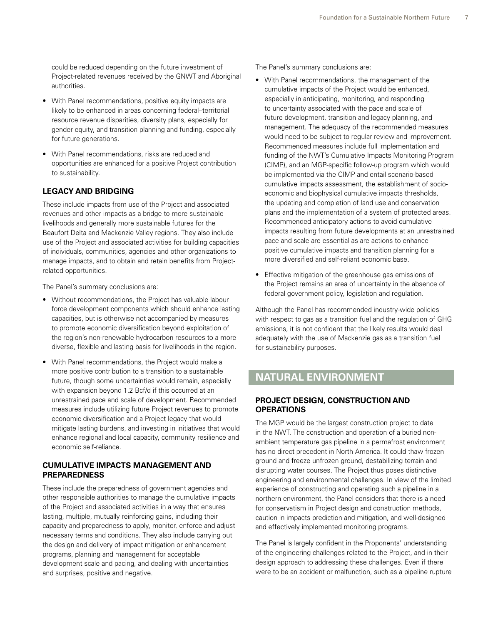<span id="page-10-0"></span>could be reduced depending on the future investment of Project-related revenues received by the GNWT and Aboriginal authorities.

- With Panel recommendations, positive equity impacts are likely to be enhanced in areas concerning federal–territorial resource revenue disparities, diversity plans, especially for gender equity, and transition planning and funding, especially for future generations.
- With Panel recommendations, risks are reduced and opportunities are enhanced for a positive Project contribution to sustainability.

#### **Legacy and Bridging**

These include impacts from use of the Project and associated revenues and other impacts as a bridge to more sustainable livelihoods and generally more sustainable futures for the Beaufort Delta and Mackenzie Valley regions. They also include use of the Project and associated activities for building capacities of individuals, communities, agencies and other organizations to manage impacts, and to obtain and retain benefits from Projectrelated opportunities.

The Panel's summary conclusions are:

- Without recommendations, the Project has valuable labour force development components which should enhance lasting capacities, but is otherwise not accompanied by measures to promote economic diversification beyond exploitation of the region's non-renewable hydrocarbon resources to a more diverse, flexible and lasting basis for livelihoods in the region.
- With Panel recommendations, the Project would make a more positive contribution to a transition to a sustainable future, though some uncertainties would remain, especially with expansion beyond 1.2 Bcf/d if this occurred at an unrestrained pace and scale of development. Recommended measures include utilizing future Project revenues to promote economic diversification and a Project legacy that would mitigate lasting burdens, and investing in initiatives that would enhance regional and local capacity, community resilience and economic self-reliance.

#### **Cumulative Impacts Management and Preparedness**

These include the preparedness of government agencies and other responsible authorities to manage the cumulative impacts of the Project and associated activities in a way that ensures lasting, multiple, mutually reinforcing gains, including their capacity and preparedness to apply, monitor, enforce and adjust necessary terms and conditions. They also include carrying out the design and delivery of impact mitigation or enhancement programs, planning and management for acceptable development scale and pacing, and dealing with uncertainties and surprises, positive and negative.

The Panel's summary conclusions are:

- With Panel recommendations, the management of the cumulative impacts of the Project would be enhanced, especially in anticipating, monitoring, and responding to uncertainty associated with the pace and scale of future development, transition and legacy planning, and management. The adequacy of the recommended measures would need to be subject to regular review and improvement. Recommended measures include full implementation and funding of the NWT's Cumulative Impacts Monitoring Program (CIMP), and an MGP-specific follow-up program which would be implemented via the CIMP and entail scenario-based cumulative impacts assessment, the establishment of socioeconomic and biophysical cumulative impacts thresholds, the updating and completion of land use and conservation plans and the implementation of a system of protected areas. Recommended anticipatory actions to avoid cumulative impacts resulting from future developments at an unrestrained pace and scale are essential as are actions to enhance positive cumulative impacts and transition planning for a more diversified and self-reliant economic base.
- Effective mitigation of the greenhouse gas emissions of the Project remains an area of uncertainty in the absence of federal government policy, legislation and regulation.

Although the Panel has recommended industry-wide policies with respect to gas as a transition fuel and the regulation of GHG emissions, it is not confident that the likely results would deal adequately with the use of Mackenzie gas as a transition fuel for sustainability purposes.

## **NATURAL ENVIRONMENT**

#### **Project Design, Construction and Operations**

The MGP would be the largest construction project to date in the NWT. The construction and operation of a buried nonambient temperature gas pipeline in a permafrost environment has no direct precedent in North America. It could thaw frozen ground and freeze unfrozen ground, destabilizing terrain and disrupting water courses. The Project thus poses distinctive engineering and environmental challenges. In view of the limited experience of constructing and operating such a pipeline in a northern environment, the Panel considers that there is a need for conservatism in Project design and construction methods, caution in impacts prediction and mitigation, and well-designed and effectively implemented monitoring programs.

The Panel is largely confident in the Proponents' understanding of the engineering challenges related to the Project, and in their design approach to addressing these challenges. Even if there were to be an accident or malfunction, such as a pipeline rupture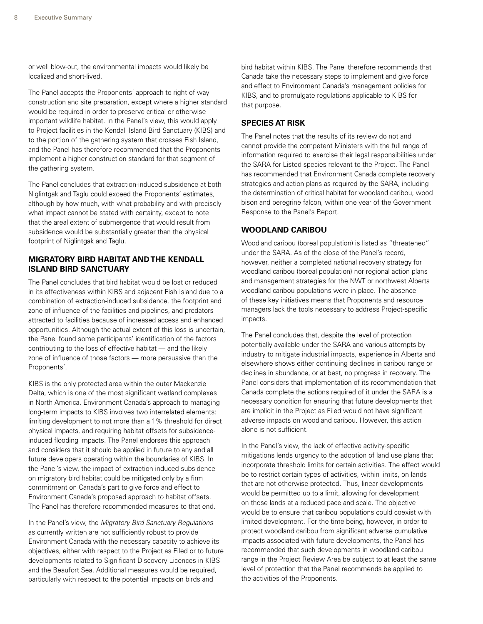or well blow-out, the environmental impacts would likely be localized and short-lived.

The Panel accepts the Proponents' approach to right-of-way construction and site preparation, except where a higher standard would be required in order to preserve critical or otherwise important wildlife habitat. In the Panel's view, this would apply to Project facilities in the Kendall Island Bird Sanctuary (KIBS) and to the portion of the gathering system that crosses Fish Island, and the Panel has therefore recommended that the Proponents implement a higher construction standard for that segment of the gathering system.

The Panel concludes that extraction-induced subsidence at both Niglintgak and Taglu could exceed the Proponents' estimates, although by how much, with what probability and with precisely what impact cannot be stated with certainty, except to note that the areal extent of submergence that would result from subsidence would be substantially greater than the physical footprint of Niglintgak and Taglu.

#### **Migratory Bird Habitat and the Kendall Island Bird Sanctuary**

The Panel concludes that bird habitat would be lost or reduced in its effectiveness within KIBS and adjacent Fish Island due to a combination of extraction-induced subsidence, the footprint and zone of influence of the facilities and pipelines, and predators attracted to facilities because of increased access and enhanced opportunities. Although the actual extent of this loss is uncertain, the Panel found some participants' identification of the factors contributing to the loss of effective habitat — and the likely zone of influence of those factors — more persuasive than the Proponents'.

KIBS is the only protected area within the outer Mackenzie Delta, which is one of the most significant wetland complexes in North America. Environment Canada's approach to managing long-term impacts to KIBS involves two interrelated elements: limiting development to not more than a 1% threshold for direct physical impacts, and requiring habitat offsets for subsidenceinduced flooding impacts. The Panel endorses this approach and considers that it should be applied in future to any and all future developers operating within the boundaries of KIBS. In the Panel's view, the impact of extraction-induced subsidence on migratory bird habitat could be mitigated only by a firm commitment on Canada's part to give force and effect to Environment Canada's proposed approach to habitat offsets. The Panel has therefore recommended measures to that end.

In the Panel's view, the *Migratory Bird Sanctuary Regulations* as currently written are not sufficiently robust to provide Environment Canada with the necessary capacity to achieve its objectives, either with respect to the Project as Filed or to future developments related to Significant Discovery Licences in KIBS and the Beaufort Sea. Additional measures would be required, particularly with respect to the potential impacts on birds and

bird habitat within KIBS. The Panel therefore recommends that Canada take the necessary steps to implement and give force and effect to Environment Canada's management policies for KIBS, and to promulgate regulations applicable to KIBS for that purpose.

#### **Species at Risk**

The Panel notes that the results of its review do not and cannot provide the competent Ministers with the full range of information required to exercise their legal responsibilities under the SARA for Listed species relevant to the Project. The Panel has recommended that Environment Canada complete recovery strategies and action plans as required by the SARA, including the determination of critical habitat for woodland caribou, wood bison and peregrine falcon, within one year of the Government Response to the Panel's Report.

#### **Woodland Caribou**

Woodland caribou (boreal population) is listed as "threatened" under the SARA. As of the close of the Panel's record, however, neither a completed national recovery strategy for woodland caribou (boreal population) nor regional action plans and management strategies for the NWT or northwest Alberta woodland caribou populations were in place. The absence of these key initiatives means that Proponents and resource managers lack the tools necessary to address Project-specific impacts.

The Panel concludes that, despite the level of protection potentially available under the SARA and various attempts by industry to mitigate industrial impacts, experience in Alberta and elsewhere shows either continuing declines in caribou range or declines in abundance, or at best, no progress in recovery. The Panel considers that implementation of its recommendation that Canada complete the actions required of it under the SARA is a necessary condition for ensuring that future developments that are implicit in the Project as Filed would not have significant adverse impacts on woodland caribou. However, this action alone is not sufficient.

In the Panel's view, the lack of effective activity-specific mitigations lends urgency to the adoption of land use plans that incorporate threshold limits for certain activities. The effect would be to restrict certain types of activities, within limits, on lands that are not otherwise protected. Thus, linear developments would be permitted up to a limit, allowing for development on those lands at a reduced pace and scale. The objective would be to ensure that caribou populations could coexist with limited development. For the time being, however, in order to protect woodland caribou from significant adverse cumulative impacts associated with future developments, the Panel has recommended that such developments in woodland caribou range in the Project Review Area be subject to at least the same level of protection that the Panel recommends be applied to the activities of the Proponents.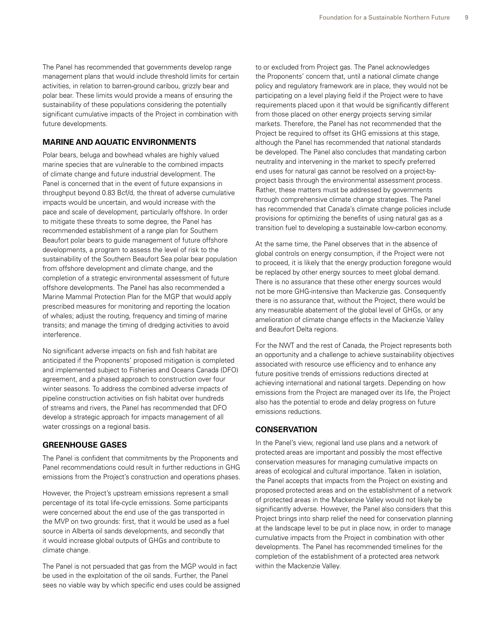The Panel has recommended that governments develop range management plans that would include threshold limits for certain activities, in relation to barren-ground caribou, grizzly bear and polar bear. These limits would provide a means of ensuring the sustainability of these populations considering the potentially significant cumulative impacts of the Project in combination with future developments.

#### **Marine and Aquatic Environments**

Polar bears, beluga and bowhead whales are highly valued marine species that are vulnerable to the combined impacts of climate change and future industrial development. The Panel is concerned that in the event of future expansions in throughput beyond 0.83 Bcf/d, the threat of adverse cumulative impacts would be uncertain, and would increase with the pace and scale of development, particularly offshore. In order to mitigate these threats to some degree, the Panel has recommended establishment of a range plan for Southern Beaufort polar bears to guide management of future offshore developments, a program to assess the level of risk to the sustainability of the Southern Beaufort Sea polar bear population from offshore development and climate change, and the completion of a strategic environmental assessment of future offshore developments. The Panel has also recommended a Marine Mammal Protection Plan for the MGP that would apply prescribed measures for monitoring and reporting the location of whales; adjust the routing, frequency and timing of marine transits; and manage the timing of dredging activities to avoid interference.

No significant adverse impacts on fish and fish habitat are anticipated if the Proponents' proposed mitigation is completed and implemented subject to Fisheries and Oceans Canada (DFO) agreement, and a phased approach to construction over four winter seasons. To address the combined adverse impacts of pipeline construction activities on fish habitat over hundreds of streams and rivers, the Panel has recommended that DFO develop a strategic approach for impacts management of all water crossings on a regional basis.

#### **Greenhouse Gases**

The Panel is confident that commitments by the Proponents and Panel recommendations could result in further reductions in GHG emissions from the Project's construction and operations phases.

However, the Project's upstream emissions represent a small percentage of its total life-cycle emissions. Some participants were concerned about the end use of the gas transported in the MVP on two grounds: first, that it would be used as a fuel source in Alberta oil sands developments, and secondly that it would increase global outputs of GHGs and contribute to climate change.

The Panel is not persuaded that gas from the MGP would in fact be used in the exploitation of the oil sands. Further, the Panel sees no viable way by which specific end uses could be assigned

to or excluded from Project gas. The Panel acknowledges the Proponents' concern that, until a national climate change policy and regulatory framework are in place, they would not be participating on a level playing field if the Project were to have requirements placed upon it that would be significantly different from those placed on other energy projects serving similar markets. Therefore, the Panel has not recommended that the Project be required to offset its GHG emissions at this stage, although the Panel has recommended that national standards be developed. The Panel also concludes that mandating carbon neutrality and intervening in the market to specify preferred end uses for natural gas cannot be resolved on a project-byproject basis through the environmental assessment process. Rather, these matters must be addressed by governments through comprehensive climate change strategies. The Panel has recommended that Canada's climate change policies include provisions for optimizing the benefits of using natural gas as a transition fuel to developing a sustainable low-carbon economy.

At the same time, the Panel observes that in the absence of global controls on energy consumption, if the Project were not to proceed, it is likely that the energy production foregone would be replaced by other energy sources to meet global demand. There is no assurance that these other energy sources would not be more GHG-intensive than Mackenzie gas. Consequently there is no assurance that, without the Project, there would be any measurable abatement of the global level of GHGs, or any amelioration of climate change effects in the Mackenzie Valley and Beaufort Delta regions.

For the NWT and the rest of Canada, the Project represents both an opportunity and a challenge to achieve sustainability objectives associated with resource use efficiency and to enhance any future positive trends of emissions reductions directed at achieving international and national targets. Depending on how emissions from the Project are managed over its life, the Project also has the potential to erode and delay progress on future emissions reductions.

#### **Conservation**

In the Panel's view, regional land use plans and a network of protected areas are important and possibly the most effective conservation measures for managing cumulative impacts on areas of ecological and cultural importance. Taken in isolation, the Panel accepts that impacts from the Project on existing and proposed protected areas and on the establishment of a network of protected areas in the Mackenzie Valley would not likely be significantly adverse. However, the Panel also considers that this Project brings into sharp relief the need for conservation planning at the landscape level to be put in place now, in order to manage cumulative impacts from the Project in combination with other developments. The Panel has recommended timelines for the completion of the establishment of a protected area network within the Mackenzie Valley.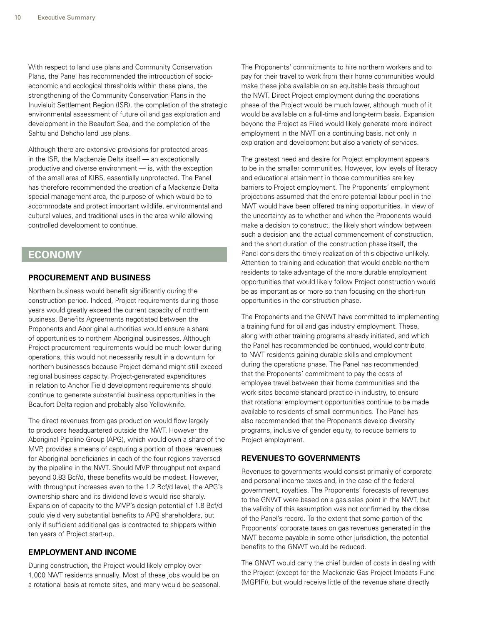<span id="page-13-0"></span>With respect to land use plans and Community Conservation Plans, the Panel has recommended the introduction of socioeconomic and ecological thresholds within these plans, the strengthening of the Community Conservation Plans in the Inuvialuit Settlement Region (ISR), the completion of the strategic environmental assessment of future oil and gas exploration and development in the Beaufort Sea, and the completion of the Sahtu and Dehcho land use plans.

Although there are extensive provisions for protected areas in the ISR, the Mackenzie Delta itself — an exceptionally productive and diverse environment — is, with the exception of the small area of KIBS, essentially unprotected. The Panel has therefore recommended the creation of a Mackenzie Delta special management area, the purpose of which would be to accommodate and protect important wildlife, environmental and cultural values, and traditional uses in the area while allowing controlled development to continue.

### **ECONOMY**

#### **Procurement and Business**

Northern business would benefit significantly during the construction period. Indeed, Project requirements during those years would greatly exceed the current capacity of northern business. Benefits Agreements negotiated between the Proponents and Aboriginal authorities would ensure a share of opportunities to northern Aboriginal businesses. Although Project procurement requirements would be much lower during operations, this would not necessarily result in a downturn for northern businesses because Project demand might still exceed regional business capacity. Project-generated expenditures in relation to Anchor Field development requirements should continue to generate substantial business opportunities in the Beaufort Delta region and probably also Yellowknife.

The direct revenues from gas production would flow largely to producers headquartered outside the NWT. However the Aboriginal Pipeline Group (APG), which would own a share of the MVP, provides a means of capturing a portion of those revenues for Aboriginal beneficiaries in each of the four regions traversed by the pipeline in the NWT. Should MVP throughput not expand beyond 0.83 Bcf/d, these benefits would be modest. However, with throughput increases even to the 1.2 Bcf/d level, the APG's ownership share and its dividend levels would rise sharply. Expansion of capacity to the MVP's design potential of 1.8 Bcf/d could yield very substantial benefits to APG shareholders, but only if sufficient additional gas is contracted to shippers within ten years of Project start-up.

#### **Employment and Income**

During construction, the Project would likely employ over 1,000 NWT residents annually. Most of these jobs would be on a rotational basis at remote sites, and many would be seasonal. The Proponents' commitments to hire northern workers and to pay for their travel to work from their home communities would make these jobs available on an equitable basis throughout the NWT. Direct Project employment during the operations phase of the Project would be much lower, although much of it would be available on a full-time and long-term basis. Expansion beyond the Project as Filed would likely generate more indirect employment in the NWT on a continuing basis, not only in exploration and development but also a variety of services.

The greatest need and desire for Project employment appears to be in the smaller communities. However, low levels of literacy and educational attainment in those communities are key barriers to Project employment. The Proponents' employment projections assumed that the entire potential labour pool in the NWT would have been offered training opportunities. In view of the uncertainty as to whether and when the Proponents would make a decision to construct, the likely short window between such a decision and the actual commencement of construction, and the short duration of the construction phase itself, the Panel considers the timely realization of this objective unlikely. Attention to training and education that would enable northern residents to take advantage of the more durable employment opportunities that would likely follow Project construction would be as important as or more so than focusing on the short-run opportunities in the construction phase.

The Proponents and the GNWT have committed to implementing a training fund for oil and gas industry employment. These, along with other training programs already initiated, and which the Panel has recommended be continued, would contribute to NWT residents gaining durable skills and employment during the operations phase. The Panel has recommended that the Proponents' commitment to pay the costs of employee travel between their home communities and the work sites become standard practice in industry, to ensure that rotational employment opportunities continue to be made available to residents of small communities. The Panel has also recommended that the Proponents develop diversity programs, inclusive of gender equity, to reduce barriers to Project employment.

#### **Revenues to Governments**

Revenues to governments would consist primarily of corporate and personal income taxes and, in the case of the federal government, royalties. The Proponents' forecasts of revenues to the GNWT were based on a gas sales point in the NWT, but the validity of this assumption was not confirmed by the close of the Panel's record. To the extent that some portion of the Proponents' corporate taxes on gas revenues generated in the NWT become payable in some other jurisdiction, the potential benefits to the GNWT would be reduced.

The GNWT would carry the chief burden of costs in dealing with the Project (except for the Mackenzie Gas Project Impacts Fund (MGPIF)), but would receive little of the revenue share directly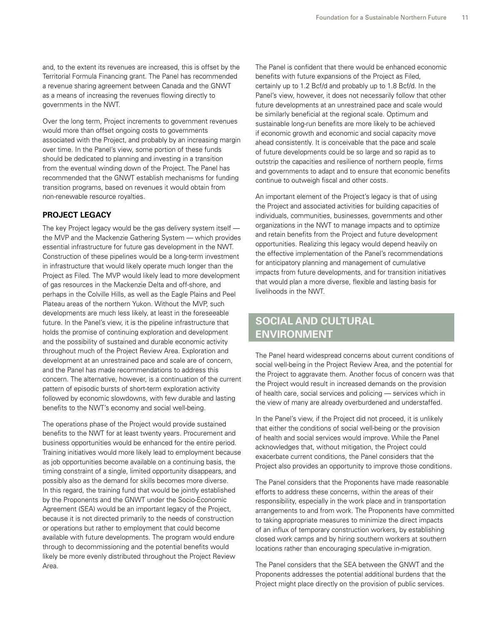<span id="page-14-0"></span>and, to the extent its revenues are increased, this is offset by the Territorial Formula Financing grant. The Panel has recommended a revenue sharing agreement between Canada and the GNWT as a means of increasing the revenues flowing directly to governments in the NWT.

Over the long term, Project increments to government revenues would more than offset ongoing costs to governments associated with the Project, and probably by an increasing margin over time. In the Panel's view, some portion of these funds should be dedicated to planning and investing in a transition from the eventual winding down of the Project. The Panel has recommended that the GNWT establish mechanisms for funding transition programs, based on revenues it would obtain from non-renewable resource royalties.

#### **Project Legacy**

The key Project legacy would be the gas delivery system itself the MVP and the Mackenzie Gathering System — which provides essential infrastructure for future gas development in the NWT. Construction of these pipelines would be a long-term investment in infrastructure that would likely operate much longer than the Project as Filed. The MVP would likely lead to more development of gas resources in the Mackenzie Delta and off-shore, and perhaps in the Colville Hills, as well as the Eagle Plains and Peel Plateau areas of the northern Yukon. Without the MVP, such developments are much less likely, at least in the foreseeable future. In the Panel's view, it is the pipeline infrastructure that holds the promise of continuing exploration and development and the possibility of sustained and durable economic activity throughout much of the Project Review Area. Exploration and development at an unrestrained pace and scale are of concern, and the Panel has made recommendations to address this concern. The alternative, however, is a continuation of the current pattern of episodic bursts of short-term exploration activity followed by economic slowdowns, with few durable and lasting benefits to the NWT's economy and social well-being.

The operations phase of the Project would provide sustained benefits to the NWT for at least twenty years. Procurement and business opportunities would be enhanced for the entire period. Training initiatives would more likely lead to employment because as job opportunities become available on a continuing basis, the timing constraint of a single, limited opportunity disappears, and possibly also as the demand for skills becomes more diverse. In this regard, the training fund that would be jointly established by the Proponents and the GNWT under the Socio-Economic Agreement (SEA) would be an important legacy of the Project, because it is not directed primarily to the needs of construction or operations but rather to employment that could become available with future developments. The program would endure through to decommissioning and the potential benefits would likely be more evenly distributed throughout the Project Review Area.

The Panel is confident that there would be enhanced economic benefits with future expansions of the Project as Filed, certainly up to 1.2 Bcf/d and probably up to 1.8 Bcf/d. In the Panel's view, however, it does not necessarily follow that other future developments at an unrestrained pace and scale would be similarly beneficial at the regional scale. Optimum and sustainable long-run benefits are more likely to be achieved if economic growth and economic and social capacity move ahead consistently. It is conceivable that the pace and scale of future developments could be so large and so rapid as to outstrip the capacities and resilience of northern people, firms and governments to adapt and to ensure that economic benefits continue to outweigh fiscal and other costs.

An important element of the Project's legacy is that of using the Project and associated activities for building capacities of individuals, communities, businesses, governments and other organizations in the NWT to manage impacts and to optimize and retain benefits from the Project and future development opportunities. Realizing this legacy would depend heavily on the effective implementation of the Panel's recommendations for anticipatory planning and management of cumulative impacts from future developments, and for transition initiatives that would plan a more diverse, flexible and lasting basis for livelihoods in the NWT.

# **SOCIAL AND CULTURAL ENVIRONMENT**

The Panel heard widespread concerns about current conditions of social well-being in the Project Review Area, and the potential for the Project to aggravate them. Another focus of concern was that the Project would result in increased demands on the provision of health care, social services and policing — services which in the view of many are already overburdened and understaffed.

In the Panel's view, if the Project did not proceed, it is unlikely that either the conditions of social well-being or the provision of health and social services would improve. While the Panel acknowledges that, without mitigation, the Project could exacerbate current conditions, the Panel considers that the Project also provides an opportunity to improve those conditions.

The Panel considers that the Proponents have made reasonable efforts to address these concerns, within the areas of their responsibility, especially in the work place and in transportation arrangements to and from work. The Proponents have committed to taking appropriate measures to minimize the direct impacts of an influx of temporary construction workers, by establishing closed work camps and by hiring southern workers at southern locations rather than encouraging speculative in-migration.

The Panel considers that the SEA between the GNWT and the Proponents addresses the potential additional burdens that the Project might place directly on the provision of public services.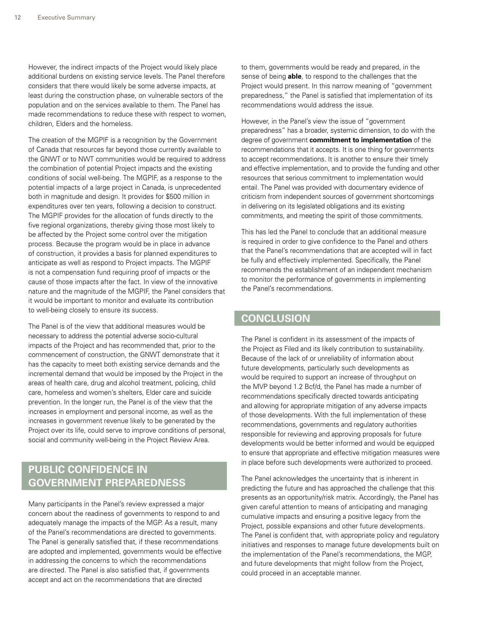<span id="page-15-0"></span>However, the indirect impacts of the Project would likely place additional burdens on existing service levels. The Panel therefore considers that there would likely be some adverse impacts, at least during the construction phase, on vulnerable sectors of the population and on the services available to them. The Panel has made recommendations to reduce these with respect to women, children, Elders and the homeless.

The creation of the MGPIF is a recognition by the Government of Canada that resources far beyond those currently available to the GNWT or to NWT communities would be required to address the combination of potential Project impacts and the existing conditions of social well-being. The MGPIF, as a response to the potential impacts of a large project in Canada, is unprecedented both in magnitude and design. It provides for \$500 million in expenditures over ten years, following a decision to construct. The MGPIF provides for the allocation of funds directly to the five regional organizations, thereby giving those most likely to be affected by the Project some control over the mitigation process. Because the program would be in place in advance of construction, it provides a basis for planned expenditures to anticipate as well as respond to Project impacts. The MGPIF is not a compensation fund requiring proof of impacts or the cause of those impacts after the fact. In view of the innovative nature and the magnitude of the MGPIF, the Panel considers that it would be important to monitor and evaluate its contribution to well-being closely to ensure its success.

The Panel is of the view that additional measures would be necessary to address the potential adverse socio-cultural impacts of the Project and has recommended that, prior to the commencement of construction, the GNWT demonstrate that it has the capacity to meet both existing service demands and the incremental demand that would be imposed by the Project in the areas of health care, drug and alcohol treatment, policing, child care, homeless and women's shelters, Elder care and suicide prevention. In the longer run, the Panel is of the view that the increases in employment and personal income, as well as the increases in government revenue likely to be generated by the Project over its life, could serve to improve conditions of personal, social and community well-being in the Project Review Area.

# **PUBLIC CONFIDENCE IN GOVERNMENT PREPAREDNESS**

Many participants in the Panel's review expressed a major concern about the readiness of governments to respond to and adequately manage the impacts of the MGP. As a result, many of the Panel's recommendations are directed to governments. The Panel is generally satisfied that, if these recommendations are adopted and implemented, governments would be effective in addressing the concerns to which the recommendations are directed. The Panel is also satisfied that, if governments accept and act on the recommendations that are directed

to them, governments would be ready and prepared, in the sense of being **able**, to respond to the challenges that the Project would present. In this narrow meaning of "government preparedness," the Panel is satisfied that implementation of its recommendations would address the issue.

However, in the Panel's view the issue of "government preparedness" has a broader, systemic dimension, to do with the degree of government **commitment to implementation** of the recommendations that it accepts. It is one thing for governments to accept recommendations. It is another to ensure their timely and effective implementation, and to provide the funding and other resources that serious commitment to implementation would entail. The Panel was provided with documentary evidence of criticism from independent sources of government shortcomings in delivering on its legislated obligations and its existing commitments, and meeting the spirit of those commitments.

This has led the Panel to conclude that an additional measure is required in order to give confidence to the Panel and others that the Panel's recommendations that are accepted will in fact be fully and effectively implemented. Specifically, the Panel recommends the establishment of an independent mechanism to monitor the performance of governments in implementing the Panel's recommendations.

# **CONCLUSION**

The Panel is confident in its assessment of the impacts of the Project as Filed and its likely contribution to sustainability. Because of the lack of or unreliability of information about future developments, particularly such developments as would be required to support an increase of throughput on the MVP beyond 1.2 Bcf/d, the Panel has made a number of recommendations specifically directed towards anticipating and allowing for appropriate mitigation of any adverse impacts of those developments. With the full implementation of these recommendations, governments and regulatory authorities responsible for reviewing and approving proposals for future developments would be better informed and would be equipped to ensure that appropriate and effective mitigation measures were in place before such developments were authorized to proceed.

The Panel acknowledges the uncertainty that is inherent in predicting the future and has approached the challenge that this presents as an opportunity/risk matrix. Accordingly, the Panel has given careful attention to means of anticipating and managing cumulative impacts and ensuring a positive legacy from the Project, possible expansions and other future developments. The Panel is confident that, with appropriate policy and regulatory initiatives and responses to manage future developments built on the implementation of the Panel's recommendations, the MGP, and future developments that might follow from the Project, could proceed in an acceptable manner.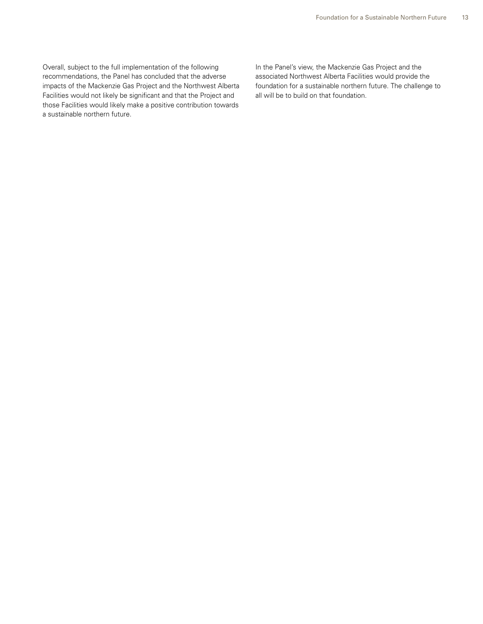Overall, subject to the full implementation of the following recommendations, the Panel has concluded that the adverse impacts of the Mackenzie Gas Project and the Northwest Alberta Facilities would not likely be significant and that the Project and those Facilities would likely make a positive contribution towards a sustainable northern future.

In the Panel's view, the Mackenzie Gas Project and the associated Northwest Alberta Facilities would provide the foundation for a sustainable northern future. The challenge to all will be to build on that foundation.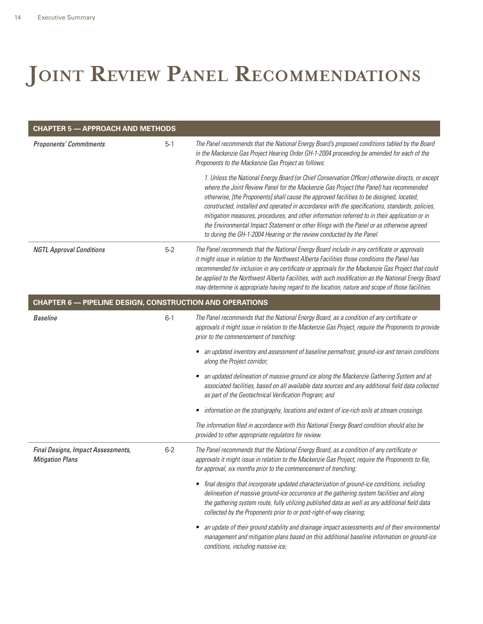# <span id="page-17-0"></span>JOINT REVIEW PANEL RECOMMENDATIONS

| <b>CHAPTER 5 - APPROACH AND METHODS</b>                         |         |                                                                                                                                                                                                                                                                                                                                                                                                                                                                                                                                                                                                                                                                  |
|-----------------------------------------------------------------|---------|------------------------------------------------------------------------------------------------------------------------------------------------------------------------------------------------------------------------------------------------------------------------------------------------------------------------------------------------------------------------------------------------------------------------------------------------------------------------------------------------------------------------------------------------------------------------------------------------------------------------------------------------------------------|
| <b>Proponents' Commitments</b>                                  | $5-1$   | The Panel recommends that the National Energy Board's proposed conditions tabled by the Board<br>in the Mackenzie Gas Project Hearing Order GH-1-2004 proceeding be amended for each of the<br>Proponents to the Mackenzie Gas Project as follows:                                                                                                                                                                                                                                                                                                                                                                                                               |
|                                                                 |         | 1. Unless the National Energy Board (or Chief Conservation Officer) otherwise directs, or except<br>where the Joint Review Panel for the Mackenzie Gas Project (the Panel) has recommended<br>otherwise, [the Proponents] shall cause the approved facilities to be designed, located,<br>constructed, installed and operated in accordance with the specifications, standards, policies,<br>mitigation measures, procedures, and other information referred to in their application or in<br>the Environmental Impact Statement or other filings with the Panel or as otherwise agreed<br>to during the GH-1-2004 Hearing or the review conducted by the Panel. |
| <b>NGTL Approval Conditions</b>                                 | $5-2$   | The Panel recommends that the National Energy Board include in any certificate or approvals<br>it might issue in relation to the Northwest Alberta Facilities those conditions the Panel has<br>recommended for inclusion in any certificate or approvals for the Mackenzie Gas Project that could<br>be applied to the Northwest Alberta Facilities, with such modification as the National Energy Board<br>may determine is appropriate having regard to the location, nature and scope of those facilities.                                                                                                                                                   |
| <b>CHAPTER 6 - PIPELINE DESIGN, CONSTRUCTION AND OPERATIONS</b> |         |                                                                                                                                                                                                                                                                                                                                                                                                                                                                                                                                                                                                                                                                  |
| <b>Baseline</b>                                                 | $6-1$   | The Panel recommends that the National Energy Board, as a condition of any certificate or<br>approvals it might issue in relation to the Mackenzie Gas Project, require the Proponents to provide<br>prior to the commencement of trenching:                                                                                                                                                                                                                                                                                                                                                                                                                     |
|                                                                 |         | • an updated inventory and assessment of baseline permafrost, ground-ice and terrain conditions<br>along the Project corridor;                                                                                                                                                                                                                                                                                                                                                                                                                                                                                                                                   |
|                                                                 |         | an updated delineation of massive ground ice along the Mackenzie Gathering System and at<br>associated facilities, based on all available data sources and any additional field data collected<br>as part of the Geotechnical Verification Program; and                                                                                                                                                                                                                                                                                                                                                                                                          |
|                                                                 |         | information on the stratigraphy, locations and extent of ice-rich soils at stream crossings.                                                                                                                                                                                                                                                                                                                                                                                                                                                                                                                                                                     |
|                                                                 |         | The information filed in accordance with this National Energy Board condition should also be<br>provided to other appropriate regulators for review.                                                                                                                                                                                                                                                                                                                                                                                                                                                                                                             |
| Final Designs, Impact Assessments,<br><b>Mitigation Plans</b>   | $6 - 2$ | The Panel recommends that the National Energy Board, as a condition of any certificate or<br>approvals it might issue in relation to the Mackenzie Gas Project, require the Proponents to file,<br>for approval, six months prior to the commencement of trenching:                                                                                                                                                                                                                                                                                                                                                                                              |
|                                                                 |         | • final designs that incorporate updated characterization of ground-ice conditions, including<br>delineation of massive ground-ice occurrence at the gathering system facilities and along<br>the gathering system route, fully utilizing published data as well as any additional field data<br>collected by the Proponents prior to or post-right-of-way clearing;                                                                                                                                                                                                                                                                                             |
|                                                                 |         | an update of their ground stability and drainage impact assessments and of their environmental<br>$\bullet$<br>management and mitigation plans based on this additional baseline information on ground-ice<br>conditions, including massive ice;                                                                                                                                                                                                                                                                                                                                                                                                                 |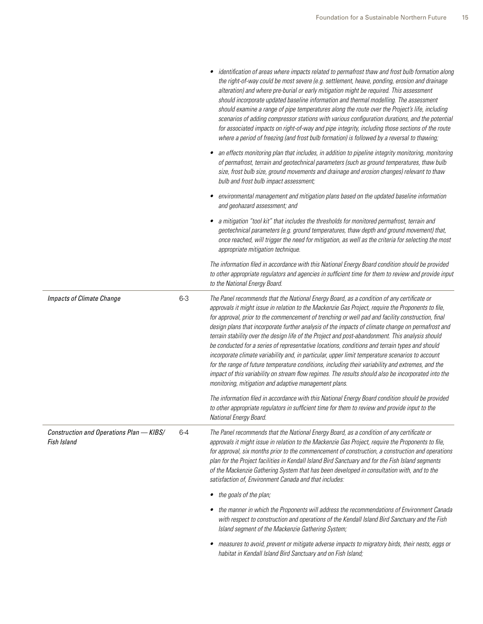|                                                         |         | identification of areas where impacts related to permafrost thaw and frost bulb formation along<br>the right-of-way could be most severe (e.g. settlement, heave, ponding, erosion and drainage<br>alteration) and where pre-burial or early mitigation might be required. This assessment<br>should incorporate updated baseline information and thermal modelling. The assessment<br>should examine a range of pipe temperatures along the route over the Project's life, including<br>scenarios of adding compressor stations with various configuration durations, and the potential<br>for associated impacts on right-of-way and pipe integrity, including those sections of the route<br>where a period of freezing (and frost bulb formation) is followed by a reversal to thawing;                                                                                                                                                                                              |
|---------------------------------------------------------|---------|------------------------------------------------------------------------------------------------------------------------------------------------------------------------------------------------------------------------------------------------------------------------------------------------------------------------------------------------------------------------------------------------------------------------------------------------------------------------------------------------------------------------------------------------------------------------------------------------------------------------------------------------------------------------------------------------------------------------------------------------------------------------------------------------------------------------------------------------------------------------------------------------------------------------------------------------------------------------------------------|
|                                                         |         | • an effects monitoring plan that includes, in addition to pipeline integrity monitoring, monitoring<br>of permafrost, terrain and geotechnical parameters (such as ground temperatures, thaw bulb<br>size, frost bulb size, ground movements and drainage and erosion changes) relevant to thaw<br>bulb and frost bulb impact assessment;                                                                                                                                                                                                                                                                                                                                                                                                                                                                                                                                                                                                                                               |
|                                                         |         | environmental management and mitigation plans based on the updated baseline information<br>and geohazard assessment; and                                                                                                                                                                                                                                                                                                                                                                                                                                                                                                                                                                                                                                                                                                                                                                                                                                                                 |
|                                                         |         | • a mitigation "tool kit" that includes the thresholds for monitored permafrost, terrain and<br>geotechnical parameters (e.g. ground temperatures, thaw depth and ground movement) that,<br>once reached, will trigger the need for mitigation, as well as the criteria for selecting the most<br>appropriate mitigation technique.                                                                                                                                                                                                                                                                                                                                                                                                                                                                                                                                                                                                                                                      |
|                                                         |         | The information filed in accordance with this National Energy Board condition should be provided<br>to other appropriate regulators and agencies in sufficient time for them to review and provide input<br>to the National Energy Board.                                                                                                                                                                                                                                                                                                                                                                                                                                                                                                                                                                                                                                                                                                                                                |
| <b>Impacts of Climate Change</b>                        | $6 - 3$ | The Panel recommends that the National Energy Board, as a condition of any certificate or<br>approvals it might issue in relation to the Mackenzie Gas Project, require the Proponents to file,<br>for approval, prior to the commencement of trenching or well pad and facility construction, final<br>design plans that incorporate further analysis of the impacts of climate change on permafrost and<br>terrain stability over the design life of the Project and post-abandonment. This analysis should<br>be conducted for a series of representative locations, conditions and terrain types and should<br>incorporate climate variability and, in particular, upper limit temperature scenarios to account<br>for the range of future temperature conditions, including their variability and extremes, and the<br>impact of this variability on stream flow regimes. The results should also be incorporated into the<br>monitoring, mitigation and adaptive management plans. |
|                                                         |         | The information filed in accordance with this National Energy Board condition should be provided<br>to other appropriate regulators in sufficient time for them to review and provide input to the<br>National Energy Board.                                                                                                                                                                                                                                                                                                                                                                                                                                                                                                                                                                                                                                                                                                                                                             |
| Construction and Operations Plan - KIBS/<br>Fish Island | $6 - 4$ | The Panel recommends that the National Energy Board, as a condition of any certificate or<br>approvals it might issue in relation to the Mackenzie Gas Project, require the Proponents to file,<br>for approval, six months prior to the commencement of construction, a construction and operations<br>plan for the Project facilities in Kendall Island Bird Sanctuary and for the Fish Island segments<br>of the Mackenzie Gathering System that has been developed in consultation with, and to the<br>satisfaction of, Environment Canada and that includes:                                                                                                                                                                                                                                                                                                                                                                                                                        |
|                                                         |         | • the goals of the plan;                                                                                                                                                                                                                                                                                                                                                                                                                                                                                                                                                                                                                                                                                                                                                                                                                                                                                                                                                                 |
|                                                         |         | • the manner in which the Proponents will address the recommendations of Environment Canada<br>with respect to construction and operations of the Kendall Island Bird Sanctuary and the Fish<br>Island segment of the Mackenzie Gathering System;                                                                                                                                                                                                                                                                                                                                                                                                                                                                                                                                                                                                                                                                                                                                        |
|                                                         |         | measures to avoid, prevent or mitigate adverse impacts to migratory birds, their nests, eggs or<br>habitat in Kendall Island Bird Sanctuary and on Fish Island;                                                                                                                                                                                                                                                                                                                                                                                                                                                                                                                                                                                                                                                                                                                                                                                                                          |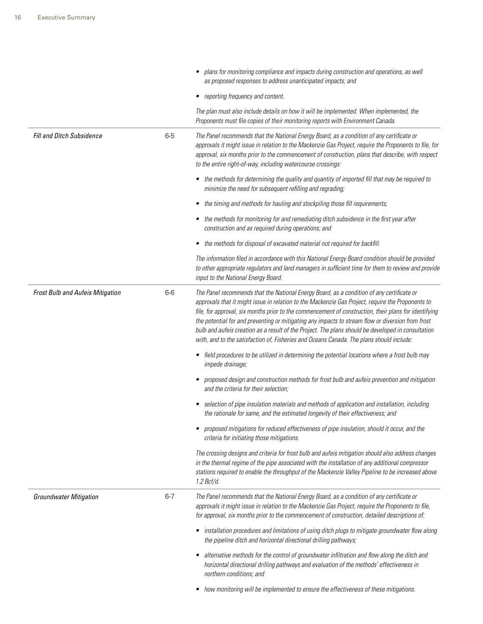|                                  |         | plans for monitoring compliance and impacts during construction and operations, as well<br>٠<br>as proposed responses to address unanticipated impacts; and                                                                                                                                                                                                                                                                                                                                                                                                                                                    |
|----------------------------------|---------|----------------------------------------------------------------------------------------------------------------------------------------------------------------------------------------------------------------------------------------------------------------------------------------------------------------------------------------------------------------------------------------------------------------------------------------------------------------------------------------------------------------------------------------------------------------------------------------------------------------|
|                                  |         | reporting frequency and content.<br>٠                                                                                                                                                                                                                                                                                                                                                                                                                                                                                                                                                                          |
|                                  |         | The plan must also include details on how it will be implemented. When implemented, the<br>Proponents must file copies of their monitoring reports with Environment Canada.                                                                                                                                                                                                                                                                                                                                                                                                                                    |
| Fill and Ditch Subsidence        | $6-5$   | The Panel recommends that the National Energy Board, as a condition of any certificate or<br>approvals it might issue in relation to the Mackenzie Gas Project, require the Proponents to file, for<br>approval, six months prior to the commencement of construction, plans that describe, with respect<br>to the entire right-of-way, including watercourse crossings:                                                                                                                                                                                                                                       |
|                                  |         | the methods for determining the quality and quantity of imported fill that may be required to<br>٠<br>minimize the need for subsequent refilling and regrading;                                                                                                                                                                                                                                                                                                                                                                                                                                                |
|                                  |         | the timing and methods for hauling and stockpiling those fill requirements;<br>٠                                                                                                                                                                                                                                                                                                                                                                                                                                                                                                                               |
|                                  |         | the methods for monitoring for and remediating ditch subsidence in the first year after<br>construction and as required during operations; and                                                                                                                                                                                                                                                                                                                                                                                                                                                                 |
|                                  |         | the methods for disposal of excavated material not required for backfill.                                                                                                                                                                                                                                                                                                                                                                                                                                                                                                                                      |
|                                  |         | The information filed in accordance with this National Energy Board condition should be provided<br>to other appropriate regulators and land managers in sufficient time for them to review and provide<br>input to the National Energy Board.                                                                                                                                                                                                                                                                                                                                                                 |
| Frost Bulb and Aufeis Mitigation | $6-6$   | The Panel recommends that the National Energy Board, as a condition of any certificate or<br>approvals that it might issue in relation to the Mackenzie Gas Project, require the Proponents to<br>file, for approval, six months prior to the commencement of construction, their plans for identifying<br>the potential for and preventing or mitigating any impacts to stream flow or diversion from frost<br>bulb and aufeis creation as a result of the Project. The plans should be developed in consultation<br>with, and to the satisfaction of, Fisheries and Oceans Canada. The plans should include: |
|                                  |         | • field procedures to be utilized in determining the potential locations where a frost bulb may<br>impede drainage;                                                                                                                                                                                                                                                                                                                                                                                                                                                                                            |
|                                  |         | proposed design and construction methods for frost bulb and aufeis prevention and mitigation<br>and the criteria for their selection;                                                                                                                                                                                                                                                                                                                                                                                                                                                                          |
|                                  |         | selection of pipe insulation materials and methods of application and installation, including<br>the rationale for same, and the estimated longevity of their effectiveness; and                                                                                                                                                                                                                                                                                                                                                                                                                               |
|                                  |         | proposed mitigations for reduced effectiveness of pipe insulation, should it occur, and the<br>criteria for initiating those mitigations.                                                                                                                                                                                                                                                                                                                                                                                                                                                                      |
|                                  |         | The crossing designs and criteria for frost bulb and aufeis mitigation should also address changes<br>in the thermal regime of the pipe associated with the installation of any additional compressor<br>stations required to enable the throughput of the Mackenzie Valley Pipeline to be increased above<br>1.2 Bcf/d.                                                                                                                                                                                                                                                                                       |
| <b>Groundwater Mitigation</b>    | $6 - 7$ | The Panel recommends that the National Energy Board, as a condition of any certificate or<br>approvals it might issue in relation to the Mackenzie Gas Project, require the Proponents to file,<br>for approval, six months prior to the commencement of construction, detailed descriptions of:                                                                                                                                                                                                                                                                                                               |
|                                  |         | installation procedures and limitations of using ditch plugs to mitigate groundwater flow along<br>٠<br>the pipeline ditch and horizontal directional drilling pathways;                                                                                                                                                                                                                                                                                                                                                                                                                                       |
|                                  |         | alternative methods for the control of groundwater infiltration and flow along the ditch and<br>horizontal directional drilling pathways and evaluation of the methods' effectiveness in<br>northern conditions; and                                                                                                                                                                                                                                                                                                                                                                                           |
|                                  |         | how monitoring will be implemented to ensure the effectiveness of these mitigations.                                                                                                                                                                                                                                                                                                                                                                                                                                                                                                                           |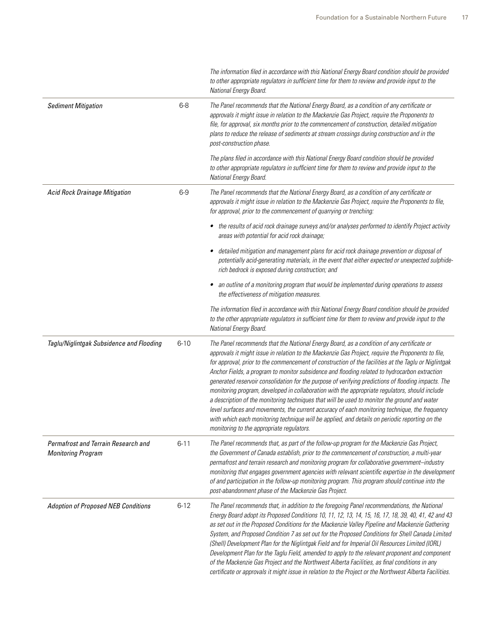|                                                                  |          | The information filed in accordance with this National Energy Board condition should be provided<br>to other appropriate regulators in sufficient time for them to review and provide input to the<br>National Energy Board.                                                                                                                                                                                                                                                                                                                                                                                                                                                                                                                                                                                                                                                                                                                                       |
|------------------------------------------------------------------|----------|--------------------------------------------------------------------------------------------------------------------------------------------------------------------------------------------------------------------------------------------------------------------------------------------------------------------------------------------------------------------------------------------------------------------------------------------------------------------------------------------------------------------------------------------------------------------------------------------------------------------------------------------------------------------------------------------------------------------------------------------------------------------------------------------------------------------------------------------------------------------------------------------------------------------------------------------------------------------|
| <b>Sediment Mitigation</b>                                       | $6 - 8$  | The Panel recommends that the National Energy Board, as a condition of any certificate or<br>approvals it might issue in relation to the Mackenzie Gas Project, require the Proponents to<br>file, for approval, six months prior to the commencement of construction, detailed mitigation<br>plans to reduce the release of sediments at stream crossings during construction and in the<br>post-construction phase.                                                                                                                                                                                                                                                                                                                                                                                                                                                                                                                                              |
|                                                                  |          | The plans filed in accordance with this National Energy Board condition should be provided<br>to other appropriate regulators in sufficient time for them to review and provide input to the<br>National Energy Board.                                                                                                                                                                                                                                                                                                                                                                                                                                                                                                                                                                                                                                                                                                                                             |
| Acid Rock Drainage Mitigation                                    | $6-9$    | The Panel recommends that the National Energy Board, as a condition of any certificate or<br>approvals it might issue in relation to the Mackenzie Gas Project, require the Proponents to file,<br>for approval, prior to the commencement of quarrying or trenching:                                                                                                                                                                                                                                                                                                                                                                                                                                                                                                                                                                                                                                                                                              |
|                                                                  |          | the results of acid rock drainage surveys and/or analyses performed to identify Project activity<br>$\bullet$<br>areas with potential for acid rock drainage;                                                                                                                                                                                                                                                                                                                                                                                                                                                                                                                                                                                                                                                                                                                                                                                                      |
|                                                                  |          | detailed mitigation and management plans for acid rock drainage prevention or disposal of<br>potentially acid-generating materials, in the event that either expected or unexpected sulphide-<br>rich bedrock is exposed during construction; and                                                                                                                                                                                                                                                                                                                                                                                                                                                                                                                                                                                                                                                                                                                  |
|                                                                  |          | an outline of a monitoring program that would be implemented during operations to assess<br>٠<br>the effectiveness of mitigation measures.                                                                                                                                                                                                                                                                                                                                                                                                                                                                                                                                                                                                                                                                                                                                                                                                                         |
|                                                                  |          | The information filed in accordance with this National Energy Board condition should be provided<br>to the other appropriate regulators in sufficient time for them to review and provide input to the<br>National Energy Board.                                                                                                                                                                                                                                                                                                                                                                                                                                                                                                                                                                                                                                                                                                                                   |
| Taglu/Niglintgak Subsidence and Flooding                         | $6 - 10$ | The Panel recommends that the National Energy Board, as a condition of any certificate or<br>approvals it might issue in relation to the Mackenzie Gas Project, require the Proponents to file,<br>for approval, prior to the commencement of construction of the facilities at the Taglu or Niglintgak<br>Anchor Fields, a program to monitor subsidence and flooding related to hydrocarbon extraction<br>generated reservoir consolidation for the purpose of verifying predictions of flooding impacts. The<br>monitoring program, developed in collaboration with the appropriate regulators, should include<br>a description of the monitoring techniques that will be used to monitor the ground and water<br>level surfaces and movements, the current accuracy of each monitoring technique, the frequency<br>with which each monitoring technique will be applied, and details on periodic reporting on the<br>monitoring to the appropriate regulators. |
| Permafrost and Terrain Research and<br><b>Monitoring Program</b> | $6 - 11$ | The Panel recommends that, as part of the follow-up program for the Mackenzie Gas Project,<br>the Government of Canada establish, prior to the commencement of construction, a multi-year<br>permafrost and terrain research and monitoring program for collaborative government-industry<br>monitoring that engages government agencies with relevant scientific expertise in the development<br>of and participation in the follow-up monitoring program. This program should continue into the<br>post-abandonment phase of the Mackenzie Gas Project.                                                                                                                                                                                                                                                                                                                                                                                                          |
| <b>Adoption of Proposed NEB Conditions</b>                       | $6 - 12$ | The Panel recommends that, in addition to the foregoing Panel recommendations, the National<br>Energy Board adopt its Proposed Conditions 10, 11, 12, 13, 14, 15, 16, 17, 18, 39, 40, 41, 42 and 43<br>as set out in the Proposed Conditions for the Mackenzie Valley Pipeline and Mackenzie Gathering<br>System, and Proposed Condition 7 as set out for the Proposed Conditions for Shell Canada Limited<br>(Shell) Development Plan for the Niglintgak Field and for Imperial Oil Resources Limited (IORL)<br>Development Plan for the Taglu Field, amended to apply to the relevant proponent and component<br>of the Mackenzie Gas Project and the Northwest Alberta Facilities, as final conditions in any<br>certificate or approvals it might issue in relation to the Project or the Northwest Alberta Facilities.                                                                                                                                        |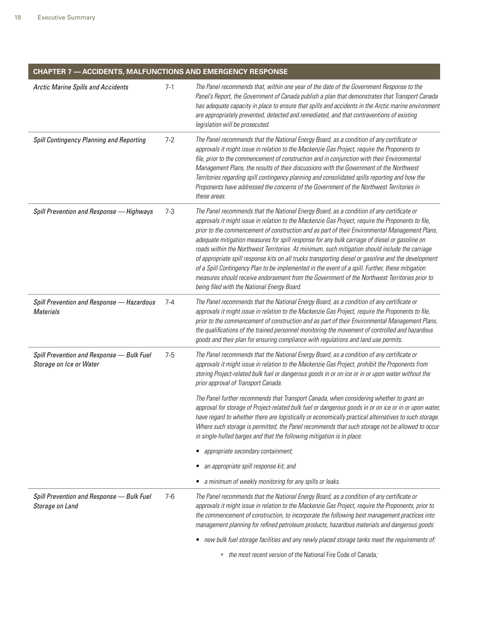| <b>Arctic Marine Spills and Accidents</b>                            | $7-1$   | The Panel recommends that, within one year of the date of the Government Response to the                                                                                                                                                                                                                                                                                                                                                                                                                                                                                                                                                                                                                                                                                                                                                                           |
|----------------------------------------------------------------------|---------|--------------------------------------------------------------------------------------------------------------------------------------------------------------------------------------------------------------------------------------------------------------------------------------------------------------------------------------------------------------------------------------------------------------------------------------------------------------------------------------------------------------------------------------------------------------------------------------------------------------------------------------------------------------------------------------------------------------------------------------------------------------------------------------------------------------------------------------------------------------------|
|                                                                      |         | Panel's Report, the Government of Canada publish a plan that demonstrates that Transport Canada<br>has adequate capacity in place to ensure that spills and accidents in the Arctic marine environment<br>are appropriately prevented, detected and remediated, and that contraventions of existing<br>legislation will be prosecuted.                                                                                                                                                                                                                                                                                                                                                                                                                                                                                                                             |
| Spill Contingency Planning and Reporting                             | $7 - 2$ | The Panel recommends that the National Energy Board, as a condition of any certificate or<br>approvals it might issue in relation to the Mackenzie Gas Project, require the Proponents to<br>file, prior to the commencement of construction and in conjunction with their Environmental<br>Management Plans, the results of their discussions with the Government of the Northwest<br>Territories regarding spill contingency planning and consolidated spills reporting and how the<br>Proponents have addressed the concerns of the Government of the Northwest Territories in<br>these areas.                                                                                                                                                                                                                                                                  |
| Spill Prevention and Response - Highways                             | $7 - 3$ | The Panel recommends that the National Energy Board, as a condition of any certificate or<br>approvals it might issue in relation to the Mackenzie Gas Project, require the Proponents to file,<br>prior to the commencement of construction and as part of their Environmental Management Plans,<br>adequate mitigation measures for spill response for any bulk carriage of diesel or gasoline on<br>roads within the Northwest Territories. At minimum, such mitigation should include the carriage<br>of appropriate spill response kits on all trucks transporting diesel or gasoline and the development<br>of a Spill Contingency Plan to be implemented in the event of a spill. Further, these mitigation<br>measures should receive endorsement from the Government of the Northwest Territories prior to<br>being filed with the National Energy Board. |
| Spill Prevention and Response - Hazardous<br><b>Materials</b>        | $7 - 4$ | The Panel recommends that the National Energy Board, as a condition of any certificate or<br>approvals it might issue in relation to the Mackenzie Gas Project, require the Proponents to file,<br>prior to the commencement of construction and as part of their Environmental Management Plans,<br>the qualifications of the trained personnel monitoring the movement of controlled and hazardous<br>goods and their plan for ensuring compliance with regulations and land use permits.                                                                                                                                                                                                                                                                                                                                                                        |
| Spill Prevention and Response - Bulk Fuel<br>Storage on Ice or Water | $7-5$   | The Panel recommends that the National Energy Board, as a condition of any certificate or<br>approvals it might issue in relation to the Mackenzie Gas Project, prohibit the Proponents from<br>storing Project-related bulk fuel or dangerous goods in or on ice or in or upon water without the<br>prior approval of Transport Canada.                                                                                                                                                                                                                                                                                                                                                                                                                                                                                                                           |
|                                                                      |         | The Panel further recommends that Transport Canada, when considering whether to grant an<br>approval for storage of Project-related bulk fuel or dangerous goods in or on ice or in or upon water,<br>have regard to whether there are logistically or economically practical alternatives to such storage.<br>Where such storage is permitted, the Panel recommends that such storage not be allowed to occur<br>in single-hulled barges and that the following mitigation is in place:                                                                                                                                                                                                                                                                                                                                                                           |
|                                                                      |         | appropriate secondary containment;                                                                                                                                                                                                                                                                                                                                                                                                                                                                                                                                                                                                                                                                                                                                                                                                                                 |
|                                                                      |         | an appropriate spill response kit; and                                                                                                                                                                                                                                                                                                                                                                                                                                                                                                                                                                                                                                                                                                                                                                                                                             |
|                                                                      |         | • a minimum of weekly monitoring for any spills or leaks.                                                                                                                                                                                                                                                                                                                                                                                                                                                                                                                                                                                                                                                                                                                                                                                                          |
| Spill Prevention and Response - Bulk Fuel<br>Storage on Land         | $7-6$   | The Panel recommends that the National Energy Board, as a condition of any certificate or<br>approvals it might issue in relation to the Mackenzie Gas Project, require the Proponents, prior to<br>the commencement of construction, to incorporate the following best management practices into<br>management planning for refined petroleum products, hazardous materials and dangerous goods:                                                                                                                                                                                                                                                                                                                                                                                                                                                                  |
|                                                                      |         | • new bulk fuel storage facilities and any newly placed storage tanks meet the requirements of:                                                                                                                                                                                                                                                                                                                                                                                                                                                                                                                                                                                                                                                                                                                                                                    |
|                                                                      |         | • the most recent version of the National Fire Code of Canada;                                                                                                                                                                                                                                                                                                                                                                                                                                                                                                                                                                                                                                                                                                                                                                                                     |

<u> 1989 - Johann Stein, marwolaethau a bh</u>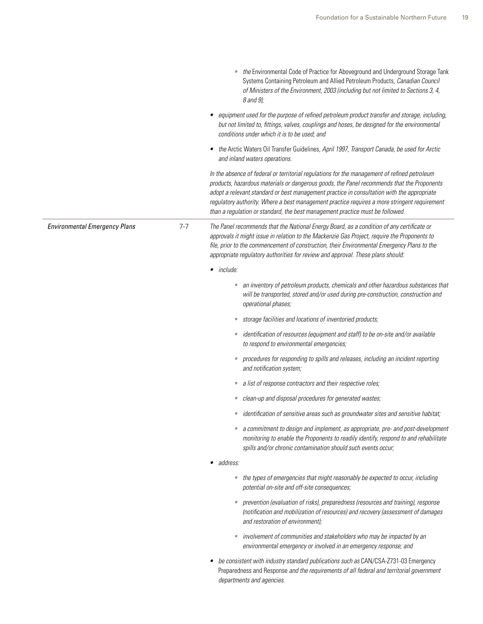|                                      |         | the Environmental Code of Practice for Aboveground and Underground Storage Tank<br>Systems Containing Petroleum and Allied Petroleum Products, Canadian Council<br>of Ministers of the Environment, 2003 (including but not limited to Sections 3, 4,<br>8 and 9);                                                                                                                                                                                                        |
|--------------------------------------|---------|---------------------------------------------------------------------------------------------------------------------------------------------------------------------------------------------------------------------------------------------------------------------------------------------------------------------------------------------------------------------------------------------------------------------------------------------------------------------------|
|                                      |         | • equipment used for the purpose of refined petroleum product transfer and storage, including,<br>but not limited to, fittings, valves, couplings and hoses, be designed for the environmental<br>conditions under which it is to be used; and                                                                                                                                                                                                                            |
|                                      |         | the Arctic Waters Oil Transfer Guidelines, April 1997, Transport Canada, be used for Arctic<br>and inland waters operations.                                                                                                                                                                                                                                                                                                                                              |
|                                      |         | In the absence of federal or territorial regulations for the management of refined petroleum<br>products, hazardous materials or dangerous goods, the Panel recommends that the Proponents<br>adopt a relevant standard or best management practice in consultation with the appropriate<br>regulatory authority. Where a best management practice requires a more stringent requirement<br>than a regulation or standard, the best management practice must be followed. |
| <b>Environmental Emergency Plans</b> | $7 - 7$ | The Panel recommends that the National Energy Board, as a condition of any certificate or<br>approvals it might issue in relation to the Mackenzie Gas Project, require the Proponents to<br>file, prior to the commencement of construction, their Environmental Emergency Plans to the<br>appropriate regulatory authorities for review and approval. These plans should:                                                                                               |
|                                      |         | $\bullet$ include:                                                                                                                                                                                                                                                                                                                                                                                                                                                        |
|                                      |         | an inventory of petroleum products, chemicals and other hazardous substances that<br>$\bullet$<br>will be transported, stored and/or used during pre-construction, construction and<br>operational phases;                                                                                                                                                                                                                                                                |
|                                      |         | storage facilities and locations of inventoried products;<br>$\bullet$                                                                                                                                                                                                                                                                                                                                                                                                    |
|                                      |         | identification of resources (equipment and staff) to be on-site and/or available<br>$\bullet$<br>to respond to environmental emergencies;                                                                                                                                                                                                                                                                                                                                 |
|                                      |         | procedures for responding to spills and releases, including an incident reporting<br>$\bullet$<br>and notification system;                                                                                                                                                                                                                                                                                                                                                |
|                                      |         | a list of response contractors and their respective roles;<br>$\bullet$                                                                                                                                                                                                                                                                                                                                                                                                   |
|                                      |         | clean-up and disposal procedures for generated wastes;<br>$\bullet$                                                                                                                                                                                                                                                                                                                                                                                                       |
|                                      |         | identification of sensitive areas such as groundwater sites and sensitive habitat;<br>$\bullet$                                                                                                                                                                                                                                                                                                                                                                           |
|                                      |         | a commitment to design and implement, as appropriate, pre- and post-development<br>monitoring to enable the Proponents to readily identify, respond to and rehabilitate<br>spills and/or chronic contamination should such events occur;                                                                                                                                                                                                                                  |
|                                      |         | · address:                                                                                                                                                                                                                                                                                                                                                                                                                                                                |
|                                      |         | the types of emergencies that might reasonably be expected to occur, including<br>$\bullet$<br>potential on-site and off-site consequences;                                                                                                                                                                                                                                                                                                                               |
|                                      |         | prevention (evaluation of risks), preparedness (resources and training), response<br>(notification and mobilization of resources) and recovery (assessment of damages<br>and restoration of environment);                                                                                                                                                                                                                                                                 |
|                                      |         | involvement of communities and stakeholders who may be impacted by an<br>$\bullet$<br>environmental emergency or involved in an emergency response; and                                                                                                                                                                                                                                                                                                                   |
|                                      |         | be consistent with industry standard publications such as CAN/CSA-Z731-03 Emergency<br>Preparedness and Response and the requirements of all federal and territorial government<br>departments and agencies.                                                                                                                                                                                                                                                              |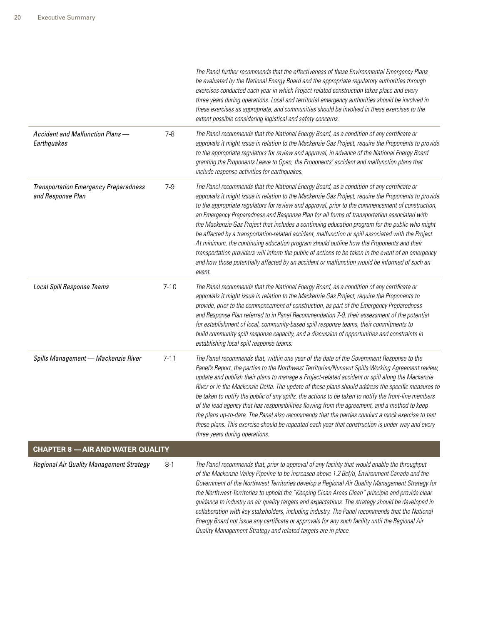|                                                                   |          | The Panel further recommends that the effectiveness of these Environmental Emergency Plans<br>be evaluated by the National Energy Board and the appropriate regulatory authorities through<br>exercises conducted each year in which Project-related construction takes place and every<br>three years during operations. Local and territorial emergency authorities should be involved in<br>these exercises as appropriate, and communities should be involved in these exercises to the<br>extent possible considering logistical and safety concerns.                                                                                                                                                                                                                                                                                                                                                                    |
|-------------------------------------------------------------------|----------|-------------------------------------------------------------------------------------------------------------------------------------------------------------------------------------------------------------------------------------------------------------------------------------------------------------------------------------------------------------------------------------------------------------------------------------------------------------------------------------------------------------------------------------------------------------------------------------------------------------------------------------------------------------------------------------------------------------------------------------------------------------------------------------------------------------------------------------------------------------------------------------------------------------------------------|
| Accident and Malfunction Plans -<br>Earthquakes                   | $7-8$    | The Panel recommends that the National Energy Board, as a condition of any certificate or<br>approvals it might issue in relation to the Mackenzie Gas Project, require the Proponents to provide<br>to the appropriate regulators for review and approval, in advance of the National Energy Board<br>granting the Proponents Leave to Open, the Proponents' accident and malfunction plans that<br>include response activities for earthquakes.                                                                                                                                                                                                                                                                                                                                                                                                                                                                             |
| <b>Transportation Emergency Preparedness</b><br>and Response Plan | $7-9$    | The Panel recommends that the National Energy Board, as a condition of any certificate or<br>approvals it might issue in relation to the Mackenzie Gas Project, require the Proponents to provide<br>to the appropriate regulators for review and approval, prior to the commencement of construction,<br>an Emergency Preparedness and Response Plan for all forms of transportation associated with<br>the Mackenzie Gas Project that includes a continuing education program for the public who might<br>be affected by a transportation-related accident, malfunction or spill associated with the Project.<br>At minimum, the continuing education program should outline how the Proponents and their<br>transportation providers will inform the public of actions to be taken in the event of an emergency<br>and how those potentially affected by an accident or malfunction would be informed of such an<br>event. |
| Local Spill Response Teams                                        | $7 - 10$ | The Panel recommends that the National Energy Board, as a condition of any certificate or<br>approvals it might issue in relation to the Mackenzie Gas Project, require the Proponents to<br>provide, prior to the commencement of construction, as part of the Emergency Preparedness<br>and Response Plan referred to in Panel Recommendation 7-9, their assessment of the potential<br>for establishment of local, community-based spill response teams, their commitments to<br>build community spill response capacity, and a discussion of opportunities and constraints in<br>establishing local spill response teams.                                                                                                                                                                                                                                                                                                 |
| Spills Management - Mackenzie River                               | $7 - 11$ | The Panel recommends that, within one year of the date of the Government Response to the<br>Panel's Report, the parties to the Northwest Territories/Nunavut Spills Working Agreement review,<br>update and publish their plans to manage a Project-related accident or spill along the Mackenzie<br>River or in the Mackenzie Delta. The update of these plans should address the specific measures to<br>be taken to notify the public of any spills, the actions to be taken to notify the front-line members<br>of the lead agency that has responsibilities flowing from the agreement, and a method to keep<br>the plans up-to-date. The Panel also recommends that the parties conduct a mock exercise to test<br>these plans. This exercise should be repeated each year that construction is under way and every<br>three years during operations.                                                                   |
| <b>CHAPTER 8 - AIR AND WATER QUALITY</b>                          |          |                                                                                                                                                                                                                                                                                                                                                                                                                                                                                                                                                                                                                                                                                                                                                                                                                                                                                                                               |
| Regional Air Quality Management Strategy                          | $8-1$    | The Panel recommends that, prior to approval of any facility that would enable the throughput<br>of the Mackenzie Valley Pipeline to be increased above 1.2 Bcf/d, Environment Canada and the<br>Government of the Northwest Territories develop a Regional Air Quality Management Strategy for<br>the Northwest Territories to uphold the "Keeping Clean Areas Clean" principle and provide clear<br>guidance to industry on air quality targets and expectations. The strategy should be developed in<br>collaboration with key stakeholders, including industry. The Panel recommends that the National<br>Energy Board not issue any certificate or approvals for any such facility until the Regional Air<br>Quality Management Strategy and related targets are in place.                                                                                                                                               |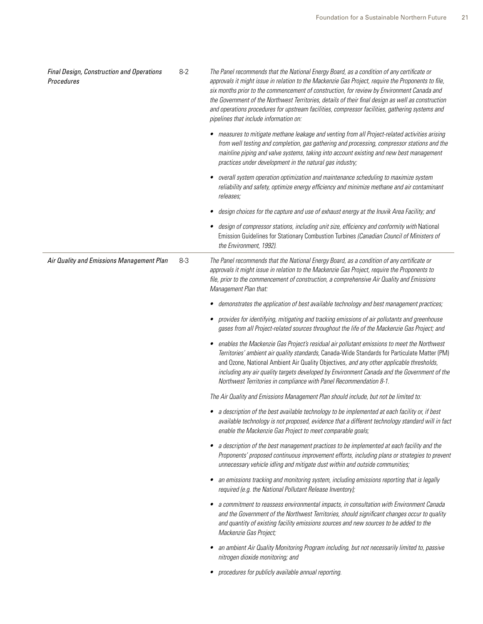| Final Design, Construction and Operations<br>Procedures | $8 - 2$ | The Panel recommends that the National Energy Board, as a condition of any certificate or<br>approvals it might issue in relation to the Mackenzie Gas Project, require the Proponents to file,<br>six months prior to the commencement of construction, for review by Environment Canada and<br>the Government of the Northwest Territories, details of their final design as well as construction<br>and operations procedures for upstream facilities, compressor facilities, gathering systems and<br>pipelines that include information on: |
|---------------------------------------------------------|---------|--------------------------------------------------------------------------------------------------------------------------------------------------------------------------------------------------------------------------------------------------------------------------------------------------------------------------------------------------------------------------------------------------------------------------------------------------------------------------------------------------------------------------------------------------|
|                                                         |         | measures to mitigate methane leakage and venting from all Project-related activities arising<br>from well testing and completion, gas gathering and processing, compressor stations and the<br>mainline piping and valve systems, taking into account existing and new best management<br>practices under development in the natural gas industry;                                                                                                                                                                                               |
|                                                         |         | overall system operation optimization and maintenance scheduling to maximize system<br>reliability and safety, optimize energy efficiency and minimize methane and air contaminant<br>releases;                                                                                                                                                                                                                                                                                                                                                  |
|                                                         |         | design choices for the capture and use of exhaust energy at the Inuvik Area Facility; and<br>$\bullet$                                                                                                                                                                                                                                                                                                                                                                                                                                           |
|                                                         |         | design of compressor stations, including unit size, efficiency and conformity with National<br>Emission Guidelines for Stationary Combustion Turbines (Canadian Council of Ministers of<br>the Environment, 1992).                                                                                                                                                                                                                                                                                                                               |
| Air Quality and Emissions Management Plan               | $8-3$   | The Panel recommends that the National Energy Board, as a condition of any certificate or<br>approvals it might issue in relation to the Mackenzie Gas Project, require the Proponents to<br>file, prior to the commencement of construction, a comprehensive Air Quality and Emissions<br>Management Plan that:                                                                                                                                                                                                                                 |
|                                                         |         | demonstrates the application of best available technology and best management practices;                                                                                                                                                                                                                                                                                                                                                                                                                                                         |
|                                                         |         | provides for identifying, mitigating and tracking emissions of air pollutants and greenhouse<br>٠<br>gases from all Project-related sources throughout the life of the Mackenzie Gas Project; and                                                                                                                                                                                                                                                                                                                                                |
|                                                         |         | enables the Mackenzie Gas Project's residual air pollutant emissions to meet the Northwest<br>٠<br>Territories' ambient air quality standards, Canada-Wide Standards for Particulate Matter (PM)<br>and Ozone, National Ambient Air Quality Objectives, and any other applicable thresholds,<br>including any air quality targets developed by Environment Canada and the Government of the<br>Northwest Territories in compliance with Panel Recommendation 8-1.                                                                                |
|                                                         |         | The Air Quality and Emissions Management Plan should include, but not be limited to:                                                                                                                                                                                                                                                                                                                                                                                                                                                             |
|                                                         |         | • a description of the best available technology to be implemented at each facility or, if best<br>available technology is not proposed, evidence that a different technology standard will in fact<br>enable the Mackenzie Gas Project to meet comparable goals;                                                                                                                                                                                                                                                                                |
|                                                         |         | a description of the best management practices to be implemented at each facility and the<br>$\bullet$<br>Proponents' proposed continuous improvement efforts, including plans or strategies to prevent<br>unnecessary vehicle idling and mitigate dust within and outside communities;                                                                                                                                                                                                                                                          |
|                                                         |         | an emissions tracking and monitoring system, including emissions reporting that is legally<br>required (e.g. the National Pollutant Release Inventory);                                                                                                                                                                                                                                                                                                                                                                                          |
|                                                         |         | a commitment to reassess environmental impacts, in consultation with Environment Canada<br>٠<br>and the Government of the Northwest Territories, should significant changes occur to quality<br>and quantity of existing facility emissions sources and new sources to be added to the<br>Mackenzie Gas Project;                                                                                                                                                                                                                                 |
|                                                         |         | an ambient Air Quality Monitoring Program including, but not necessarily limited to, passive<br>nitrogen dioxide monitoring; and                                                                                                                                                                                                                                                                                                                                                                                                                 |
|                                                         |         | procedures for publicly available annual reporting.                                                                                                                                                                                                                                                                                                                                                                                                                                                                                              |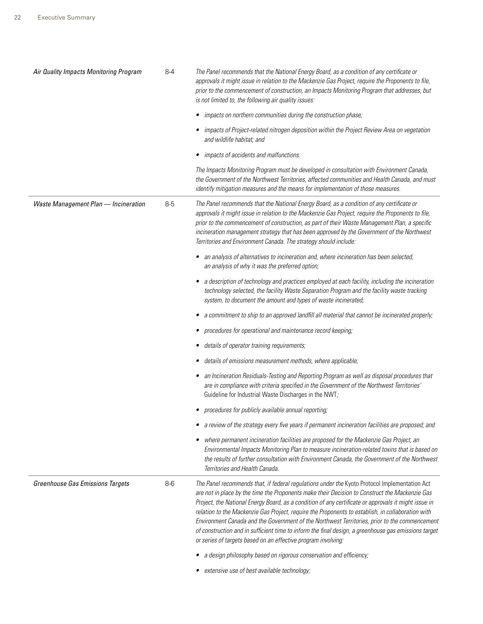| Air Quality Impacts Monitoring Program  | $8 - 4$ | The Panel recommends that the National Energy Board, as a condition of any certificate or<br>approvals it might issue in relation to the Mackenzie Gas Project, require the Proponents to file,<br>prior to the commencement of construction, an Impacts Monitoring Program that addresses, but<br>is not limited to, the following air quality issues:                                                                                                                                                                                                                                                                                                                                                                                                                                                       |
|-----------------------------------------|---------|---------------------------------------------------------------------------------------------------------------------------------------------------------------------------------------------------------------------------------------------------------------------------------------------------------------------------------------------------------------------------------------------------------------------------------------------------------------------------------------------------------------------------------------------------------------------------------------------------------------------------------------------------------------------------------------------------------------------------------------------------------------------------------------------------------------|
|                                         |         | impacts on northern communities during the construction phase;                                                                                                                                                                                                                                                                                                                                                                                                                                                                                                                                                                                                                                                                                                                                                |
|                                         |         | • impacts of Project-related nitrogen deposition within the Project Review Area on vegetation<br>and wildlife habitat; and                                                                                                                                                                                                                                                                                                                                                                                                                                                                                                                                                                                                                                                                                    |
|                                         |         | impacts of accidents and malfunctions.                                                                                                                                                                                                                                                                                                                                                                                                                                                                                                                                                                                                                                                                                                                                                                        |
|                                         |         | The Impacts Monitoring Program must be developed in consultation with Environment Canada,<br>the Government of the Northwest Territories, affected communities and Health Canada, and must<br>identify mitigation measures and the means for implementation of those measures.                                                                                                                                                                                                                                                                                                                                                                                                                                                                                                                                |
| Waste Management Plan - Incineration    | $8-5$   | The Panel recommends that the National Energy Board, as a condition of any certificate or<br>approvals it might issue in relation to the Mackenzie Gas Project, require the Proponents to file,<br>prior to the commencement of construction, as part of their Waste Management Plan, a specific<br>incineration management strategy that has been approved by the Government of the Northwest<br>Territories and Environment Canada. The strategy should include:                                                                                                                                                                                                                                                                                                                                            |
|                                         |         | an analysis of alternatives to incineration and, where incineration has been selected,<br>an analysis of why it was the preferred option;                                                                                                                                                                                                                                                                                                                                                                                                                                                                                                                                                                                                                                                                     |
|                                         |         | a description of technology and practices employed at each facility, including the incineration<br>technology selected, the facility Waste Separation Program and the facility waste tracking<br>system, to document the amount and types of waste incinerated;                                                                                                                                                                                                                                                                                                                                                                                                                                                                                                                                               |
|                                         |         | a commitment to ship to an approved landfill all material that cannot be incinerated properly;                                                                                                                                                                                                                                                                                                                                                                                                                                                                                                                                                                                                                                                                                                                |
|                                         |         | procedures for operational and maintenance record keeping;                                                                                                                                                                                                                                                                                                                                                                                                                                                                                                                                                                                                                                                                                                                                                    |
|                                         |         | details of operator training requirements;                                                                                                                                                                                                                                                                                                                                                                                                                                                                                                                                                                                                                                                                                                                                                                    |
|                                         |         | details of emissions measurement methods, where applicable;                                                                                                                                                                                                                                                                                                                                                                                                                                                                                                                                                                                                                                                                                                                                                   |
|                                         |         | • an Incineration Residuals-Testing and Reporting Program as well as disposal procedures that<br>are in compliance with criteria specified in the Government of the Northwest Territories'<br>Guideline for Industrial Waste Discharges in the NWT;                                                                                                                                                                                                                                                                                                                                                                                                                                                                                                                                                           |
|                                         |         | • procedures for publicly available annual reporting;                                                                                                                                                                                                                                                                                                                                                                                                                                                                                                                                                                                                                                                                                                                                                         |
|                                         |         | • a review of the strategy every five years if permanent incineration facilities are proposed; and                                                                                                                                                                                                                                                                                                                                                                                                                                                                                                                                                                                                                                                                                                            |
|                                         |         | where permanent incineration facilities are proposed for the Mackenzie Gas Project, an<br>Environmental Impacts Monitoring Plan to measure incineration-related toxins that is based on<br>the results of further consultation with Environment Canada, the Government of the Northwest<br>Territories and Health Canada.                                                                                                                                                                                                                                                                                                                                                                                                                                                                                     |
| <b>Greenhouse Gas Emissions Targets</b> | $8-6$   | The Panel recommends that, if federal regulations under the Kyoto Protocol Implementation Act<br>are not in place by the time the Proponents make their Decision to Construct the Mackenzie Gas<br>Project, the National Energy Board, as a condition of any certificate or approvals it might issue in<br>relation to the Mackenzie Gas Project, require the Proponents to establish, in collaboration with<br>Environment Canada and the Government of the Northwest Territories, prior to the commencement<br>of construction and in sufficient time to inform the final design, a greenhouse gas emissions target<br>or series of targets based on an effective program involving:<br>• a design philosophy based on rigorous conservation and efficiency;<br>extensive use of best available technology; |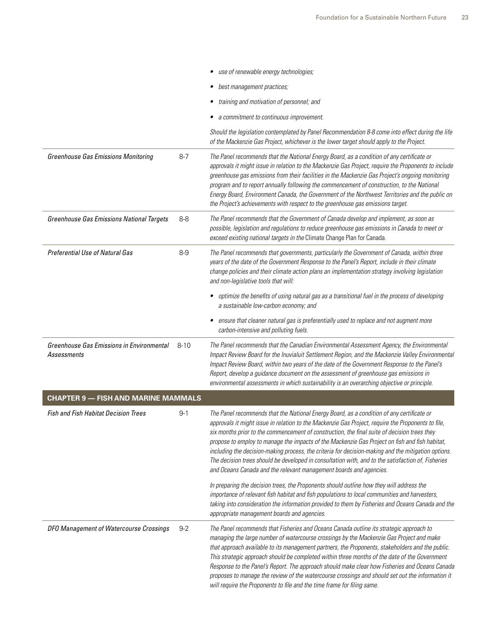|                                                                 |          | • use of renewable energy technologies;                                                                                                                                                                                                                                                                                                                                                                                                                                                                                                                                                                                                                                              |
|-----------------------------------------------------------------|----------|--------------------------------------------------------------------------------------------------------------------------------------------------------------------------------------------------------------------------------------------------------------------------------------------------------------------------------------------------------------------------------------------------------------------------------------------------------------------------------------------------------------------------------------------------------------------------------------------------------------------------------------------------------------------------------------|
|                                                                 |          | best management practices;                                                                                                                                                                                                                                                                                                                                                                                                                                                                                                                                                                                                                                                           |
|                                                                 |          | training and motivation of personnel; and<br>٠                                                                                                                                                                                                                                                                                                                                                                                                                                                                                                                                                                                                                                       |
|                                                                 |          | a commitment to continuous improvement.                                                                                                                                                                                                                                                                                                                                                                                                                                                                                                                                                                                                                                              |
|                                                                 |          | Should the legislation contemplated by Panel Recommendation 8-8 come into effect during the life<br>of the Mackenzie Gas Project, whichever is the lower target should apply to the Project.                                                                                                                                                                                                                                                                                                                                                                                                                                                                                         |
| <b>Greenhouse Gas Emissions Monitoring</b>                      | $8 - 7$  | The Panel recommends that the National Energy Board, as a condition of any certificate or<br>approvals it might issue in relation to the Mackenzie Gas Project, require the Proponents to include<br>greenhouse gas emissions from their facilities in the Mackenzie Gas Project's ongoing monitoring<br>program and to report annually following the commencement of construction, to the National<br>Energy Board, Environment Canada, the Government of the Northwest Territories and the public on<br>the Project's achievements with respect to the greenhouse gas emissions target.                                                                                            |
| <b>Greenhouse Gas Emissions National Targets</b>                | $8 - 8$  | The Panel recommends that the Government of Canada develop and implement, as soon as<br>possible, legislation and regulations to reduce greenhouse gas emissions in Canada to meet or<br>exceed existing national targets in the Climate Change Plan for Canada.                                                                                                                                                                                                                                                                                                                                                                                                                     |
| <b>Preferential Use of Natural Gas</b>                          | $8-9$    | The Panel recommends that governments, particularly the Government of Canada, within three<br>years of the date of the Government Response to the Panel's Report, include in their climate<br>change policies and their climate action plans an implementation strategy involving legislation<br>and non-legislative tools that will:                                                                                                                                                                                                                                                                                                                                                |
|                                                                 |          | optimize the benefits of using natural gas as a transitional fuel in the process of developing<br>a sustainable low-carbon economy; and                                                                                                                                                                                                                                                                                                                                                                                                                                                                                                                                              |
|                                                                 |          | ensure that cleaner natural gas is preferentially used to replace and not augment more<br>carbon-intensive and polluting fuels.                                                                                                                                                                                                                                                                                                                                                                                                                                                                                                                                                      |
| <b>Greenhouse Gas Emissions in Environmental</b><br>Assessments | $8 - 10$ | The Panel recommends that the Canadian Environmental Assessment Agency, the Environmental<br>Impact Review Board for the Inuvialuit Settlement Region, and the Mackenzie Valley Environmental<br>Impact Review Board, within two years of the date of the Government Response to the Panel's<br>Report, develop a guidance document on the assessment of greenhouse gas emissions in                                                                                                                                                                                                                                                                                                 |
| <b>CHAPTER 9 - FISH AND MARINE MAMMALS</b>                      |          | environmental assessments in which sustainability is an overarching objective or principle.                                                                                                                                                                                                                                                                                                                                                                                                                                                                                                                                                                                          |
| <b>Fish and Fish Habitat Decision Trees</b>                     | $9 - 1$  | The Panel recommends that the National Energy Board, as a condition of any certificate or<br>approvals it might issue in relation to the Mackenzie Gas Project, require the Proponents to file,<br>six months prior to the commencement of construction, the final suite of decision trees they<br>propose to employ to manage the impacts of the Mackenzie Gas Project on fish and fish habitat,<br>including the decision-making process, the criteria for decision-making and the mitigation options.<br>The decision trees should be developed in consultation with, and to the satisfaction of, Fisheries<br>and Oceans Canada and the relevant management boards and agencies. |
|                                                                 |          | In preparing the decision trees, the Proponents should outline how they will address the<br>importance of relevant fish habitat and fish populations to local communities and harvesters,<br>taking into consideration the information provided to them by Fisheries and Oceans Canada and the<br>appropriate management boards and agencies.                                                                                                                                                                                                                                                                                                                                        |
| DFO Management of Watercourse Crossings                         | $9 - 2$  | The Panel recommends that Fisheries and Oceans Canada outline its strategic approach to<br>managing the large number of watercourse crossings by the Mackenzie Gas Project and make<br>that approach available to its management partners, the Proponents, stakeholders and the public.<br>This strategic approach should be completed within three months of the date of the Government<br>Response to the Panel's Report. The approach should make clear how Fisheries and Oceans Canada<br>proposes to manage the review of the watercourse crossings and should set out the information it<br>will require the Proponents to file and the time frame for filing same.            |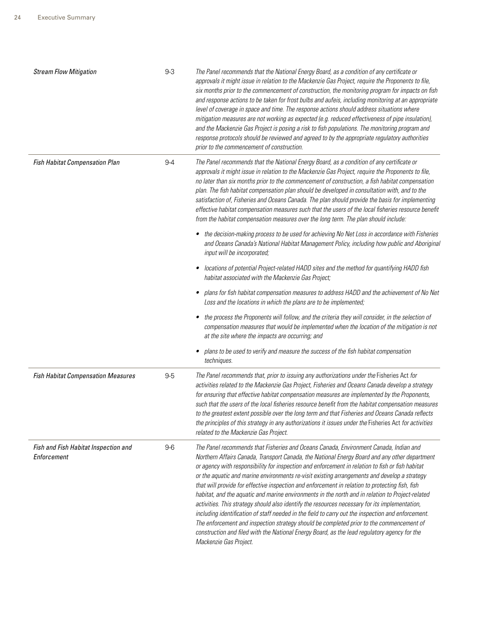| <b>Stream Flow Mitigation</b>                       | $9-3$   | The Panel recommends that the National Energy Board, as a condition of any certificate or<br>approvals it might issue in relation to the Mackenzie Gas Project, require the Proponents to file,<br>six months prior to the commencement of construction, the monitoring program for impacts on fish<br>and response actions to be taken for frost bulbs and aufeis, including monitoring at an appropriate<br>level of coverage in space and time. The response actions should address situations where<br>mitigation measures are not working as expected (e.g. reduced effectiveness of pipe insulation),<br>and the Mackenzie Gas Project is posing a risk to fish populations. The monitoring program and<br>response protocols should be reviewed and agreed to by the appropriate regulatory authorities<br>prior to the commencement of construction.                                                                                                                                                                    |
|-----------------------------------------------------|---------|---------------------------------------------------------------------------------------------------------------------------------------------------------------------------------------------------------------------------------------------------------------------------------------------------------------------------------------------------------------------------------------------------------------------------------------------------------------------------------------------------------------------------------------------------------------------------------------------------------------------------------------------------------------------------------------------------------------------------------------------------------------------------------------------------------------------------------------------------------------------------------------------------------------------------------------------------------------------------------------------------------------------------------|
| Fish Habitat Compensation Plan                      | $9 - 4$ | The Panel recommends that the National Energy Board, as a condition of any certificate or<br>approvals it might issue in relation to the Mackenzie Gas Project, require the Proponents to file,<br>no later than six months prior to the commencement of construction, a fish habitat compensation<br>plan. The fish habitat compensation plan should be developed in consultation with, and to the<br>satisfaction of, Fisheries and Oceans Canada. The plan should provide the basis for implementing<br>effective habitat compensation measures such that the users of the local fisheries resource benefit<br>from the habitat compensation measures over the long term. The plan should include:                                                                                                                                                                                                                                                                                                                           |
|                                                     |         | the decision-making process to be used for achieving No Net Loss in accordance with Fisheries<br>٠<br>and Oceans Canada's National Habitat Management Policy, including how public and Aboriginal<br>input will be incorporated;                                                                                                                                                                                                                                                                                                                                                                                                                                                                                                                                                                                                                                                                                                                                                                                                |
|                                                     |         | locations of potential Project-related HADD sites and the method for quantifying HADD fish<br>٠<br>habitat associated with the Mackenzie Gas Project;                                                                                                                                                                                                                                                                                                                                                                                                                                                                                                                                                                                                                                                                                                                                                                                                                                                                           |
|                                                     |         | plans for fish habitat compensation measures to address HADD and the achievement of No Net<br>٠<br>Loss and the locations in which the plans are to be implemented;                                                                                                                                                                                                                                                                                                                                                                                                                                                                                                                                                                                                                                                                                                                                                                                                                                                             |
|                                                     |         | the process the Proponents will follow, and the criteria they will consider, in the selection of<br>٠<br>compensation measures that would be implemented when the location of the mitigation is not<br>at the site where the impacts are occurring; and                                                                                                                                                                                                                                                                                                                                                                                                                                                                                                                                                                                                                                                                                                                                                                         |
|                                                     |         | plans to be used to verify and measure the success of the fish habitat compensation<br>techniques.                                                                                                                                                                                                                                                                                                                                                                                                                                                                                                                                                                                                                                                                                                                                                                                                                                                                                                                              |
| <b>Fish Habitat Compensation Measures</b>           | $9-5$   | The Panel recommends that, prior to issuing any authorizations under the Fisheries Act for<br>activities related to the Mackenzie Gas Project, Fisheries and Oceans Canada develop a strategy<br>for ensuring that effective habitat compensation measures are implemented by the Proponents,<br>such that the users of the local fisheries resource benefit from the habitat compensation measures<br>to the greatest extent possible over the long term and that Fisheries and Oceans Canada reflects<br>the principles of this strategy in any authorizations it issues under the Fisheries Act for activities<br>related to the Mackenzie Gas Project.                                                                                                                                                                                                                                                                                                                                                                      |
| Fish and Fish Habitat Inspection and<br>Enforcement | $9-6$   | The Panel recommends that Fisheries and Oceans Canada, Environment Canada, Indian and<br>Northern Affairs Canada, Transport Canada, the National Energy Board and any other department<br>or agency with responsibility for inspection and enforcement in relation to fish or fish habitat<br>or the aquatic and marine environments re-visit existing arrangements and develop a strategy<br>that will provide for effective inspection and enforcement in relation to protecting fish, fish<br>habitat, and the aquatic and marine environments in the north and in relation to Project-related<br>activities. This strategy should also identify the resources necessary for its implementation,<br>including identification of staff needed in the field to carry out the inspection and enforcement.<br>The enforcement and inspection strategy should be completed prior to the commencement of<br>construction and filed with the National Energy Board, as the lead regulatory agency for the<br>Mackenzie Gas Project. |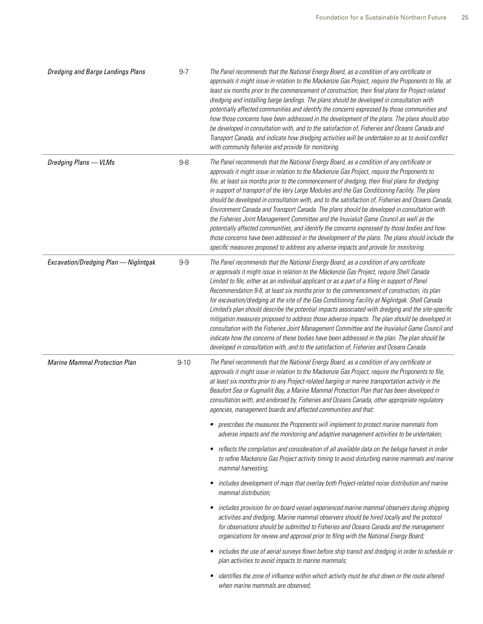| <b>Dredging and Barge Landings Plans</b> | $9 - 7$  | The Panel recommends that the National Energy Board, as a condition of any certificate or<br>approvals it might issue in relation to the Mackenzie Gas Project, require the Proponents to file, at<br>least six months prior to the commencement of construction, their final plans for Project-related<br>dredging and installing barge landings. The plans should be developed in consultation with<br>potentially affected communities and identify the concerns expressed by those communities and<br>how those concerns have been addressed in the development of the plans. The plans should also<br>be developed in consultation with, and to the satisfaction of, Fisheries and Oceans Canada and<br>Transport Canada, and indicate how dredging activities will be undertaken so as to avoid conflict<br>with community fisheries and provide for monitoring.                                                                                                                             |
|------------------------------------------|----------|----------------------------------------------------------------------------------------------------------------------------------------------------------------------------------------------------------------------------------------------------------------------------------------------------------------------------------------------------------------------------------------------------------------------------------------------------------------------------------------------------------------------------------------------------------------------------------------------------------------------------------------------------------------------------------------------------------------------------------------------------------------------------------------------------------------------------------------------------------------------------------------------------------------------------------------------------------------------------------------------------|
| Dredging Plans - VLMs                    | $9-8$    | The Panel recommends that the National Energy Board, as a condition of any certificate or<br>approvals it might issue in relation to the Mackenzie Gas Project, require the Proponents to<br>file, at least six months prior to the commencement of dredging, their final plans for dredging<br>in support of transport of the Very Large Modules and the Gas Conditioning Facility. The plans<br>should be developed in consultation with, and to the satisfaction of, Fisheries and Oceans Canada,<br>Environment Canada and Transport Canada. The plans should be developed in consultation with<br>the Fisheries Joint Management Committee and the Inuvialuit Game Council as well as the<br>potentially affected communities, and identify the concerns expressed by those bodies and how<br>those concerns have been addressed in the development of the plans. The plans should include the<br>specific measures proposed to address any adverse impacts and provide for monitoring.       |
| Excavation/Dredging Plan - Niglintgak    | $9-9$    | The Panel recommends that the National Energy Board, as a condition of any certificate<br>or approvals it might issue in relation to the Mackenzie Gas Project, require Shell Canada<br>Limited to file, either as an individual applicant or as a part of a filing in support of Panel<br>Recommendation 9-8, at least six months prior to the commencement of construction, its plan<br>for excavation/dredging at the site of the Gas Conditioning Facility at Niglintgak. Shell Canada<br>Limited's plan should describe the potential impacts associated with dredging and the site-specific<br>mitigation measures proposed to address those adverse impacts. The plan should be developed in<br>consultation with the Fisheries Joint Management Committee and the Inuvialuit Game Council and<br>indicate how the concerns of these bodies have been addressed in the plan. The plan should be<br>developed in consultation with, and to the satisfaction of, Fisheries and Oceans Canada. |
| <b>Marine Mammal Protection Plan</b>     | $9 - 10$ | The Panel recommends that the National Energy Board, as a condition of any certificate or<br>approvals it might issue in relation to the Mackenzie Gas Project, require the Proponents to file,<br>at least six months prior to any Project-related barging or marine transportation activity in the<br>Beaufort Sea or Kugmallit Bay, a Marine Mammal Protection Plan that has been developed in<br>consultation with, and endorsed by, Fisheries and Oceans Canada, other appropriate regulatory<br>agencies, management boards and affected communities and that:                                                                                                                                                                                                                                                                                                                                                                                                                               |
|                                          |          | • prescribes the measures the Proponents will implement to protect marine mammals from<br>adverse impacts and the monitoring and adaptive management activities to be undertaken;                                                                                                                                                                                                                                                                                                                                                                                                                                                                                                                                                                                                                                                                                                                                                                                                                  |
|                                          |          | reflects the compilation and consideration of all available data on the beluga harvest in order<br>٠<br>to refine Mackenzie Gas Project activity timing to avoid disturbing marine mammals and marine<br>mammal harvesting;                                                                                                                                                                                                                                                                                                                                                                                                                                                                                                                                                                                                                                                                                                                                                                        |
|                                          |          | includes development of maps that overlay both Project-related noise distribution and marine<br>٠<br>mammal distribution;                                                                                                                                                                                                                                                                                                                                                                                                                                                                                                                                                                                                                                                                                                                                                                                                                                                                          |
|                                          |          | includes provision for on-board vessel experienced marine mammal observers during shipping<br>٠<br>activities and dredging. Marine mammal observers should be hired locally and the protocol<br>for observations should be submitted to Fisheries and Oceans Canada and the management<br>organizations for review and approval prior to filing with the National Energy Board;                                                                                                                                                                                                                                                                                                                                                                                                                                                                                                                                                                                                                    |
|                                          |          | includes the use of aerial surveys flown before ship transit and dredging in order to schedule or<br>plan activities to avoid impacts to marine mammals;                                                                                                                                                                                                                                                                                                                                                                                                                                                                                                                                                                                                                                                                                                                                                                                                                                           |
|                                          |          | identifies the zone of influence within which activity must be shut down or the route altered<br>٠<br>when marine mammals are observed;                                                                                                                                                                                                                                                                                                                                                                                                                                                                                                                                                                                                                                                                                                                                                                                                                                                            |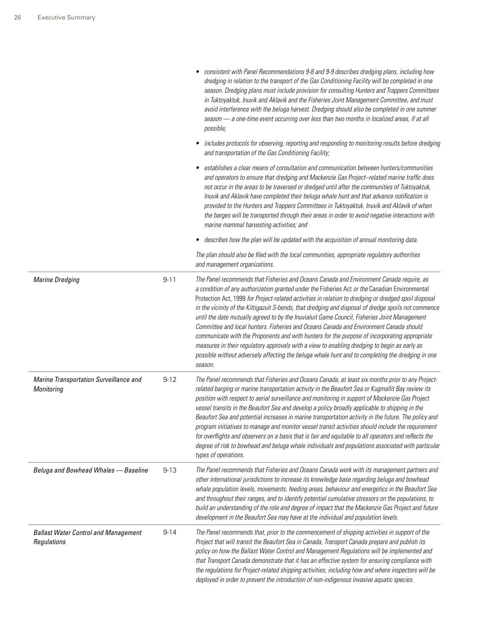|                                                            |          | consistent with Panel Recommendations 9-8 and 9-9 describes dredging plans, including how<br>dredging in relation to the transport of the Gas Conditioning Facility will be completed in one<br>season. Dredging plans must include provision for consulting Hunters and Trappers Committees<br>in Tuktoyaktuk, Inuvik and Aklavik and the Fisheries Joint Management Committee, and must<br>avoid interference with the beluga harvest. Dredging should also be completed in one summer<br>season - a one-time event occurring over less than two months in localized areas, if at all<br>possible;                                                                                                                                                                                                                                                                                                                  |
|------------------------------------------------------------|----------|-----------------------------------------------------------------------------------------------------------------------------------------------------------------------------------------------------------------------------------------------------------------------------------------------------------------------------------------------------------------------------------------------------------------------------------------------------------------------------------------------------------------------------------------------------------------------------------------------------------------------------------------------------------------------------------------------------------------------------------------------------------------------------------------------------------------------------------------------------------------------------------------------------------------------|
|                                                            |          | • includes protocols for observing, reporting and responding to monitoring results before dredging<br>and transportation of the Gas Conditioning Facility;                                                                                                                                                                                                                                                                                                                                                                                                                                                                                                                                                                                                                                                                                                                                                            |
|                                                            |          | establishes a clear means of consultation and communication between hunters/communities<br>and operators to ensure that dredging and Mackenzie Gas Project-related marine traffic does<br>not occur in the areas to be traversed or dredged until after the communities of Tuktoyaktuk,<br>Inuvik and Aklavik have completed their beluga whale hunt and that advance notification is<br>provided to the Hunters and Trappers Committees in Tuktoyaktuk, Inuvik and Aklavik of when<br>the barges will be transported through their areas in order to avoid negative interactions with<br>marine mammal harvesting activities; and                                                                                                                                                                                                                                                                                    |
|                                                            |          | • describes how the plan will be updated with the acquisition of annual monitoring data.                                                                                                                                                                                                                                                                                                                                                                                                                                                                                                                                                                                                                                                                                                                                                                                                                              |
|                                                            |          | The plan should also be filed with the local communities, appropriate regulatory authorities<br>and management organizations.                                                                                                                                                                                                                                                                                                                                                                                                                                                                                                                                                                                                                                                                                                                                                                                         |
| <b>Marine Dredging</b>                                     | $9 - 11$ | The Panel recommends that Fisheries and Oceans Canada and Environment Canada require, as<br>a condition of any authorization granted under the Fisheries Act or the Canadian Environmental<br>Protection Act, 1999 for Project-related activities in relation to dredging or dredged spoil disposal<br>in the vicinity of the Kittigazuit S-bends, that dredging and disposal of dredge spoils not commence<br>until the date mutually agreed to by the Inuvialuit Game Council, Fisheries Joint Management<br>Committee and local hunters. Fisheries and Oceans Canada and Environment Canada should<br>communicate with the Proponents and with hunters for the purpose of incorporating appropriate<br>measures in their regulatory approvals with a view to enabling dredging to begin as early as<br>possible without adversely affecting the beluga whale hunt and to completing the dredging in one<br>season. |
| Marine Transportation Surveillance and<br>Monitoring       | $9 - 12$ | The Panel recommends that Fisheries and Oceans Canada, at least six months prior to any Project-<br>related barging or marine transportation activity in the Beaufort Sea or Kugmallit Bay review its<br>position with respect to aerial surveillance and monitoring in support of Mackenzie Gas Project<br>vessel transits in the Beaufort Sea and develop a policy broadly applicable to shipping in the<br>Beaufort Sea and potential increases in marine transportation activity in the future. The policy and<br>program initiatives to manage and monitor vessel transit activities should include the requirement<br>for overflights and observers on a basis that is fair and equitable to all operators and reflects the<br>degree of risk to bowhead and beluga whale individuals and populations associated with particular<br>types of operations.                                                        |
| Beluga and Bowhead Whales - Baseline                       | $9 - 13$ | The Panel recommends that Fisheries and Oceans Canada work with its management partners and<br>other international jurisdictions to increase its knowledge base regarding beluga and bowhead<br>whale population levels, movements, feeding areas, behaviour and energetics in the Beaufort Sea<br>and throughout their ranges, and to identify potential cumulative stressors on the populations, to<br>build an understanding of the role and degree of impact that the Mackenzie Gas Project and future<br>development in the Beaufort Sea may have at the individual and population levels.                                                                                                                                                                                                                                                                                                                       |
| <b>Ballast Water Control and Management</b><br>Regulations | $9 - 14$ | The Panel recommends that, prior to the commencement of shipping activities in support of the<br>Project that will transit the Beaufort Sea in Canada, Transport Canada prepare and publish its<br>policy on how the Ballast Water Control and Management Regulations will be implemented and<br>that Transport Canada demonstrate that it has an effective system for ensuring compliance with<br>the regulations for Project-related shipping activities, including how and where inspectors will be<br>deployed in order to prevent the introduction of non-indigenous invasive aquatic species.                                                                                                                                                                                                                                                                                                                   |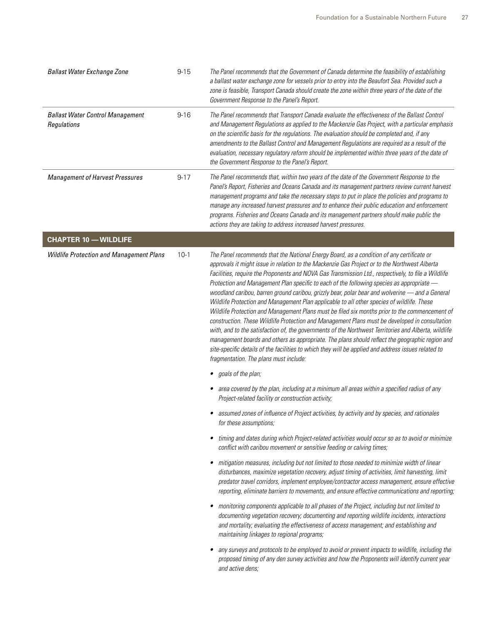| <b>Ballast Water Exchange Zone</b>                     | $9 - 15$ | The Panel recommends that the Government of Canada determine the feasibility of establishing<br>a ballast water exchange zone for vessels prior to entry into the Beaufort Sea. Provided such a<br>zone is feasible, Transport Canada should create the zone within three years of the date of the<br>Government Response to the Panel's Report.                                                                                                                                                                                                                                                                                                                                                                                                                                                                                                                                                                                                                                                                                                                                                                                                                |  |
|--------------------------------------------------------|----------|-----------------------------------------------------------------------------------------------------------------------------------------------------------------------------------------------------------------------------------------------------------------------------------------------------------------------------------------------------------------------------------------------------------------------------------------------------------------------------------------------------------------------------------------------------------------------------------------------------------------------------------------------------------------------------------------------------------------------------------------------------------------------------------------------------------------------------------------------------------------------------------------------------------------------------------------------------------------------------------------------------------------------------------------------------------------------------------------------------------------------------------------------------------------|--|
| <b>Ballast Water Control Management</b><br>Regulations | $9 - 16$ | The Panel recommends that Transport Canada evaluate the effectiveness of the Ballast Control<br>and Management Regulations as applied to the Mackenzie Gas Project, with a particular emphasis<br>on the scientific basis for the regulations. The evaluation should be completed and, if any<br>amendments to the Ballast Control and Management Regulations are required as a result of the<br>evaluation, necessary regulatory reform should be implemented within three years of the date of<br>the Government Response to the Panel's Report.                                                                                                                                                                                                                                                                                                                                                                                                                                                                                                                                                                                                              |  |
| <b>Management of Harvest Pressures</b>                 | $9 - 17$ | The Panel recommends that, within two years of the date of the Government Response to the<br>Panel's Report, Fisheries and Oceans Canada and its management partners review current harvest<br>management programs and take the necessary steps to put in place the policies and programs to<br>manage any increased harvest pressures and to enhance their public education and enforcement<br>programs. Fisheries and Oceans Canada and its management partners should make public the<br>actions they are taking to address increased harvest pressures.                                                                                                                                                                                                                                                                                                                                                                                                                                                                                                                                                                                                     |  |
| <b>CHAPTER 10 - WILDLIFE</b>                           |          |                                                                                                                                                                                                                                                                                                                                                                                                                                                                                                                                                                                                                                                                                                                                                                                                                                                                                                                                                                                                                                                                                                                                                                 |  |
| <b>Wildlife Protection and Management Plans</b>        | $10-1$   | The Panel recommends that the National Energy Board, as a condition of any certificate or<br>approvals it might issue in relation to the Mackenzie Gas Project or to the Northwest Alberta<br>Facilities, require the Proponents and NOVA Gas Transmission Ltd., respectively, to file a Wildlife<br>Protection and Management Plan specific to each of the following species as appropriate -<br>woodland caribou, barren ground caribou, grizzly bear, polar bear and wolverine - and a General<br>Wildlife Protection and Management Plan applicable to all other species of wildlife. These<br>Wildlife Protection and Management Plans must be filed six months prior to the commencement of<br>construction. These Wildlife Protection and Management Plans must be developed in consultation<br>with, and to the satisfaction of, the governments of the Northwest Territories and Alberta, wildlife<br>management boards and others as appropriate. The plans should reflect the geographic region and<br>site-specific details of the facilities to which they will be applied and address issues related to<br>fragmentation. The plans must include: |  |
|                                                        |          | • goals of the plan;                                                                                                                                                                                                                                                                                                                                                                                                                                                                                                                                                                                                                                                                                                                                                                                                                                                                                                                                                                                                                                                                                                                                            |  |
|                                                        |          | • area covered by the plan, including at a minimum all areas within a specified radius of any<br>Project-related facility or construction activity;                                                                                                                                                                                                                                                                                                                                                                                                                                                                                                                                                                                                                                                                                                                                                                                                                                                                                                                                                                                                             |  |
|                                                        |          | • assumed zones of influence of Project activities, by activity and by species, and rationales<br><i>tor these assumptions;</i>                                                                                                                                                                                                                                                                                                                                                                                                                                                                                                                                                                                                                                                                                                                                                                                                                                                                                                                                                                                                                                 |  |
|                                                        |          | • timing and dates during which Project-related activities would occur so as to avoid or minimize<br>conflict with caribou movement or sensitive feeding or calving times;                                                                                                                                                                                                                                                                                                                                                                                                                                                                                                                                                                                                                                                                                                                                                                                                                                                                                                                                                                                      |  |
|                                                        |          | mitigation measures, including but not limited to those needed to minimize width of linear<br>٠<br>disturbances, maximize vegetation recovery, adjust timing of activities, limit harvesting, limit<br>predator travel corridors, implement employee/contractor access management, ensure effective<br>reporting, eliminate barriers to movements, and ensure effective communications and reporting;                                                                                                                                                                                                                                                                                                                                                                                                                                                                                                                                                                                                                                                                                                                                                           |  |
|                                                        |          | • monitoring components applicable to all phases of the Project, including but not limited to<br>documenting vegetation recovery; documenting and reporting wildlife incidents, interactions<br>and mortality; evaluating the effectiveness of access management; and establishing and<br>maintaining linkages to regional programs;                                                                                                                                                                                                                                                                                                                                                                                                                                                                                                                                                                                                                                                                                                                                                                                                                            |  |
|                                                        |          | any surveys and protocols to be employed to avoid or prevent impacts to wildlife, including the<br>proposed timing of any den survey activities and how the Proponents will identify current year<br>and active dens;                                                                                                                                                                                                                                                                                                                                                                                                                                                                                                                                                                                                                                                                                                                                                                                                                                                                                                                                           |  |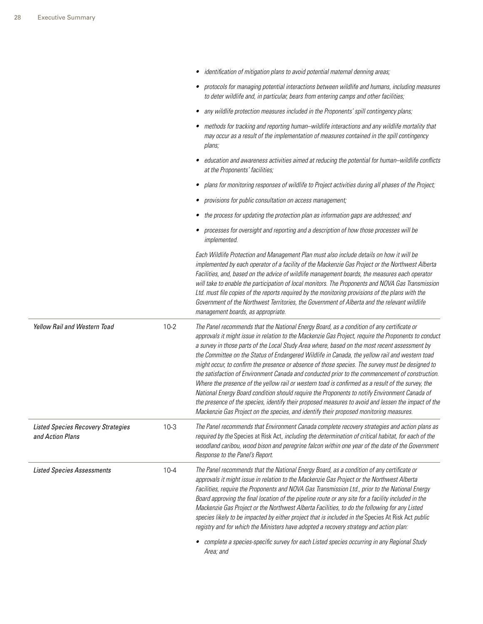|                                                               |          | • identification of mitigation plans to avoid potential maternal denning areas;                                                                                                                                                                                                                                                                                                                                                                                                                                                                                                                                                                                                                                                                                                                                                                                                                                                                                                                                    |
|---------------------------------------------------------------|----------|--------------------------------------------------------------------------------------------------------------------------------------------------------------------------------------------------------------------------------------------------------------------------------------------------------------------------------------------------------------------------------------------------------------------------------------------------------------------------------------------------------------------------------------------------------------------------------------------------------------------------------------------------------------------------------------------------------------------------------------------------------------------------------------------------------------------------------------------------------------------------------------------------------------------------------------------------------------------------------------------------------------------|
|                                                               |          | • protocols for managing potential interactions between wildlife and humans, including measures<br>to deter wildlife and, in particular, bears from entering camps and other facilities;                                                                                                                                                                                                                                                                                                                                                                                                                                                                                                                                                                                                                                                                                                                                                                                                                           |
|                                                               |          | • any wildlife protection measures included in the Proponents' spill contingency plans;                                                                                                                                                                                                                                                                                                                                                                                                                                                                                                                                                                                                                                                                                                                                                                                                                                                                                                                            |
|                                                               |          | • methods for tracking and reporting human-wildlife interactions and any wildlife mortality that<br>may occur as a result of the implementation of measures contained in the spill contingency<br>plans;                                                                                                                                                                                                                                                                                                                                                                                                                                                                                                                                                                                                                                                                                                                                                                                                           |
|                                                               |          | education and awareness activities aimed at reducing the potential for human-wildlife conflicts<br>at the Proponents' facilities;                                                                                                                                                                                                                                                                                                                                                                                                                                                                                                                                                                                                                                                                                                                                                                                                                                                                                  |
|                                                               |          | • plans for monitoring responses of wildlife to Project activities during all phases of the Project;                                                                                                                                                                                                                                                                                                                                                                                                                                                                                                                                                                                                                                                                                                                                                                                                                                                                                                               |
|                                                               |          | • provisions for public consultation on access management;                                                                                                                                                                                                                                                                                                                                                                                                                                                                                                                                                                                                                                                                                                                                                                                                                                                                                                                                                         |
|                                                               |          | • the process for updating the protection plan as information gaps are addressed; and                                                                                                                                                                                                                                                                                                                                                                                                                                                                                                                                                                                                                                                                                                                                                                                                                                                                                                                              |
|                                                               |          | • processes for oversight and reporting and a description of how those processes will be<br>implemented.                                                                                                                                                                                                                                                                                                                                                                                                                                                                                                                                                                                                                                                                                                                                                                                                                                                                                                           |
|                                                               |          | Each Wildlife Protection and Management Plan must also include details on how it will be<br>implemented by each operator of a facility of the Mackenzie Gas Project or the Northwest Alberta<br>Facilities, and, based on the advice of wildlife management boards, the measures each operator<br>will take to enable the participation of local monitors. The Proponents and NOVA Gas Transmission<br>Ltd. must file copies of the reports required by the monitoring provisions of the plans with the<br>Government of the Northwest Territories, the Government of Alberta and the relevant wildlife<br>management boards, as appropriate.                                                                                                                                                                                                                                                                                                                                                                      |
| Yellow Rail and Western Toad                                  | $10 - 2$ | The Panel recommends that the National Energy Board, as a condition of any certificate or<br>approvals it might issue in relation to the Mackenzie Gas Project, require the Proponents to conduct<br>a survey in those parts of the Local Study Area where, based on the most recent assessment by<br>the Committee on the Status of Endangered Wildlife in Canada, the yellow rail and western toad<br>might occur, to confirm the presence or absence of those species. The survey must be designed to<br>the satisfaction of Environment Canada and conducted prior to the commencement of construction.<br>Where the presence of the yellow rail or western toad is confirmed as a result of the survey, the<br>National Energy Board condition should require the Proponents to notify Environment Canada of<br>the presence of the species, identify their proposed measures to avoid and lessen the impact of the<br>Mackenzie Gas Project on the species, and identify their proposed monitoring measures. |
| <b>Listed Species Recovery Strategies</b><br>and Action Plans | $10-3$   | The Panel recommends that Environment Canada complete recovery strategies and action plans as<br>required by the Species at Risk Act, including the determination of critical habitat, for each of the<br>woodland caribou, wood bison and peregrine falcon within one year of the date of the Government<br>Response to the Panel's Report.                                                                                                                                                                                                                                                                                                                                                                                                                                                                                                                                                                                                                                                                       |
| <b>Listed Species Assessments</b>                             | $10 - 4$ | The Panel recommends that the National Energy Board, as a condition of any certificate or<br>approvals it might issue in relation to the Mackenzie Gas Project or the Northwest Alberta<br>Facilities, require the Proponents and NOVA Gas Transmission Ltd., prior to the National Energy<br>Board approving the final location of the pipeline route or any site for a facility included in the<br>Mackenzie Gas Project or the Northwest Alberta Facilities, to do the following for any Listed<br>species likely to be impacted by either project that is included in the Species At Risk Act public<br>registry and for which the Ministers have adopted a recovery strategy and action plan:<br>• complete a species-specific survey for each Listed species occurring in any Regional Study                                                                                                                                                                                                                 |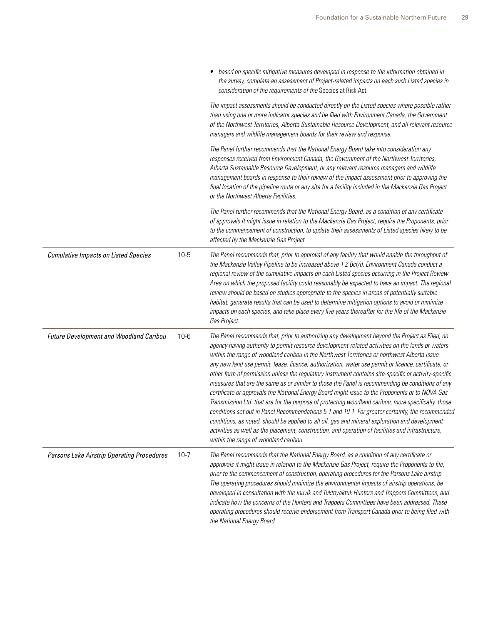|          | • based on specific mitigative measures developed in response to the information obtained in<br>the survey, complete an assessment of Project-related impacts on each such Listed species in<br>consideration of the requirements of the Species at Risk Act.                                                                                                                                                                                                                                                                                                                                                                                                                                                                                                                                                                                                                                                                                                                                                                                                                                                                                                                            |
|----------|------------------------------------------------------------------------------------------------------------------------------------------------------------------------------------------------------------------------------------------------------------------------------------------------------------------------------------------------------------------------------------------------------------------------------------------------------------------------------------------------------------------------------------------------------------------------------------------------------------------------------------------------------------------------------------------------------------------------------------------------------------------------------------------------------------------------------------------------------------------------------------------------------------------------------------------------------------------------------------------------------------------------------------------------------------------------------------------------------------------------------------------------------------------------------------------|
|          | The impact assessments should be conducted directly on the Listed species where possible rather<br>than using one or more indicator species and be filed with Environment Canada, the Government<br>of the Northwest Territories, Alberta Sustainable Resource Development, and all relevant resource<br>managers and wildlife management boards for their review and response.                                                                                                                                                                                                                                                                                                                                                                                                                                                                                                                                                                                                                                                                                                                                                                                                          |
|          | The Panel further recommends that the National Energy Board take into consideration any<br>responses received from Environment Canada, the Government of the Northwest Territories,<br>Alberta Sustainable Resource Development, or any relevant resource managers and wildlife<br>management boards in response to their review of the impact assessment prior to approving the<br>final location of the pipeline route or any site for a facility included in the Mackenzie Gas Project<br>or the Northwest Alberta Facilities.                                                                                                                                                                                                                                                                                                                                                                                                                                                                                                                                                                                                                                                        |
|          | The Panel further recommends that the National Energy Board, as a condition of any certificate<br>of approvals it might issue in relation to the Mackenzie Gas Project, require the Proponents, prior<br>to the commencement of construction, to update their assessments of Listed species likely to be<br>affected by the Mackenzie Gas Project.                                                                                                                                                                                                                                                                                                                                                                                                                                                                                                                                                                                                                                                                                                                                                                                                                                       |
| $10 - 5$ | The Panel recommends that, prior to approval of any facility that would enable the throughput of<br>the Mackenzie Valley Pipeline to be increased above 1.2 Bcf/d, Environment Canada conduct a<br>regional review of the cumulative impacts on each Listed species occurring in the Project Review<br>Area on which the proposed facility could reasonably be expected to have an impact. The regional<br>review should be based on studies appropriate to the species in areas of potentially suitable<br>habitat, generate results that can be used to determine mitigation options to avoid or minimize<br>impacts on each species, and take place every five years thereafter for the life of the Mackenzie<br>Gas Project.                                                                                                                                                                                                                                                                                                                                                                                                                                                         |
| $10 - 6$ | The Panel recommends that, prior to authorizing any development beyond the Project as Filed, no<br>agency having authority to permit resource development-related activities on the lands or waters<br>within the range of woodland caribou in the Northwest Territories or northwest Alberta issue<br>any new land use permit, lease, licence, authorization, water use permit or licence, certificate, or<br>other form of permission unless the regulatory instrument contains site-specific or activity-specific<br>measures that are the same as or similar to those the Panel is recommending be conditions of any<br>certificate or approvals the National Energy Board might issue to the Proponents or to NOVA Gas<br>Transmission Ltd. that are for the purpose of protecting woodland caribou, more specifically, those<br>conditions set out in Panel Recommendations 5-1 and 10-1. For greater certainty, the recommended<br>conditions, as noted, should be applied to all oil, gas and mineral exploration and development<br>activities as well as the placement, construction, and operation of facilities and infrastructure,<br>within the range of woodland caribou. |
| $10 - 7$ | The Panel recommends that the National Energy Board, as a condition of any certificate or<br>approvals it might issue in relation to the Mackenzie Gas Project, require the Proponents to file,<br>prior to the commencement of construction, operating procedures for the Parsons Lake airstrip.<br>The operating procedures should minimize the environmental impacts of airstrip operations, be<br>developed in consultation with the Inuvik and Tuktoyaktuk Hunters and Trappers Committees, and<br>indicate how the concerns of the Hunters and Trappers Committees have been addressed. These<br>operating procedures should receive endorsement from Transport Canada prior to being filed with<br>the National Energy Board.                                                                                                                                                                                                                                                                                                                                                                                                                                                     |
|          |                                                                                                                                                                                                                                                                                                                                                                                                                                                                                                                                                                                                                                                                                                                                                                                                                                                                                                                                                                                                                                                                                                                                                                                          |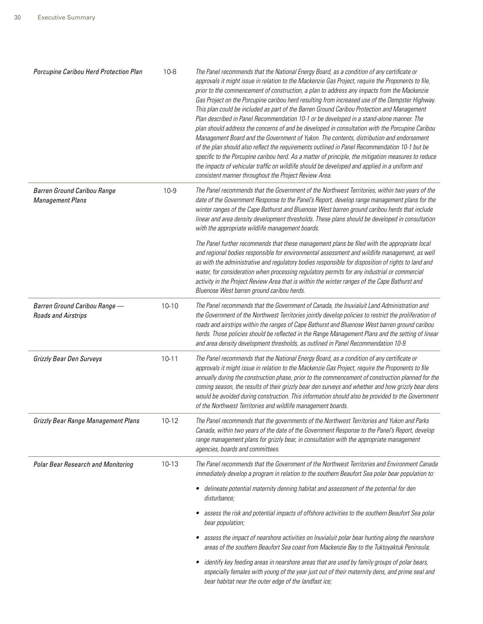| Porcupine Caribou Herd Protection Plan                        | $10 - 8$  | The Panel recommends that the National Energy Board, as a condition of any certificate or<br>approvals it might issue in relation to the Mackenzie Gas Project, require the Proponents to file,<br>prior to the commencement of construction, a plan to address any impacts from the Mackenzie<br>Gas Project on the Porcupine caribou herd resulting from increased use of the Dempster Highway.<br>This plan could be included as part of the Barren Ground Caribou Protection and Management<br>Plan described in Panel Recommendation 10-1 or be developed in a stand-alone manner. The<br>plan should address the concerns of and be developed in consultation with the Porcupine Caribou<br>Management Board and the Government of Yukon. The contents, distribution and endorsement<br>of the plan should also reflect the requirements outlined in Panel Recommendation 10-1 but be<br>specific to the Porcupine caribou herd. As a matter of principle, the mitigation measures to reduce<br>the impacts of vehicular traffic on wildlife should be developed and applied in a uniform and<br>consistent manner throughout the Project Review Area. |
|---------------------------------------------------------------|-----------|--------------------------------------------------------------------------------------------------------------------------------------------------------------------------------------------------------------------------------------------------------------------------------------------------------------------------------------------------------------------------------------------------------------------------------------------------------------------------------------------------------------------------------------------------------------------------------------------------------------------------------------------------------------------------------------------------------------------------------------------------------------------------------------------------------------------------------------------------------------------------------------------------------------------------------------------------------------------------------------------------------------------------------------------------------------------------------------------------------------------------------------------------------------|
| <b>Barren Ground Caribou Range</b><br><b>Management Plans</b> | $10 - 9$  | The Panel recommends that the Government of the Northwest Territories, within two years of the<br>date of the Government Response to the Panel's Report, develop range management plans for the<br>winter ranges of the Cape Bathurst and Bluenose West barren ground caribou herds that include<br>linear and area density development thresholds. These plans should be developed in consultation<br>with the appropriate wildlife management boards.                                                                                                                                                                                                                                                                                                                                                                                                                                                                                                                                                                                                                                                                                                      |
|                                                               |           | The Panel further recommends that these management plans be filed with the appropriate local<br>and regional bodies responsible for environmental assessment and wildlife management, as well<br>as with the administrative and regulatory bodies responsible for disposition of rights to land and<br>water, for consideration when processing regulatory permits for any industrial or commercial<br>activity in the Project Review Area that is within the winter ranges of the Cape Bathurst and<br>Bluenose West barren ground caribou herds.                                                                                                                                                                                                                                                                                                                                                                                                                                                                                                                                                                                                           |
| Barren Ground Caribou Range -<br><b>Roads and Airstrips</b>   | $10 - 10$ | The Panel recommends that the Government of Canada, the Inuvialuit Land Administration and<br>the Government of the Northwest Territories jointly develop policies to restrict the proliferation of<br>roads and airstrips within the ranges of Cape Bathurst and Bluenose West barren ground caribou<br>herds. Those policies should be reflected in the Range Management Plans and the setting of linear<br>and area density development thresholds, as outlined in Panel Recommendation 10-9.                                                                                                                                                                                                                                                                                                                                                                                                                                                                                                                                                                                                                                                             |
| <b>Grizzly Bear Den Surveys</b>                               | $10 - 11$ | The Panel recommends that the National Energy Board, as a condition of any certificate or<br>approvals it might issue in relation to the Mackenzie Gas Project, require the Proponents to file<br>annually during the construction phase, prior to the commencement of construction planned for the<br>coming season, the results of their grizzly bear den surveys and whether and how grizzly bear dens<br>would be avoided during construction. This information should also be provided to the Government<br>of the Northwest Territories and wildlife management boards.                                                                                                                                                                                                                                                                                                                                                                                                                                                                                                                                                                                |
| <b>Grizzly Bear Range Management Plans</b>                    | 10-12     | The Panel recommends that the governments of the Northwest Territories and Yukon and Parks<br>Canada, within two years of the date of the Government Response to the Panel's Report, develop<br>range management plans for grizzly bear, in consultation with the appropriate management<br>agencies, boards and committees.                                                                                                                                                                                                                                                                                                                                                                                                                                                                                                                                                                                                                                                                                                                                                                                                                                 |
| <b>Polar Bear Research and Monitoring</b>                     | 10-13     | The Panel recommends that the Government of the Northwest Territories and Environment Canada<br>immediately develop a program in relation to the southern Beaufort Sea polar bear population to:                                                                                                                                                                                                                                                                                                                                                                                                                                                                                                                                                                                                                                                                                                                                                                                                                                                                                                                                                             |
|                                                               |           | delineate potential maternity denning habitat and assessment of the potential for den<br>٠<br>disturbance;                                                                                                                                                                                                                                                                                                                                                                                                                                                                                                                                                                                                                                                                                                                                                                                                                                                                                                                                                                                                                                                   |
|                                                               |           | assess the risk and potential impacts of offshore activities to the southern Beaufort Sea polar<br>bear population;                                                                                                                                                                                                                                                                                                                                                                                                                                                                                                                                                                                                                                                                                                                                                                                                                                                                                                                                                                                                                                          |
|                                                               |           | assess the impact of nearshore activities on Inuvialuit polar bear hunting along the nearshore<br>$\bullet$<br>areas of the southern Beaufort Sea coast from Mackenzie Bay to the Tuktoyaktuk Peninsula;                                                                                                                                                                                                                                                                                                                                                                                                                                                                                                                                                                                                                                                                                                                                                                                                                                                                                                                                                     |
|                                                               |           | identify key feeding areas in nearshore areas that are used by family groups of polar bears,<br>$\bullet$<br>especially females with young of the year just out of their maternity dens, and prime seal and<br>bear habitat near the outer edge of the landfast ice;                                                                                                                                                                                                                                                                                                                                                                                                                                                                                                                                                                                                                                                                                                                                                                                                                                                                                         |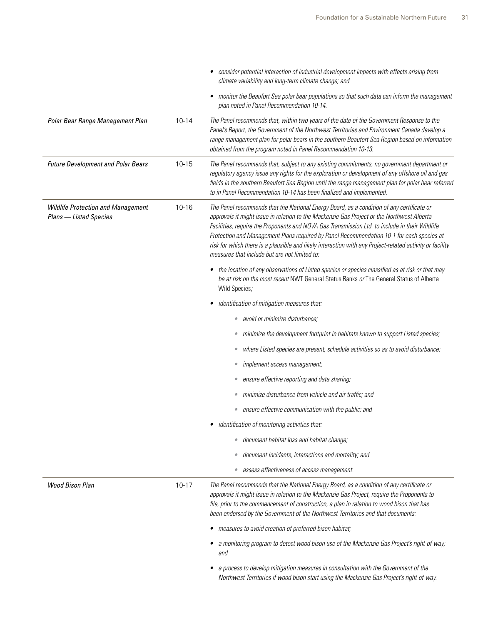|                                                                     |           | consider potential interaction of industrial development impacts with effects arising from<br>climate variability and long-term climate change; and                                                                                                                                                                                                                                                                                                                                                                                                 |
|---------------------------------------------------------------------|-----------|-----------------------------------------------------------------------------------------------------------------------------------------------------------------------------------------------------------------------------------------------------------------------------------------------------------------------------------------------------------------------------------------------------------------------------------------------------------------------------------------------------------------------------------------------------|
|                                                                     |           | • monitor the Beaufort Sea polar bear populations so that such data can inform the management<br>plan noted in Panel Recommendation 10-14.                                                                                                                                                                                                                                                                                                                                                                                                          |
| Polar Bear Range Management Plan                                    | $10 - 14$ | The Panel recommends that, within two years of the date of the Government Response to the<br>Panel's Report, the Government of the Northwest Territories and Environment Canada develop a<br>range management plan for polar bears in the southern Beaufort Sea Region based on information<br>obtained from the program noted in Panel Recommendation 10-13.                                                                                                                                                                                       |
| <b>Future Development and Polar Bears</b>                           | 10-15     | The Panel recommends that, subject to any existing commitments, no government department or<br>regulatory agency issue any rights for the exploration or development of any offshore oil and gas<br>fields in the southern Beaufort Sea Region until the range management plan for polar bear referred<br>to in Panel Recommendation 10-14 has been finalized and implemented.                                                                                                                                                                      |
| <b>Wildlife Protection and Management</b><br>Plans - Listed Species | 10-16     | The Panel recommends that the National Energy Board, as a condition of any certificate or<br>approvals it might issue in relation to the Mackenzie Gas Project or the Northwest Alberta<br>Facilities, require the Proponents and NOVA Gas Transmission Ltd. to include in their Wildlife<br>Protection and Management Plans required by Panel Recommendation 10-1 for each species at<br>risk for which there is a plausible and likely interaction with any Project-related activity or facility<br>measures that include but are not limited to: |
|                                                                     |           | the location of any observations of Listed species or species classified as at risk or that may<br>be at risk on the most recent NWT General Status Ranks or The General Status of Alberta<br>Wild Species;                                                                                                                                                                                                                                                                                                                                         |
|                                                                     |           | identification of mitigation measures that:                                                                                                                                                                                                                                                                                                                                                                                                                                                                                                         |
|                                                                     |           | avoid or minimize disturbance;<br>$\bullet$                                                                                                                                                                                                                                                                                                                                                                                                                                                                                                         |
|                                                                     |           | minimize the development footprint in habitats known to support Listed species;<br>$\bullet$                                                                                                                                                                                                                                                                                                                                                                                                                                                        |
|                                                                     |           | where Listed species are present, schedule activities so as to avoid disturbance;<br>۰                                                                                                                                                                                                                                                                                                                                                                                                                                                              |
|                                                                     |           | implement access management;<br>۰                                                                                                                                                                                                                                                                                                                                                                                                                                                                                                                   |
|                                                                     |           | ensure effective reporting and data sharing;<br>$\bullet$                                                                                                                                                                                                                                                                                                                                                                                                                                                                                           |
|                                                                     |           | minimize disturbance from vehicle and air traffic; and<br>$\bullet$                                                                                                                                                                                                                                                                                                                                                                                                                                                                                 |
|                                                                     |           | ensure effective communication with the public; and<br>$\bullet$                                                                                                                                                                                                                                                                                                                                                                                                                                                                                    |
|                                                                     |           | identification of monitoring activities that:                                                                                                                                                                                                                                                                                                                                                                                                                                                                                                       |
|                                                                     |           | document habitat loss and habitat change;<br>$\bullet$                                                                                                                                                                                                                                                                                                                                                                                                                                                                                              |
|                                                                     |           | document incidents, interactions and mortality; and<br>$\bullet$                                                                                                                                                                                                                                                                                                                                                                                                                                                                                    |
|                                                                     |           | assess effectiveness of access management.<br>$\bullet$                                                                                                                                                                                                                                                                                                                                                                                                                                                                                             |
| <b>Wood Bison Plan</b>                                              | $10 - 17$ | The Panel recommends that the National Energy Board, as a condition of any certificate or<br>approvals it might issue in relation to the Mackenzie Gas Project, require the Proponents to<br>file, prior to the commencement of construction, a plan in relation to wood bison that has<br>been endorsed by the Government of the Northwest Territories and that documents:                                                                                                                                                                         |
|                                                                     |           | • measures to avoid creation of preferred bison habitat;                                                                                                                                                                                                                                                                                                                                                                                                                                                                                            |
|                                                                     |           | a monitoring program to detect wood bison use of the Mackenzie Gas Project's right-of-way;<br>and                                                                                                                                                                                                                                                                                                                                                                                                                                                   |
|                                                                     |           | a process to develop mitigation measures in consultation with the Government of the<br>Northwest Territories if wood bison start using the Mackenzie Gas Project's right-of-way.                                                                                                                                                                                                                                                                                                                                                                    |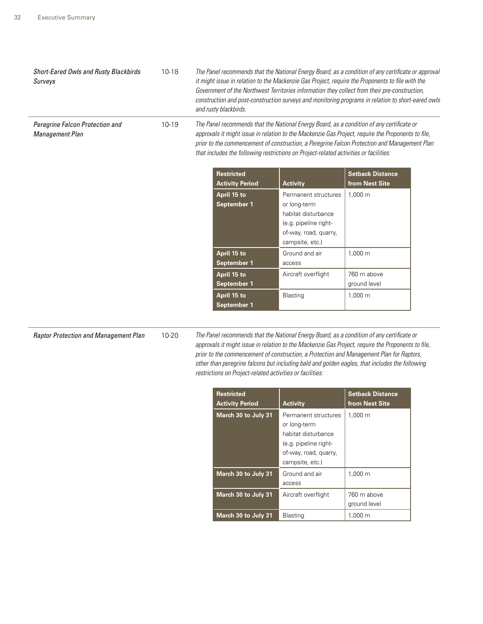| <b>Short-Eared Owls and Rusty Blackbirds</b><br>Surveys | $10 - 18$ | The Panel recommends that the National Energy Board, as a condition of any certificate or approval<br>it might issue in relation to the Mackenzie Gas Project, require the Proponents to file with the<br>Government of the Northwest Territories information they collect from their pre-construction,<br>construction and post-construction surveys and monitoring programs in relation to short-eared owls<br>and rusty blackbirds. |                                                                                                                                                                                                                                                                                                                                                                                          |                                                |                         |  |  |
|---------------------------------------------------------|-----------|----------------------------------------------------------------------------------------------------------------------------------------------------------------------------------------------------------------------------------------------------------------------------------------------------------------------------------------------------------------------------------------------------------------------------------------|------------------------------------------------------------------------------------------------------------------------------------------------------------------------------------------------------------------------------------------------------------------------------------------------------------------------------------------------------------------------------------------|------------------------------------------------|-------------------------|--|--|
| Peregrine Falcon Protection and<br>Management Plan      | 10-19     |                                                                                                                                                                                                                                                                                                                                                                                                                                        | The Panel recommends that the National Energy Board, as a condition of any certificate or<br>approvals it might issue in relation to the Mackenzie Gas Project, require the Proponents to file,<br>prior to the commencement of construction, a Peregrine Falcon Protection and Management Plan<br>that includes the following restrictions on Project-related activities or facilities: |                                                |                         |  |  |
|                                                         |           |                                                                                                                                                                                                                                                                                                                                                                                                                                        | <b>Restricted</b>                                                                                                                                                                                                                                                                                                                                                                        |                                                | <b>Setback Distance</b> |  |  |
|                                                         |           |                                                                                                                                                                                                                                                                                                                                                                                                                                        | <b>Activity Period</b>                                                                                                                                                                                                                                                                                                                                                                   | <b>Activity</b>                                | from Nest Site          |  |  |
|                                                         |           |                                                                                                                                                                                                                                                                                                                                                                                                                                        | April 15 to                                                                                                                                                                                                                                                                                                                                                                              | Permanent structures                           | 1,000 m                 |  |  |
|                                                         |           |                                                                                                                                                                                                                                                                                                                                                                                                                                        | September 1                                                                                                                                                                                                                                                                                                                                                                              | or long-term                                   |                         |  |  |
|                                                         |           |                                                                                                                                                                                                                                                                                                                                                                                                                                        |                                                                                                                                                                                                                                                                                                                                                                                          | habitat disturbance                            |                         |  |  |
|                                                         |           |                                                                                                                                                                                                                                                                                                                                                                                                                                        |                                                                                                                                                                                                                                                                                                                                                                                          | (e.g. pipeline right-<br>of-way, road, quarry, |                         |  |  |
|                                                         |           |                                                                                                                                                                                                                                                                                                                                                                                                                                        |                                                                                                                                                                                                                                                                                                                                                                                          | campsite, etc.)                                |                         |  |  |
|                                                         |           |                                                                                                                                                                                                                                                                                                                                                                                                                                        | April 15 to                                                                                                                                                                                                                                                                                                                                                                              | Ground and air                                 | 1,000 m                 |  |  |
|                                                         |           |                                                                                                                                                                                                                                                                                                                                                                                                                                        | September 1                                                                                                                                                                                                                                                                                                                                                                              | access                                         |                         |  |  |
|                                                         |           |                                                                                                                                                                                                                                                                                                                                                                                                                                        | April 15 to                                                                                                                                                                                                                                                                                                                                                                              | Aircraft overflight                            | 760 m above             |  |  |
|                                                         |           |                                                                                                                                                                                                                                                                                                                                                                                                                                        | September 1                                                                                                                                                                                                                                                                                                                                                                              |                                                | ground level            |  |  |
|                                                         |           |                                                                                                                                                                                                                                                                                                                                                                                                                                        | April 15 to                                                                                                                                                                                                                                                                                                                                                                              | Blasting                                       | 1,000 m                 |  |  |
|                                                         |           |                                                                                                                                                                                                                                                                                                                                                                                                                                        | <b>September 1</b>                                                                                                                                                                                                                                                                                                                                                                       |                                                |                         |  |  |

*Raptor Protection and Management Plan* 10-20 *The Panel recommends that the National Energy Board, as a condition of any certificate or approvals it might issue in relation to the Mackenzie Gas Project, require the Proponents to file, prior to the commencement of construction, a Protection and Management Plan for Raptors, other than peregrine falcons but including bald and golden eagles, that includes the following restrictions on Project-related activities or facilities:*

| <b>Restricted</b><br><b>Activity Period</b> | <b>Activity</b>                                                                                                                  | <b>Setback Distance</b><br>from Nest Site |
|---------------------------------------------|----------------------------------------------------------------------------------------------------------------------------------|-------------------------------------------|
| March 30 to July 31                         | Permanent structures<br>or long-term<br>habitat disturbance<br>(e.g. pipeline right-<br>of-way, road, quarry,<br>campsite, etc.) | 1,000 m                                   |
| March 30 to July 31                         | Ground and air<br>access                                                                                                         | 1,000 m                                   |
| March 30 to July 31                         | Aircraft overflight                                                                                                              | 760 m above<br>ground level               |
| March 30 to July 31                         | Blasting                                                                                                                         | 1,000 m                                   |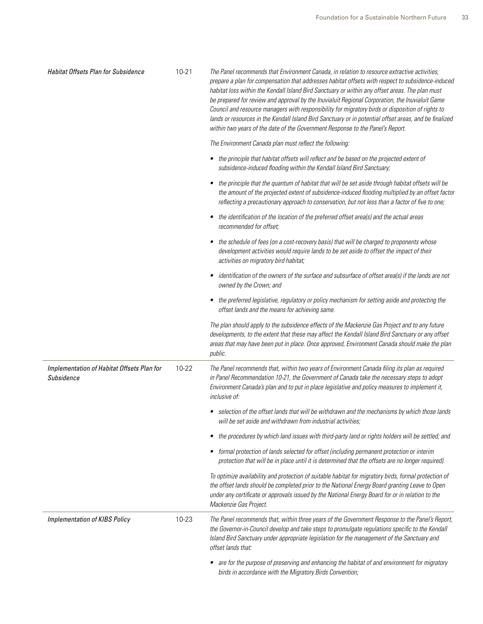| <b>Habitat Offsets Plan for Subsidence</b>               | $10 - 21$ | The Panel recommends that Environment Canada, in relation to resource extractive activities,<br>prepare a plan for compensation that addresses habitat offsets with respect to subsidence-induced<br>habitat loss within the Kendall Island Bird Sanctuary or within any offset areas. The plan must<br>be prepared for review and approval by the Inuvialuit Regional Corporation, the Inuvialuit Game<br>Council and resource managers with responsibility for migratory birds or disposition of rights to<br>lands or resources in the Kendall Island Bird Sanctuary or in potential offset areas, and be finalized<br>within two years of the date of the Government Response to the Panel's Report. |
|----------------------------------------------------------|-----------|----------------------------------------------------------------------------------------------------------------------------------------------------------------------------------------------------------------------------------------------------------------------------------------------------------------------------------------------------------------------------------------------------------------------------------------------------------------------------------------------------------------------------------------------------------------------------------------------------------------------------------------------------------------------------------------------------------|
|                                                          |           | The Environment Canada plan must reflect the following:                                                                                                                                                                                                                                                                                                                                                                                                                                                                                                                                                                                                                                                  |
|                                                          |           | • the principle that habitat offsets will reflect and be based on the projected extent of<br>subsidence-induced flooding within the Kendall Island Bird Sanctuary;                                                                                                                                                                                                                                                                                                                                                                                                                                                                                                                                       |
|                                                          |           | the principle that the quantum of habitat that will be set aside through habitat offsets will be<br>the amount of the projected extent of subsidence-induced flooding multiplied by an offset factor<br>reflecting a precautionary approach to conservation, but not less than a factor of five to one;                                                                                                                                                                                                                                                                                                                                                                                                  |
|                                                          |           | the identification of the location of the preferred offset area(s) and the actual areas<br>٠<br>recommended for offset:                                                                                                                                                                                                                                                                                                                                                                                                                                                                                                                                                                                  |
|                                                          |           | the schedule of fees (on a cost-recovery basis) that will be charged to proponents whose<br>٠<br>development activities would require lands to be set aside to offset the impact of their<br>activities on migratory bird habitat;                                                                                                                                                                                                                                                                                                                                                                                                                                                                       |
|                                                          |           | identification of the owners of the surface and subsurface of offset area(s) if the lands are not<br>٠<br>owned by the Crown; and                                                                                                                                                                                                                                                                                                                                                                                                                                                                                                                                                                        |
|                                                          |           | the preferred legislative, regulatory or policy mechanism for setting aside and protecting the<br>٠<br>offset lands and the means for achieving same.                                                                                                                                                                                                                                                                                                                                                                                                                                                                                                                                                    |
|                                                          |           | The plan should apply to the subsidence effects of the Mackenzie Gas Project and to any future<br>developments, to the extent that these may affect the Kendall Island Bird Sanctuary or any offset<br>areas that may have been put in place. Once approved, Environment Canada should make the plan<br>public.                                                                                                                                                                                                                                                                                                                                                                                          |
| Implementation of Habitat Offsets Plan for<br>Subsidence | 10-22     | The Panel recommends that, within two years of Environment Canada filing its plan as required<br>in Panel Recommendation 10-21, the Government of Canada take the necessary steps to adopt<br>Environment Canada's plan and to put in place legislative and policy measures to implement it,<br>inclusive of:                                                                                                                                                                                                                                                                                                                                                                                            |
|                                                          |           | • selection of the offset lands that will be withdrawn and the mechanisms by which those lands<br>will be set aside and withdrawn from industrial activities;                                                                                                                                                                                                                                                                                                                                                                                                                                                                                                                                            |
|                                                          |           | the procedures by which land issues with third-party land or rights holders will be settled; and<br>٠                                                                                                                                                                                                                                                                                                                                                                                                                                                                                                                                                                                                    |
|                                                          |           | • formal protection of lands selected for offset (including permanent protection or interim<br>protection that will be in place until it is determined that the offsets are no longer required).                                                                                                                                                                                                                                                                                                                                                                                                                                                                                                         |
|                                                          |           | To optimize availability and protection of suitable habitat for migratory birds, formal protection of<br>the offset lands should be completed prior to the National Energy Board granting Leave to Open<br>under any certificate or approvals issued by the National Energy Board for or in relation to the<br>Mackenzie Gas Project.                                                                                                                                                                                                                                                                                                                                                                    |
| <b>Implementation of KIBS Policy</b>                     | 10-23     | The Panel recommends that, within three years of the Government Response to the Panel's Report,<br>the Governor-in-Council develop and take steps to promulgate regulations specific to the Kendall<br>Island Bird Sanctuary under appropriate legislation for the management of the Sanctuary and<br>offset lands that:                                                                                                                                                                                                                                                                                                                                                                                 |
|                                                          |           | • are for the purpose of preserving and enhancing the habitat of and environment for migratory<br>birds in accordance with the Migratory Birds Convention;                                                                                                                                                                                                                                                                                                                                                                                                                                                                                                                                               |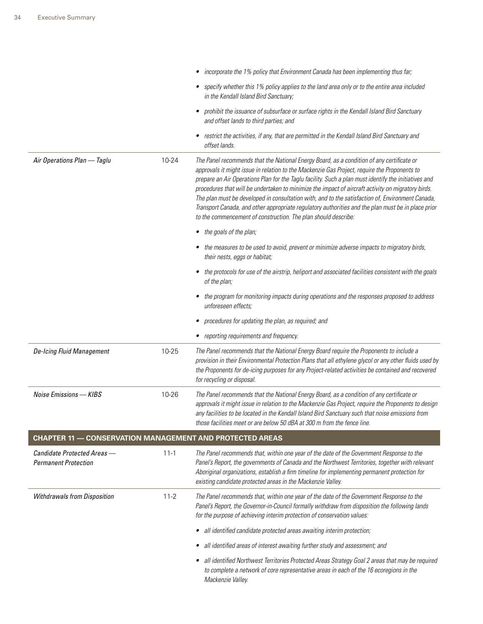|                                                                 |          | incorporate the 1% policy that Environment Canada has been implementing thus far;                                                                                                                                                                                                                                                                                                                                                                                                                                                                                                                                                                                                   |
|-----------------------------------------------------------------|----------|-------------------------------------------------------------------------------------------------------------------------------------------------------------------------------------------------------------------------------------------------------------------------------------------------------------------------------------------------------------------------------------------------------------------------------------------------------------------------------------------------------------------------------------------------------------------------------------------------------------------------------------------------------------------------------------|
|                                                                 |          | • specify whether this 1% policy applies to the land area only or to the entire area included<br>in the Kendall Island Bird Sanctuary;                                                                                                                                                                                                                                                                                                                                                                                                                                                                                                                                              |
|                                                                 |          | prohibit the issuance of subsurface or surface rights in the Kendall Island Bird Sanctuary<br>$\bullet$<br>and offset lands to third parties; and                                                                                                                                                                                                                                                                                                                                                                                                                                                                                                                                   |
|                                                                 |          | restrict the activities, if any, that are permitted in the Kendall Island Bird Sanctuary and<br>offset lands.                                                                                                                                                                                                                                                                                                                                                                                                                                                                                                                                                                       |
| Air Operations Plan - Taglu                                     | 10-24    | The Panel recommends that the National Energy Board, as a condition of any certificate or<br>approvals it might issue in relation to the Mackenzie Gas Project, require the Proponents to<br>prepare an Air Operations Plan for the Taglu facility. Such a plan must identify the initiatives and<br>procedures that will be undertaken to minimize the impact of aircraft activity on migratory birds.<br>The plan must be developed in consultation with, and to the satisfaction of, Environment Canada,<br>Transport Canada, and other appropriate regulatory authorities and the plan must be in place prior<br>to the commencement of construction. The plan should describe: |
|                                                                 |          | the goals of the plan;                                                                                                                                                                                                                                                                                                                                                                                                                                                                                                                                                                                                                                                              |
|                                                                 |          | the measures to be used to avoid, prevent or minimize adverse impacts to migratory birds,<br>their nests, eggs or habitat;                                                                                                                                                                                                                                                                                                                                                                                                                                                                                                                                                          |
|                                                                 |          | the protocols for use of the airstrip, heliport and associated facilities consistent with the goals<br>$\bullet$<br>of the plan;                                                                                                                                                                                                                                                                                                                                                                                                                                                                                                                                                    |
|                                                                 |          | the program for monitoring impacts during operations and the responses proposed to address<br>unforeseen effects;                                                                                                                                                                                                                                                                                                                                                                                                                                                                                                                                                                   |
|                                                                 |          | procedures for updating the plan, as required; and<br>٠                                                                                                                                                                                                                                                                                                                                                                                                                                                                                                                                                                                                                             |
|                                                                 |          |                                                                                                                                                                                                                                                                                                                                                                                                                                                                                                                                                                                                                                                                                     |
|                                                                 |          | reporting requirements and frequency.                                                                                                                                                                                                                                                                                                                                                                                                                                                                                                                                                                                                                                               |
| <b>De-Icing Fluid Management</b>                                | 10-25    | The Panel recommends that the National Energy Board require the Proponents to include a<br>provision in their Environmental Protection Plans that all ethylene glycol or any other fluids used by<br>the Proponents for de-icing purposes for any Project-related activities be contained and recovered<br>for recycling or disposal.                                                                                                                                                                                                                                                                                                                                               |
| Noise Emissions - KIBS                                          | 10-26    | The Panel recommends that the National Energy Board, as a condition of any certificate or<br>approvals it might issue in relation to the Mackenzie Gas Project, require the Proponents to design<br>any facilities to be located in the Kendall Island Bird Sanctuary such that noise emissions from<br>those facilities meet or are below 50 dBA at 300 m from the fence line.                                                                                                                                                                                                                                                                                                     |
| <b>CHAPTER 11 - CONSERVATION MANAGEMENT AND PROTECTED AREAS</b> |          |                                                                                                                                                                                                                                                                                                                                                                                                                                                                                                                                                                                                                                                                                     |
| Candidate Protected Areas -<br><b>Permanent Protection</b>      | $11 - 1$ | The Panel recommends that, within one year of the date of the Government Response to the<br>Panel's Report, the governments of Canada and the Northwest Territories, together with relevant<br>Aboriginal organizations, establish a firm timeline for implementing permanent protection for<br>existing candidate protected areas in the Mackenzie Valley.                                                                                                                                                                                                                                                                                                                         |
| <b>Withdrawals from Disposition</b>                             | $11 - 2$ | The Panel recommends that, within one year of the date of the Government Response to the<br>Panel's Report, the Governor-in-Council formally withdraw from disposition the following lands<br>for the purpose of achieving interim protection of conservation values:                                                                                                                                                                                                                                                                                                                                                                                                               |
|                                                                 |          | all identified candidate protected areas awaiting interim protection;                                                                                                                                                                                                                                                                                                                                                                                                                                                                                                                                                                                                               |
|                                                                 |          | all identified areas of interest awaiting further study and assessment; and                                                                                                                                                                                                                                                                                                                                                                                                                                                                                                                                                                                                         |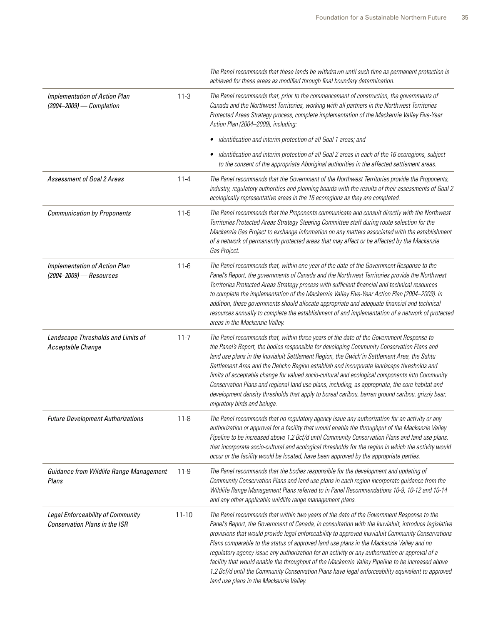|                                                                    |           | The Panel recommends that these lands be withdrawn until such time as permanent protection is<br>achieved for these areas as modified through final boundary determination.                                                                                                                                                                                                                                                                                                                                                                                                                                                                                                                                                                              |
|--------------------------------------------------------------------|-----------|----------------------------------------------------------------------------------------------------------------------------------------------------------------------------------------------------------------------------------------------------------------------------------------------------------------------------------------------------------------------------------------------------------------------------------------------------------------------------------------------------------------------------------------------------------------------------------------------------------------------------------------------------------------------------------------------------------------------------------------------------------|
| <b>Implementation of Action Plan</b><br>(2004-2009) - Completion   | $11-3$    | The Panel recommends that, prior to the commencement of construction, the governments of<br>Canada and the Northwest Territories, working with all partners in the Northwest Territories<br>Protected Areas Strategy process, complete implementation of the Mackenzie Valley Five-Year<br>Action Plan (2004-2009), including:                                                                                                                                                                                                                                                                                                                                                                                                                           |
|                                                                    |           | identification and interim protection of all Goal 1 areas; and                                                                                                                                                                                                                                                                                                                                                                                                                                                                                                                                                                                                                                                                                           |
|                                                                    |           | identification and interim protection of all Goal 2 areas in each of the 16 ecoregions, subject<br>٠<br>to the consent of the appropriate Aboriginal authorities in the affected settlement areas.                                                                                                                                                                                                                                                                                                                                                                                                                                                                                                                                                       |
| <b>Assessment of Goal 2 Areas</b>                                  | $11 - 4$  | The Panel recommends that the Government of the Northwest Territories provide the Proponents,<br>industry, regulatory authorities and planning boards with the results of their assessments of Goal 2<br>ecologically representative areas in the 16 ecoregions as they are completed.                                                                                                                                                                                                                                                                                                                                                                                                                                                                   |
| <b>Communication by Proponents</b>                                 | $11 - 5$  | The Panel recommends that the Proponents communicate and consult directly with the Northwest<br>Territories Protected Areas Strategy Steering Committee staff during route selection for the<br>Mackenzie Gas Project to exchange information on any matters associated with the establishment<br>of a network of permanently protected areas that may affect or be affected by the Mackenzie<br>Gas Project.                                                                                                                                                                                                                                                                                                                                            |
| <b>Implementation of Action Plan</b><br>(2004-2009) - Resources    | $11 - 6$  | The Panel recommends that, within one year of the date of the Government Response to the<br>Panel's Report, the governments of Canada and the Northwest Territories provide the Northwest<br>Territories Protected Areas Strategy process with sufficient financial and technical resources<br>to complete the implementation of the Mackenzie Valley Five-Year Action Plan (2004-2009). In<br>addition, these governments should allocate appropriate and adequate financial and technical<br>resources annually to complete the establishment of and implementation of a network of protected<br>areas in the Mackenzie Valley.                                                                                                                        |
| Landscape Thresholds and Limits of<br>Acceptable Change            | $11 - 7$  | The Panel recommends that, within three years of the date of the Government Response to<br>the Panel's Report, the bodies responsible for developing Community Conservation Plans and<br>land use plans in the Inuvialuit Settlement Region, the Gwich'in Settlement Area, the Sahtu<br>Settlement Area and the Dehcho Region establish and incorporate landscape thresholds and<br>limits of acceptable change for valued socio-cultural and ecological components into Community<br>Conservation Plans and regional land use plans, including, as appropriate, the core habitat and<br>development density thresholds that apply to boreal caribou, barren ground caribou, grizzly bear,<br>migratory birds and beluga.                                |
| <b>Future Development Authorizations</b>                           | $11 - 8$  | The Panel recommends that no regulatory agency issue any authorization for an activity or any<br>authorization or approval for a facility that would enable the throughput of the Mackenzie Valley<br>Pipeline to be increased above 1.2 Bcf/d until Community Conservation Plans and land use plans,<br>that incorporate socio-cultural and ecological thresholds for the region in which the activity would<br>occur or the facility would be located, have been approved by the appropriate parties.                                                                                                                                                                                                                                                  |
| Guidance from Wildlife Range Management<br>Plans                   | $11-9$    | The Panel recommends that the bodies responsible for the development and updating of<br>Community Conservation Plans and land use plans in each region incorporate guidance from the<br>Wildlife Range Management Plans referred to in Panel Recommendations 10-9, 10-12 and 10-14<br>and any other applicable wildlife range management plans.                                                                                                                                                                                                                                                                                                                                                                                                          |
| Legal Enforceability of Community<br>Conservation Plans in the ISR | $11 - 10$ | The Panel recommends that within two years of the date of the Government Response to the<br>Panel's Report, the Government of Canada, in consultation with the Inuvialuit, introduce legislative<br>provisions that would provide legal enforceability to approved Inuvialuit Community Conservations<br>Plans comparable to the status of approved land use plans in the Mackenzie Valley and no<br>regulatory agency issue any authorization for an activity or any authorization or approval of a<br>facility that would enable the throughput of the Mackenzie Valley Pipeline to be increased above<br>1.2 Bcf/d until the Community Conservation Plans have legal enforceability equivalent to approved<br>land use plans in the Mackenzie Valley. |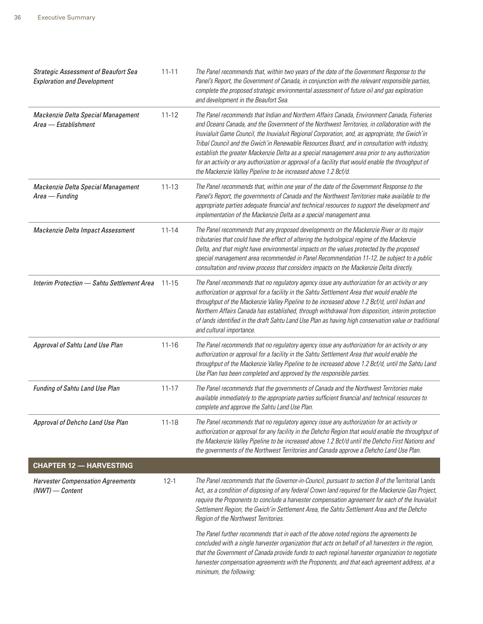| <b>Strategic Assessment of Beaufort Sea</b><br><b>Exploration and Development</b> | $11 - 11$ | The Panel recommends that, within two years of the date of the Government Response to the<br>Panel's Report, the Government of Canada, in conjunction with the relevant responsible parties,<br>complete the proposed strategic environmental assessment of future oil and gas exploration<br>and development in the Beaufort Sea.                                                                                                                                                                                                                                                                                                                                        |
|-----------------------------------------------------------------------------------|-----------|---------------------------------------------------------------------------------------------------------------------------------------------------------------------------------------------------------------------------------------------------------------------------------------------------------------------------------------------------------------------------------------------------------------------------------------------------------------------------------------------------------------------------------------------------------------------------------------------------------------------------------------------------------------------------|
| Mackenzie Delta Special Management<br>Area - Establishment                        | $11 - 12$ | The Panel recommends that Indian and Northern Affairs Canada, Environment Canada, Fisheries<br>and Oceans Canada, and the Government of the Northwest Territories, in collaboration with the<br>Inuvialuit Game Council, the Inuvialuit Regional Corporation, and, as appropriate, the Gwich'in<br>Tribal Council and the Gwich'in Renewable Resources Board, and in consultation with industry,<br>establish the greater Mackenzie Delta as a special management area prior to any authorization<br>for an activity or any authorization or approval of a facility that would enable the throughput of<br>the Mackenzie Valley Pipeline to be increased above 1.2 Bcf/d. |
| Mackenzie Delta Special Management<br>Area - Funding                              | $11 - 13$ | The Panel recommends that, within one year of the date of the Government Response to the<br>Panel's Report, the governments of Canada and the Northwest Territories make available to the<br>appropriate parties adequate financial and technical resources to support the development and<br>implementation of the Mackenzie Delta as a special management area.                                                                                                                                                                                                                                                                                                         |
| Mackenzie Delta Impact Assessment                                                 | $11 - 14$ | The Panel recommends that any proposed developments on the Mackenzie River or its major<br>tributaries that could have the effect of altering the hydrological regime of the Mackenzie<br>Delta, and that might have environmental impacts on the values protected by the proposed<br>special management area recommended in Panel Recommendation 11-12, be subject to a public<br>consultation and review process that considers impacts on the Mackenzie Delta directly.                                                                                                                                                                                                |
| Interim Protection - Sahtu Settlement Area                                        | 11-15     | The Panel recommends that no regulatory agency issue any authorization for an activity or any<br>authorization or approval for a facility in the Sahtu Settlement Area that would enable the<br>throughput of the Mackenzie Valley Pipeline to be increased above 1.2 Bcf/d, until Indian and<br>Northern Affairs Canada has established, through withdrawal from disposition, interim protection<br>of lands identified in the draft Sahtu Land Use Plan as having high conservation value or traditional<br>and cultural importance.                                                                                                                                    |
| Approval of Sahtu Land Use Plan                                                   | $11 - 16$ | The Panel recommends that no regulatory agency issue any authorization for an activity or any<br>authorization or approval for a facility in the Sahtu Settlement Area that would enable the<br>throughput of the Mackenzie Valley Pipeline to be increased above 1.2 Bcf/d, until the Sahtu Land<br>Use Plan has been completed and approved by the responsible parties.                                                                                                                                                                                                                                                                                                 |
| Funding of Sahtu Land Use Plan                                                    | $11 - 17$ | The Panel recommends that the governments of Canada and the Northwest Territories make<br>available immediately to the appropriate parties sufficient financial and technical resources to<br>complete and approve the Sahtu Land Use Plan.                                                                                                                                                                                                                                                                                                                                                                                                                               |
| Approval of Dehcho Land Use Plan                                                  | $11 - 18$ | The Panel recommends that no regulatory agency issue any authorization for an activity or<br>authorization or approval for any facility in the Dehcho Region that would enable the throughput of<br>the Mackenzie Valley Pipeline to be increased above 1.2 Bcf/d until the Dehcho First Nations and<br>the governments of the Northwest Territories and Canada approve a Dehcho Land Use Plan.                                                                                                                                                                                                                                                                           |
| <b>CHAPTER 12 - HARVESTING</b>                                                    |           |                                                                                                                                                                                                                                                                                                                                                                                                                                                                                                                                                                                                                                                                           |
| <b>Harvester Compensation Agreements</b><br>$(NWT)$ - Content                     | $12 - 1$  | The Panel recommends that the Governor-in-Council, pursuant to section 8 of the Territorial Lands<br>Act, as a condition of disposing of any federal Crown land required for the Mackenzie Gas Project,<br>require the Proponents to conclude a harvester compensation agreement for each of the Inuvialuit<br>Settlement Region, the Gwich'in Settlement Area, the Sahtu Settlement Area and the Dehcho<br>Region of the Northwest Territories.                                                                                                                                                                                                                          |
|                                                                                   |           | The Panel further recommends that in each of the above noted regions the agreements be<br>concluded with a single harvester organization that acts on behalf of all harvesters in the region,<br>that the Government of Canada provide funds to each regional harvester organization to negotiate<br>harvester compensation agreements with the Proponents, and that each agreement address, at a<br>minimum, the following:                                                                                                                                                                                                                                              |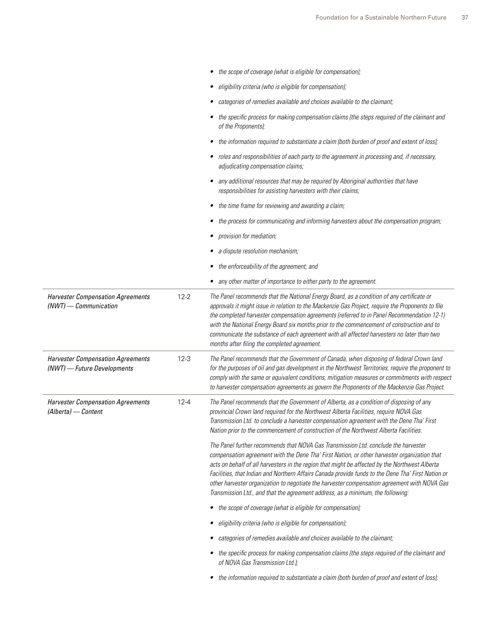|                                                                         |          | • the scope of coverage (what is eligible for compensation);                                                                                                                                                                                                                                                                                                                                                                                                                                                                                                                   |
|-------------------------------------------------------------------------|----------|--------------------------------------------------------------------------------------------------------------------------------------------------------------------------------------------------------------------------------------------------------------------------------------------------------------------------------------------------------------------------------------------------------------------------------------------------------------------------------------------------------------------------------------------------------------------------------|
|                                                                         |          | • eligibility criteria (who is eligible for compensation);                                                                                                                                                                                                                                                                                                                                                                                                                                                                                                                     |
|                                                                         |          | • categories of remedies available and choices available to the claimant;                                                                                                                                                                                                                                                                                                                                                                                                                                                                                                      |
|                                                                         |          | • the specific process for making compensation claims (the steps required of the claimant and<br>of the Proponents);                                                                                                                                                                                                                                                                                                                                                                                                                                                           |
|                                                                         |          | • the information required to substantiate a claim (both burden of proof and extent of loss);                                                                                                                                                                                                                                                                                                                                                                                                                                                                                  |
|                                                                         |          | • roles and responsibilities of each party to the agreement in processing and, if necessary,<br>adjudicating compensation claims;                                                                                                                                                                                                                                                                                                                                                                                                                                              |
|                                                                         |          | • any additional resources that may be required by Aboriginal authorities that have<br>responsibilities for assisting harvesters with their claims;                                                                                                                                                                                                                                                                                                                                                                                                                            |
|                                                                         |          | • the time frame for reviewing and awarding a claim;                                                                                                                                                                                                                                                                                                                                                                                                                                                                                                                           |
|                                                                         |          | • the process for communicating and informing harvesters about the compensation program;                                                                                                                                                                                                                                                                                                                                                                                                                                                                                       |
|                                                                         |          | • provision for mediation;                                                                                                                                                                                                                                                                                                                                                                                                                                                                                                                                                     |
|                                                                         |          | • a dispute resolution mechanism;                                                                                                                                                                                                                                                                                                                                                                                                                                                                                                                                              |
|                                                                         |          | • the enforceability of the agreement; and                                                                                                                                                                                                                                                                                                                                                                                                                                                                                                                                     |
|                                                                         |          | • any other matter of importance to either party to the agreement.                                                                                                                                                                                                                                                                                                                                                                                                                                                                                                             |
| <b>Harvester Compensation Agreements</b><br>(NWT) - Communication       | $12 - 2$ | The Panel recommends that the National Energy Board, as a condition of any certificate or<br>approvals it might issue in relation to the Mackenzie Gas Project, require the Proponents to file<br>the completed harvester compensation agreements (referred to in Panel Recommendation 12-1)<br>with the National Energy Board six months prior to the commencement of construction and to<br>communicate the substance of each agreement with all affected harvesters no later than two<br>months after filing the completed agreement.                                       |
| <b>Harvester Compensation Agreements</b><br>(NWT) - Future Developments | $12 - 3$ | The Panel recommends that the Government of Canada, when disposing of federal Crown land<br>for the purposes of oil and gas development in the Northwest Territories, require the proponent to<br>comply with the same or equivalent conditions, mitigation measures or commitments with respect<br>to harvester compensation agreements as govern the Proponents of the Mackenzie Gas Project.                                                                                                                                                                                |
| <b>Harvester Compensation Agreements</b><br>(Alberta) - Content         | $12 - 4$ | The Panel recommends that the Government of Alberta, as a condition of disposing of any<br>provincial Crown land required for the Northwest Alberta Facilities, require NOVA Gas<br>Transmission Ltd. to conclude a harvester compensation agreement with the Dene Tha' First<br>Nation prior to the commencement of construction of the Northwest Alberta Facilities.                                                                                                                                                                                                         |
|                                                                         |          | The Panel further recommends that NOVA Gas Transmission Ltd. conclude the harvester<br>compensation agreement with the Dene Tha' First Nation, or other harvester organization that<br>acts on behalf of all harvesters in the region that might be affected by the Northwest Alberta<br>Facilities, that Indian and Northern Affairs Canada provide funds to the Dene Tha' First Nation or<br>other harvester organization to negotiate the harvester compensation agreement with NOVA Gas<br>Transmission Ltd., and that the agreement address, as a minimum, the following: |
|                                                                         |          | • the scope of coverage (what is eligible for compensation);                                                                                                                                                                                                                                                                                                                                                                                                                                                                                                                   |
|                                                                         |          | • eligibility criteria (who is eligible for compensation);                                                                                                                                                                                                                                                                                                                                                                                                                                                                                                                     |
|                                                                         |          | • categories of remedies available and choices available to the claimant;                                                                                                                                                                                                                                                                                                                                                                                                                                                                                                      |
|                                                                         |          | • the specific process for making compensation claims (the steps required of the claimant and<br>of NOVA Gas Transmission Ltd.);                                                                                                                                                                                                                                                                                                                                                                                                                                               |
|                                                                         |          | • the information required to substantiate a claim (both burden of proof and extent of loss);                                                                                                                                                                                                                                                                                                                                                                                                                                                                                  |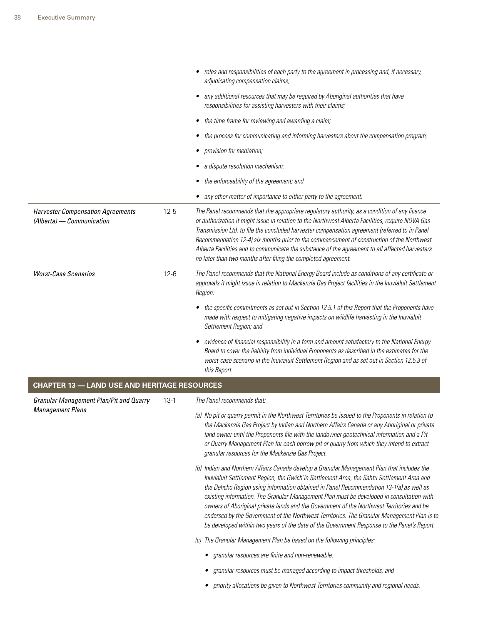|                                                                       |          | • roles and responsibilities of each party to the agreement in processing and, if necessary,<br>adjudicating compensation claims;                                                                                                                                                                                                                                                                                                                                                                                                                                                                                                                                           |
|-----------------------------------------------------------------------|----------|-----------------------------------------------------------------------------------------------------------------------------------------------------------------------------------------------------------------------------------------------------------------------------------------------------------------------------------------------------------------------------------------------------------------------------------------------------------------------------------------------------------------------------------------------------------------------------------------------------------------------------------------------------------------------------|
|                                                                       |          | any additional resources that may be required by Aboriginal authorities that have<br>٠<br>responsibilities for assisting harvesters with their claims;                                                                                                                                                                                                                                                                                                                                                                                                                                                                                                                      |
|                                                                       |          | the time frame for reviewing and awarding a claim;<br>$\bullet$                                                                                                                                                                                                                                                                                                                                                                                                                                                                                                                                                                                                             |
|                                                                       |          | the process for communicating and informing harvesters about the compensation program;<br>٠                                                                                                                                                                                                                                                                                                                                                                                                                                                                                                                                                                                 |
|                                                                       |          | provision for mediation;                                                                                                                                                                                                                                                                                                                                                                                                                                                                                                                                                                                                                                                    |
|                                                                       |          | a dispute resolution mechanism;                                                                                                                                                                                                                                                                                                                                                                                                                                                                                                                                                                                                                                             |
|                                                                       |          | the enforceability of the agreement; and                                                                                                                                                                                                                                                                                                                                                                                                                                                                                                                                                                                                                                    |
|                                                                       |          | • any other matter of importance to either party to the agreement.                                                                                                                                                                                                                                                                                                                                                                                                                                                                                                                                                                                                          |
| <b>Harvester Compensation Agreements</b><br>(Alberta) - Communication | $12 - 5$ | The Panel recommends that the appropriate regulatory authority, as a condition of any licence<br>or authorization it might issue in relation to the Northwest Alberta Facilities, require NOVA Gas<br>Transmission Ltd. to file the concluded harvester compensation agreement (referred to in Panel<br>Recommendation 12-4) six months prior to the commencement of construction of the Northwest<br>Alberta Facilities and to communicate the substance of the agreement to all affected harvesters<br>no later than two months after filing the completed agreement.                                                                                                     |
| <b>Worst-Case Scenarios</b>                                           | $12-6$   | The Panel recommends that the National Energy Board include as conditions of any certificate or<br>approvals it might issue in relation to Mackenzie Gas Project facilities in the Inuvialuit Settlement<br>Region:                                                                                                                                                                                                                                                                                                                                                                                                                                                         |
|                                                                       |          | • the specific commitments as set out in Section 12.5.1 of this Report that the Proponents have<br>made with respect to mitigating negative impacts on wildlife harvesting in the Inuvialuit<br>Settlement Region; and                                                                                                                                                                                                                                                                                                                                                                                                                                                      |
|                                                                       |          | evidence of financial responsibility in a form and amount satisfactory to the National Energy<br>٠<br>Board to cover the liability from individual Proponents as described in the estimates for the<br>worst-case scenario in the Inuvialuit Settlement Region and as set out in Section 12.5.3 of<br>this Report.                                                                                                                                                                                                                                                                                                                                                          |
| <b>CHAPTER 13 - LAND USE AND HERITAGE RESOURCES</b>                   |          |                                                                                                                                                                                                                                                                                                                                                                                                                                                                                                                                                                                                                                                                             |
| <b>Granular Management Plan/Pit and Quarry</b>                        | $13-1$   | The Panel recommends that:                                                                                                                                                                                                                                                                                                                                                                                                                                                                                                                                                                                                                                                  |
| <b>Management Plans</b>                                               |          | (a) No pit or quarry permit in the Northwest Territories be issued to the Proponents in relation to<br>the Mackenzie Gas Project by Indian and Northern Affairs Canada or any Aboriginal or private<br>land owner until the Proponents file with the landowner geotechnical information and a Pit<br>or Quarry Management Plan for each borrow pit or quarry from which they intend to extract<br>granular resources for the Mackenzie Gas Project.                                                                                                                                                                                                                         |
|                                                                       |          | (b) Indian and Northern Affairs Canada develop a Granular Management Plan that includes the<br>Inuvialuit Settlement Region, the Gwich'in Settlement Area, the Sahtu Settlement Area and<br>the Dehcho Region using information obtained in Panel Recommendation 13-1(a) as well as<br>existing information. The Granular Management Plan must be developed in consultation with<br>owners of Aboriginal private lands and the Government of the Northwest Territories and be<br>endorsed by the Government of the Northwest Territories. The Granular Management Plan is to<br>be developed within two years of the date of the Government Response to the Panel's Report. |
|                                                                       |          | (c) The Granular Management Plan be based on the following principles:                                                                                                                                                                                                                                                                                                                                                                                                                                                                                                                                                                                                      |
|                                                                       |          | granular resources are finite and non-renewable;                                                                                                                                                                                                                                                                                                                                                                                                                                                                                                                                                                                                                            |
|                                                                       |          | granular resources must be managed according to impact thresholds; and                                                                                                                                                                                                                                                                                                                                                                                                                                                                                                                                                                                                      |
|                                                                       |          |                                                                                                                                                                                                                                                                                                                                                                                                                                                                                                                                                                                                                                                                             |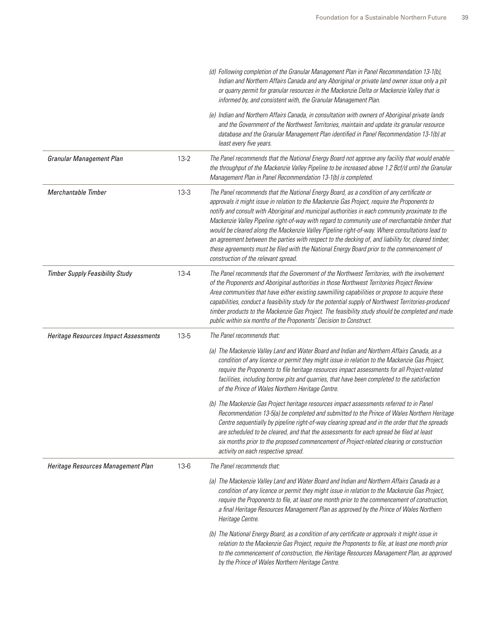|                                        |          | (d) Following completion of the Granular Management Plan in Panel Recommendation 13-1(b),<br>Indian and Northern Affairs Canada and any Aboriginal or private land owner issue only a pit<br>or quarry permit for granular resources in the Mackenzie Delta or Mackenzie Valley that is<br>informed by, and consistent with, the Granular Management Plan.                                                                                                                                                                                                                                                                                                                                                                                     |
|----------------------------------------|----------|------------------------------------------------------------------------------------------------------------------------------------------------------------------------------------------------------------------------------------------------------------------------------------------------------------------------------------------------------------------------------------------------------------------------------------------------------------------------------------------------------------------------------------------------------------------------------------------------------------------------------------------------------------------------------------------------------------------------------------------------|
|                                        |          | (e) Indian and Northern Affairs Canada, in consultation with owners of Aboriginal private lands<br>and the Government of the Northwest Territories, maintain and update its granular resource<br>database and the Granular Management Plan identified in Panel Recommendation 13-1(b) at<br>least every five years.                                                                                                                                                                                                                                                                                                                                                                                                                            |
| <b>Granular Management Plan</b>        | $13-2$   | The Panel recommends that the National Energy Board not approve any facility that would enable<br>the throughput of the Mackenzie Valley Pipeline to be increased above 1.2 Bcf/d until the Granular<br>Management Plan in Panel Recommendation 13-1(b) is completed.                                                                                                                                                                                                                                                                                                                                                                                                                                                                          |
| Merchantable Timber                    | $13-3$   | The Panel recommends that the National Energy Board, as a condition of any certificate or<br>approvals it might issue in relation to the Mackenzie Gas Project, require the Proponents to<br>notify and consult with Aboriginal and municipal authorities in each community proximate to the<br>Mackenzie Valley Pipeline right-of-way with regard to community use of merchantable timber that<br>would be cleared along the Mackenzie Valley Pipeline right-of-way. Where consultations lead to<br>an agreement between the parties with respect to the decking of, and liability for, cleared timber,<br>these agreements must be filed with the National Energy Board prior to the commencement of<br>construction of the relevant spread. |
| <b>Timber Supply Feasibility Study</b> | $13 - 4$ | The Panel recommends that the Government of the Northwest Territories, with the involvement<br>of the Proponents and Aboriginal authorities in those Northwest Territories Project Review<br>Area communities that have either existing sawmilling capabilities or propose to acquire these<br>capabilities, conduct a feasibility study for the potential supply of Northwest Territories-produced<br>timber products to the Mackenzie Gas Project. The feasibility study should be completed and made<br>public within six months of the Proponents' Decision to Construct.                                                                                                                                                                  |
| Heritage Resources Impact Assessments  | 13-5     | The Panel recommends that:                                                                                                                                                                                                                                                                                                                                                                                                                                                                                                                                                                                                                                                                                                                     |
|                                        |          | (a) The Mackenzie Valley Land and Water Board and Indian and Northern Affairs Canada, as a<br>condition of any licence or permit they might issue in relation to the Mackenzie Gas Project,<br>require the Proponents to file heritage resources impact assessments for all Project-related<br>facilities, including borrow pits and quarries, that have been completed to the satisfaction<br>of the Prince of Wales Northern Heritage Centre.                                                                                                                                                                                                                                                                                                |
|                                        |          | (b) The Mackenzie Gas Project heritage resources impact assessments referred to in Panel<br>Recommendation 13-5(a) be completed and submitted to the Prince of Wales Northern Heritage<br>Centre sequentially by pipeline right-of-way clearing spread and in the order that the spreads<br>are scheduled to be cleared, and that the assessments for each spread be filed at least<br>six months prior to the proposed commencement of Project-related clearing or construction<br>activity on each respective spread.                                                                                                                                                                                                                        |
| Heritage Resources Management Plan     | $13-6$   | The Panel recommends that:                                                                                                                                                                                                                                                                                                                                                                                                                                                                                                                                                                                                                                                                                                                     |
|                                        |          | (a) The Mackenzie Valley Land and Water Board and Indian and Northern Affairs Canada as a<br>condition of any licence or permit they might issue in relation to the Mackenzie Gas Project,<br>require the Proponents to file, at least one month prior to the commencement of construction,<br>a final Heritage Resources Management Plan as approved by the Prince of Wales Northern<br>Heritage Centre.                                                                                                                                                                                                                                                                                                                                      |
|                                        |          | (b) The National Energy Board, as a condition of any certificate or approvals it might issue in<br>relation to the Mackenzie Gas Project, require the Proponents to file, at least one month prior<br>to the commencement of construction, the Heritage Resources Management Plan, as approved<br>by the Prince of Wales Northern Heritage Centre.                                                                                                                                                                                                                                                                                                                                                                                             |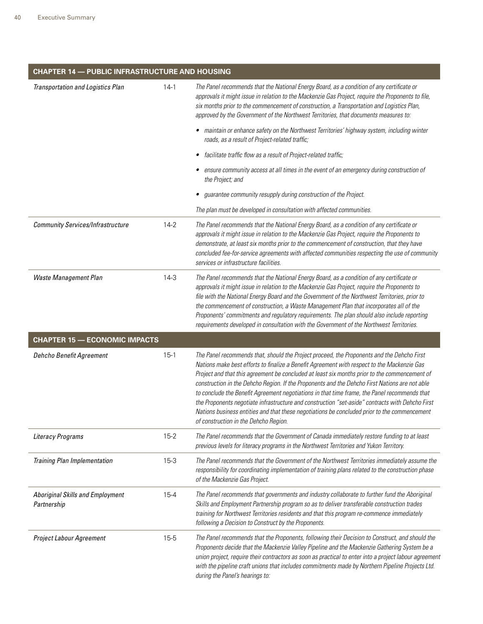| <b>CHAPTER 14 - PUBLIC INFRASTRUCTURE AND HOUSING</b>  |          |                                                                                                                                                                                                                                                                                                                                                                                                                                                                                                                                                                                                                                                                                                                                           |
|--------------------------------------------------------|----------|-------------------------------------------------------------------------------------------------------------------------------------------------------------------------------------------------------------------------------------------------------------------------------------------------------------------------------------------------------------------------------------------------------------------------------------------------------------------------------------------------------------------------------------------------------------------------------------------------------------------------------------------------------------------------------------------------------------------------------------------|
| <b>Transportation and Logistics Plan</b>               | $14-1$   | The Panel recommends that the National Energy Board, as a condition of any certificate or<br>approvals it might issue in relation to the Mackenzie Gas Project, require the Proponents to file,<br>six months prior to the commencement of construction, a Transportation and Logistics Plan,<br>approved by the Government of the Northwest Territories, that documents measures to:                                                                                                                                                                                                                                                                                                                                                     |
|                                                        |          | maintain or enhance safety on the Northwest Territories' highway system, including winter<br>roads, as a result of Project-related traffic;                                                                                                                                                                                                                                                                                                                                                                                                                                                                                                                                                                                               |
|                                                        |          | facilitate traffic flow as a result of Project-related traffic;                                                                                                                                                                                                                                                                                                                                                                                                                                                                                                                                                                                                                                                                           |
|                                                        |          | ensure community access at all times in the event of an emergency during construction of<br>the Project; and                                                                                                                                                                                                                                                                                                                                                                                                                                                                                                                                                                                                                              |
|                                                        |          | guarantee community resupply during construction of the Project.                                                                                                                                                                                                                                                                                                                                                                                                                                                                                                                                                                                                                                                                          |
|                                                        |          | The plan must be developed in consultation with affected communities.                                                                                                                                                                                                                                                                                                                                                                                                                                                                                                                                                                                                                                                                     |
| <b>Community Services/Infrastructure</b>               | $14-2$   | The Panel recommends that the National Energy Board, as a condition of any certificate or<br>approvals it might issue in relation to the Mackenzie Gas Project, require the Proponents to<br>demonstrate, at least six months prior to the commencement of construction, that they have<br>concluded fee-for-service agreements with affected communities respecting the use of community<br>services or infrastructure facilities.                                                                                                                                                                                                                                                                                                       |
| Waste Management Plan                                  | $14-3$   | The Panel recommends that the National Energy Board, as a condition of any certificate or<br>approvals it might issue in relation to the Mackenzie Gas Project, require the Proponents to<br>file with the National Energy Board and the Government of the Northwest Territories, prior to<br>the commencement of construction, a Waste Management Plan that incorporates all of the<br>Proponents' commitments and regulatory requirements. The plan should also include reporting<br>requirements developed in consultation with the Government of the Northwest Territories.                                                                                                                                                           |
| <b>CHAPTER 15 - ECONOMIC IMPACTS</b>                   |          |                                                                                                                                                                                                                                                                                                                                                                                                                                                                                                                                                                                                                                                                                                                                           |
| Dehcho Benefit Agreement                               | $15-1$   | The Panel recommends that, should the Project proceed, the Proponents and the Dehcho First<br>Nations make best efforts to finalize a Benefit Agreement with respect to the Mackenzie Gas<br>Project and that this agreement be concluded at least six months prior to the commencement of<br>construction in the Dehcho Region. If the Proponents and the Dehcho First Nations are not able<br>to conclude the Benefit Agreement negotiations in that time frame, the Panel recommends that<br>the Proponents negotiate infrastructure and construction "set-aside" contracts with Dehcho First<br>Nations business entities and that these negotiations be concluded prior to the commencement<br>of construction in the Dehcho Region. |
| Literacy Programs                                      | $15 - 2$ | The Panel recommends that the Government of Canada immediately restore funding to at least<br>previous levels for literacy programs in the Northwest Territories and Yukon Territory.                                                                                                                                                                                                                                                                                                                                                                                                                                                                                                                                                     |
| Training Plan Implementation                           | $15 - 3$ | The Panel recommends that the Government of the Northwest Territories immediately assume the<br>responsibility for coordinating implementation of training plans related to the construction phase<br>of the Mackenzie Gas Project.                                                                                                                                                                                                                                                                                                                                                                                                                                                                                                       |
| <b>Aboriginal Skills and Employment</b><br>Partnership | $15 - 4$ | The Panel recommends that governments and industry collaborate to further fund the Aboriginal<br>Skills and Employment Partnership program so as to deliver transferable construction trades<br>training for Northwest Territories residents and that this program re-commence immediately<br>following a Decision to Construct by the Proponents.                                                                                                                                                                                                                                                                                                                                                                                        |
| Project Labour Agreement                               | $15 - 5$ | The Panel recommends that the Proponents, following their Decision to Construct, and should the<br>Proponents decide that the Mackenzie Valley Pipeline and the Mackenzie Gathering System be a<br>union project, require their contractors as soon as practical to enter into a project labour agreement<br>with the pipeline craft unions that includes commitments made by Northern Pipeline Projects Ltd.<br>during the Panel's hearings to:                                                                                                                                                                                                                                                                                          |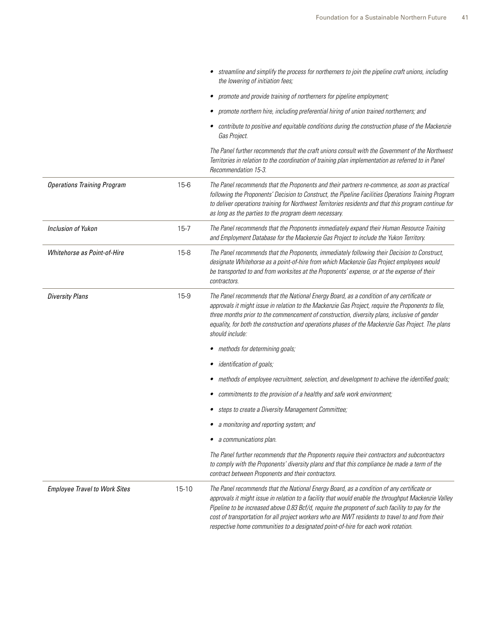|                                      |           | • streamline and simplify the process for northerners to join the pipeline craft unions, including<br>the lowering of initiation fees;                                                                                                                                                                                                                                                                                                                                                         |
|--------------------------------------|-----------|------------------------------------------------------------------------------------------------------------------------------------------------------------------------------------------------------------------------------------------------------------------------------------------------------------------------------------------------------------------------------------------------------------------------------------------------------------------------------------------------|
|                                      |           | promote and provide training of northerners for pipeline employment;<br>٠                                                                                                                                                                                                                                                                                                                                                                                                                      |
|                                      |           | promote northern hire, including preferential hiring of union trained northerners; and<br>٠                                                                                                                                                                                                                                                                                                                                                                                                    |
|                                      |           | • contribute to positive and equitable conditions during the construction phase of the Mackenzie<br>Gas Project.                                                                                                                                                                                                                                                                                                                                                                               |
|                                      |           | The Panel further recommends that the craft unions consult with the Government of the Northwest<br>Territories in relation to the coordination of training plan implementation as referred to in Panel<br>Recommendation 15-3.                                                                                                                                                                                                                                                                 |
| <b>Operations Training Program</b>   | $15-6$    | The Panel recommends that the Proponents and their partners re-commence, as soon as practical<br>following the Proponents' Decision to Construct, the Pipeline Facilities Operations Training Program<br>to deliver operations training for Northwest Territories residents and that this program continue for<br>as long as the parties to the program deem necessary.                                                                                                                        |
| <b>Inclusion of Yukon</b>            | $15 - 7$  | The Panel recommends that the Proponents immediately expand their Human Resource Training<br>and Employment Database for the Mackenzie Gas Project to include the Yukon Territory.                                                                                                                                                                                                                                                                                                             |
| Whitehorse as Point-of-Hire          | $15 - 8$  | The Panel recommends that the Proponents, immediately following their Decision to Construct,<br>designate Whitehorse as a point-of-hire from which Mackenzie Gas Project employees would<br>be transported to and from worksites at the Proponents' expense, or at the expense of their<br>contractors.                                                                                                                                                                                        |
| <b>Diversity Plans</b>               | $15-9$    | The Panel recommends that the National Energy Board, as a condition of any certificate or<br>approvals it might issue in relation to the Mackenzie Gas Project, require the Proponents to file,<br>three months prior to the commencement of construction, diversity plans, inclusive of gender<br>equality, for both the construction and operations phases of the Mackenzie Gas Project. The plans<br>should include:                                                                        |
|                                      |           | • methods for determining goals;                                                                                                                                                                                                                                                                                                                                                                                                                                                               |
|                                      |           | <i>identification of goals;</i>                                                                                                                                                                                                                                                                                                                                                                                                                                                                |
|                                      |           | • methods of employee recruitment, selection, and development to achieve the identified goals;                                                                                                                                                                                                                                                                                                                                                                                                 |
|                                      |           | commitments to the provision of a healthy and safe work environment;                                                                                                                                                                                                                                                                                                                                                                                                                           |
|                                      |           | steps to create a Diversity Management Committee;                                                                                                                                                                                                                                                                                                                                                                                                                                              |
|                                      |           | a monitoring and reporting system; and                                                                                                                                                                                                                                                                                                                                                                                                                                                         |
|                                      |           | • a communications plan.                                                                                                                                                                                                                                                                                                                                                                                                                                                                       |
|                                      |           | The Panel further recommends that the Proponents require their contractors and subcontractors<br>to comply with the Proponents' diversity plans and that this compliance be made a term of the<br>contract between Proponents and their contractors.                                                                                                                                                                                                                                           |
| <b>Employee Travel to Work Sites</b> | $15 - 10$ | The Panel recommends that the National Energy Board, as a condition of any certificate or<br>approvals it might issue in relation to a facility that would enable the throughput Mackenzie Valley<br>Pipeline to be increased above 0.83 Bcf/d, require the proponent of such facility to pay for the<br>cost of transportation for all project workers who are NWT residents to travel to and from their<br>respective home communities to a designated point-of-hire for each work rotation. |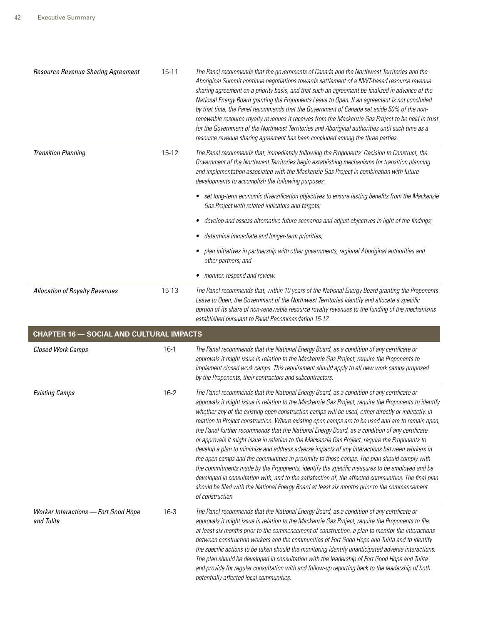| Resource Revenue Sharing Agreement              | $15 - 11$ | The Panel recommends that the governments of Canada and the Northwest Territories and the<br>Aboriginal Summit continue negotiations towards settlement of a NWT-based resource revenue<br>sharing agreement on a priority basis, and that such an agreement be finalized in advance of the<br>National Energy Board granting the Proponents Leave to Open. If an agreement is not concluded<br>by that time, the Panel recommends that the Government of Canada set aside 50% of the non-<br>renewable resource royalty revenues it receives from the Mackenzie Gas Project to be held in trust<br>for the Government of the Northwest Territories and Aboriginal authorities until such time as a<br>resource revenue sharing agreement has been concluded among the three parties. |
|-------------------------------------------------|-----------|---------------------------------------------------------------------------------------------------------------------------------------------------------------------------------------------------------------------------------------------------------------------------------------------------------------------------------------------------------------------------------------------------------------------------------------------------------------------------------------------------------------------------------------------------------------------------------------------------------------------------------------------------------------------------------------------------------------------------------------------------------------------------------------|
| <b>Transition Planning</b>                      | $15 - 12$ | The Panel recommends that, immediately following the Proponents' Decision to Construct, the<br>Government of the Northwest Territories begin establishing mechanisms for transition planning<br>and implementation associated with the Mackenzie Gas Project in combination with future<br>developments to accomplish the following purposes:                                                                                                                                                                                                                                                                                                                                                                                                                                         |
|                                                 |           | • set long-term economic diversification objectives to ensure lasting benefits from the Mackenzie<br>Gas Project with related indicators and targets;                                                                                                                                                                                                                                                                                                                                                                                                                                                                                                                                                                                                                                 |
|                                                 |           | develop and assess alternative future scenarios and adjust objectives in light of the findings;                                                                                                                                                                                                                                                                                                                                                                                                                                                                                                                                                                                                                                                                                       |
|                                                 |           | determine immediate and longer-term priorities;                                                                                                                                                                                                                                                                                                                                                                                                                                                                                                                                                                                                                                                                                                                                       |
|                                                 |           | plan initiatives in partnership with other governments, regional Aboriginal authorities and<br>other partners; and                                                                                                                                                                                                                                                                                                                                                                                                                                                                                                                                                                                                                                                                    |
|                                                 |           | • monitor, respond and review.                                                                                                                                                                                                                                                                                                                                                                                                                                                                                                                                                                                                                                                                                                                                                        |
| <b>Allocation of Royalty Revenues</b>           | 15-13     | The Panel recommends that, within 10 years of the National Energy Board granting the Proponents<br>Leave to Open, the Government of the Northwest Territories identify and allocate a specific<br>portion of its share of non-renewable resource royalty revenues to the funding of the mechanisms<br>established pursuant to Panel Recommendation 15-12.                                                                                                                                                                                                                                                                                                                                                                                                                             |
| <b>CHAPTER 16 - SOCIAL AND CULTURAL IMPACTS</b> |           |                                                                                                                                                                                                                                                                                                                                                                                                                                                                                                                                                                                                                                                                                                                                                                                       |
| <b>Closed Work Camps</b>                        | $16-1$    | The Panel recommends that the National Energy Board, as a condition of any certificate or<br>approvals it might issue in relation to the Mackenzie Gas Project, require the Proponents to<br>implement closed work camps. This requirement should apply to all new work camps proposed<br>by the Proponents, their contractors and subcontractors.                                                                                                                                                                                                                                                                                                                                                                                                                                    |
| <b>Existing Camps</b>                           | $16 - 2$  | The Panel recommends that the National Energy Board, as a condition of any certificate or<br>approvals it might issue in relation to the Mackenzie Gas Project, require the Proponents to identify<br>whether any of the existing open construction camps will be used, either directly or indirectly, in<br>relation to Project construction. Where existing open camps are to be used and are to remain open,<br>the Panel further recommends that the National Energy Board, as a condition of any certificate                                                                                                                                                                                                                                                                     |
|                                                 |           | or approvals it might issue in relation to the Mackenzie Gas Project, require the Proponents to<br>develop a plan to minimize and address adverse impacts of any interactions between workers in<br>the open camps and the communities in proximity to those camps. The plan should comply with<br>the commitments made by the Proponents, identify the specific measures to be employed and be<br>developed in consultation with, and to the satisfaction of, the affected communities. The final plan<br>should be filed with the National Energy Board at least six months prior to the commencement<br>of construction.                                                                                                                                                           |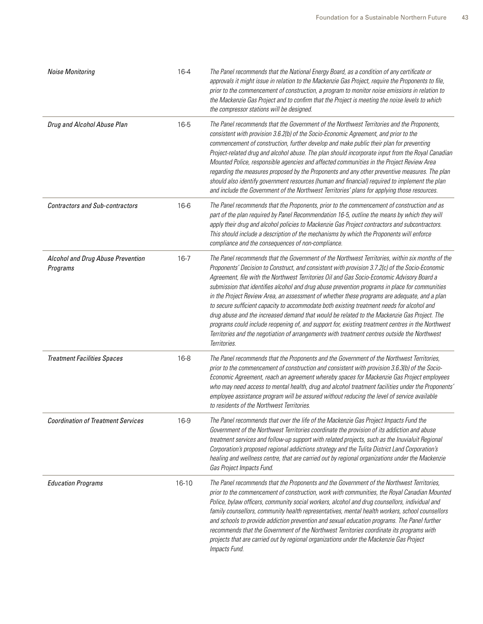| <b>Noise Monitoring</b>                       | 16-4      | The Panel recommends that the National Energy Board, as a condition of any certificate or<br>approvals it might issue in relation to the Mackenzie Gas Project, require the Proponents to file,<br>prior to the commencement of construction, a program to monitor noise emissions in relation to<br>the Mackenzie Gas Project and to confirm that the Project is meeting the noise levels to which<br>the compressor stations will be designed.                                                                                                                                                                                                                                                                                                                                                                                                                                                                     |
|-----------------------------------------------|-----------|----------------------------------------------------------------------------------------------------------------------------------------------------------------------------------------------------------------------------------------------------------------------------------------------------------------------------------------------------------------------------------------------------------------------------------------------------------------------------------------------------------------------------------------------------------------------------------------------------------------------------------------------------------------------------------------------------------------------------------------------------------------------------------------------------------------------------------------------------------------------------------------------------------------------|
| Drug and Alcohol Abuse Plan                   | $16 - 5$  | The Panel recommends that the Government of the Northwest Territories and the Proponents,<br>consistent with provision 3.6.2(b) of the Socio-Economic Agreement, and prior to the<br>commencement of construction, further develop and make public their plan for preventing<br>Project-related drug and alcohol abuse. The plan should incorporate input from the Royal Canadian<br>Mounted Police, responsible agencies and affected communities in the Project Review Area<br>regarding the measures proposed by the Proponents and any other preventive measures. The plan<br>should also identify government resources (human and financial) required to implement the plan<br>and include the Government of the Northwest Territories' plans for applying those resources.                                                                                                                                     |
| <b>Contractors and Sub-contractors</b>        | $16-6$    | The Panel recommends that the Proponents, prior to the commencement of construction and as<br>part of the plan required by Panel Recommendation 16-5, outline the means by which they will<br>apply their drug and alcohol policies to Mackenzie Gas Project contractors and subcontractors.<br>This should include a description of the mechanisms by which the Proponents will enforce<br>compliance and the consequences of non-compliance.                                                                                                                                                                                                                                                                                                                                                                                                                                                                       |
| Alcohol and Drug Abuse Prevention<br>Programs | $16 - 7$  | The Panel recommends that the Government of the Northwest Territories, within six months of the<br>Proponents' Decision to Construct, and consistent with provision 3.7.2(c) of the Socio-Economic<br>Agreement, file with the Northwest Territories Oil and Gas Socio-Economic Advisory Board a<br>submission that identifies alcohol and drug abuse prevention programs in place for communities<br>in the Project Review Area, an assessment of whether these programs are adequate, and a plan<br>to secure sufficient capacity to accommodate both existing treatment needs for alcohol and<br>drug abuse and the increased demand that would be related to the Mackenzie Gas Project. The<br>programs could include reopening of, and support for, existing treatment centres in the Northwest<br>Territories and the negotiation of arrangements with treatment centres outside the Northwest<br>Territories. |
| <b>Treatment Facilities Spaces</b>            | $16 - 8$  | The Panel recommends that the Proponents and the Government of the Northwest Territories,<br>prior to the commencement of construction and consistent with provision 3.6.3(b) of the Socio-<br>Economic Agreement, reach an agreement whereby spaces for Mackenzie Gas Project employees<br>who may need access to mental health, drug and alcohol treatment facilities under the Proponents'<br>employee assistance program will be assured without reducing the level of service available<br>to residents of the Northwest Territories.                                                                                                                                                                                                                                                                                                                                                                           |
| <b>Coordination of Treatment Services</b>     | 16-9      | The Panel recommends that over the life of the Mackenzie Gas Project Impacts Fund the<br>Government of the Northwest Territories coordinate the provision of its addiction and abuse<br>treatment services and follow-up support with related projects, such as the Inuvialuit Regional<br>Corporation's proposed regional addictions strategy and the Tulita District Land Corporation's<br>healing and wellness centre, that are carried out by regional organizations under the Mackenzie<br>Gas Project Impacts Fund.                                                                                                                                                                                                                                                                                                                                                                                            |
| <b>Education Programs</b>                     | $16 - 10$ | The Panel recommends that the Proponents and the Government of the Northwest Territories,<br>prior to the commencement of construction, work with communities, the Royal Canadian Mounted<br>Police, bylaw officers, community social workers, alcohol and drug counsellors, individual and<br>family counsellors, community health representatives, mental health workers, school counsellors<br>and schools to provide addiction prevention and sexual education programs. The Panel further<br>recommends that the Government of the Northwest Territories coordinate its programs with<br>projects that are carried out by regional organizations under the Mackenzie Gas Project<br>Impacts Fund.                                                                                                                                                                                                               |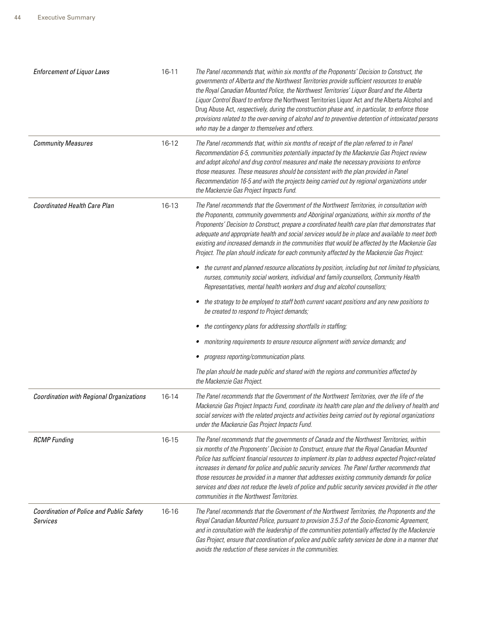| <b>Enforcement of Liquor Laws</b>                           | $16 - 11$ | The Panel recommends that, within six months of the Proponents' Decision to Construct, the<br>governments of Alberta and the Northwest Territories provide sufficient resources to enable<br>the Royal Canadian Mounted Police, the Northwest Territories' Liquor Board and the Alberta<br>Liquor Control Board to enforce the Northwest Territories Liquor Act and the Alberta Alcohol and<br>Drug Abuse Act, respectively, during the construction phase and, in particular, to enforce those<br>provisions related to the over-serving of alcohol and to preventive detention of intoxicated persons<br>who may be a danger to themselves and others. |
|-------------------------------------------------------------|-----------|----------------------------------------------------------------------------------------------------------------------------------------------------------------------------------------------------------------------------------------------------------------------------------------------------------------------------------------------------------------------------------------------------------------------------------------------------------------------------------------------------------------------------------------------------------------------------------------------------------------------------------------------------------|
| <b>Community Measures</b>                                   | $16-12$   | The Panel recommends that, within six months of receipt of the plan referred to in Panel<br>Recommendation 6-5, communities potentially impacted by the Mackenzie Gas Project review<br>and adopt alcohol and drug control measures and make the necessary provisions to enforce<br>those measures. These measures should be consistent with the plan provided in Panel<br>Recommendation 16-5 and with the projects being carried out by regional organizations under<br>the Mackenzie Gas Project Impacts Fund.                                                                                                                                        |
| <b>Coordinated Health Care Plan</b>                         | 16-13     | The Panel recommends that the Government of the Northwest Territories, in consultation with<br>the Proponents, community governments and Aboriginal organizations, within six months of the<br>Proponents' Decision to Construct, prepare a coordinated health care plan that demonstrates that<br>adequate and appropriate health and social services would be in place and available to meet both<br>existing and increased demands in the communities that would be affected by the Mackenzie Gas<br>Project. The plan should indicate for each community affected by the Mackenzie Gas Project:                                                      |
|                                                             |           | the current and planned resource allocations by position, including but not limited to physicians,<br>٠<br>nurses, community social workers, individual and family counsellors, Community Health<br>Representatives, mental health workers and drug and alcohol counsellors;                                                                                                                                                                                                                                                                                                                                                                             |
|                                                             |           | the strategy to be employed to staff both current vacant positions and any new positions to<br>٠<br>be created to respond to Project demands;                                                                                                                                                                                                                                                                                                                                                                                                                                                                                                            |
|                                                             |           | the contingency plans for addressing shortfalls in staffing;<br>٠                                                                                                                                                                                                                                                                                                                                                                                                                                                                                                                                                                                        |
|                                                             |           | monitoring requirements to ensure resource alignment with service demands; and<br>٠                                                                                                                                                                                                                                                                                                                                                                                                                                                                                                                                                                      |
|                                                             |           | progress reporting/communication plans.                                                                                                                                                                                                                                                                                                                                                                                                                                                                                                                                                                                                                  |
|                                                             |           | The plan should be made public and shared with the regions and communities affected by<br>the Mackenzie Gas Project.                                                                                                                                                                                                                                                                                                                                                                                                                                                                                                                                     |
| <b>Coordination with Regional Organizations</b>             | 16-14     | The Panel recommends that the Government of the Northwest Territories, over the life of the<br>Mackenzie Gas Project Impacts Fund, coordinate its health care plan and the delivery of health and<br>social services with the related projects and activities being carried out by regional organizations<br>under the Mackenzie Gas Project Impacts Fund.                                                                                                                                                                                                                                                                                               |
| <b>RCMP</b> Funding                                         | 16-15     | The Panel recommends that the governments of Canada and the Northwest Territories, within<br>six months of the Proponents' Decision to Construct, ensure that the Royal Canadian Mounted<br>Police has sufficient financial resources to implement its plan to address expected Project-related<br>increases in demand for police and public security services. The Panel further recommends that<br>those resources be provided in a manner that addresses existing community demands for police<br>services and does not reduce the levels of police and public security services provided in the other<br>communities in the Northwest Territories.   |
| <b>Coordination of Police and Public Safety</b><br>Services | 16-16     | The Panel recommends that the Government of the Northwest Territories, the Proponents and the<br>Royal Canadian Mounted Police, pursuant to provision 3.5.3 of the Socio-Economic Agreement,<br>and in consultation with the leadership of the communities potentially affected by the Mackenzie<br>Gas Project, ensure that coordination of police and public safety services be done in a manner that<br>avoids the reduction of these services in the communities.                                                                                                                                                                                    |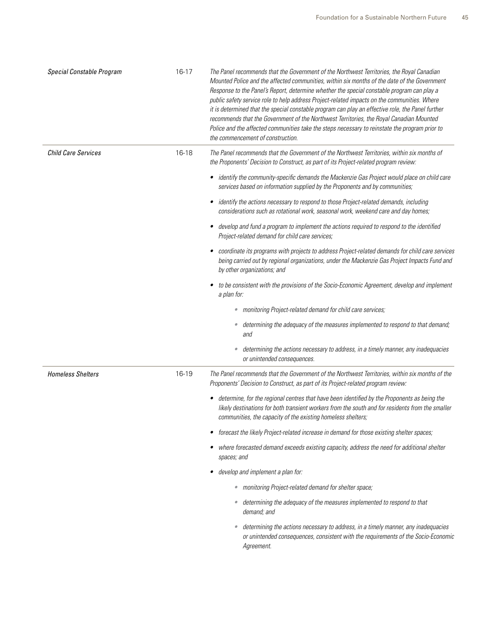| Special Constable Program  | 16-17 | The Panel recommends that the Government of the Northwest Territories, the Royal Canadian<br>Mounted Police and the affected communities, within six months of the date of the Government<br>Response to the Panel's Report, determine whether the special constable program can play a<br>public safety service role to help address Project-related impacts on the communities. Where<br>it is determined that the special constable program can play an effective role, the Panel further<br>recommends that the Government of the Northwest Territories, the Royal Canadian Mounted<br>Police and the affected communities take the steps necessary to reinstate the program prior to<br>the commencement of construction. |
|----------------------------|-------|--------------------------------------------------------------------------------------------------------------------------------------------------------------------------------------------------------------------------------------------------------------------------------------------------------------------------------------------------------------------------------------------------------------------------------------------------------------------------------------------------------------------------------------------------------------------------------------------------------------------------------------------------------------------------------------------------------------------------------|
| <b>Child Care Services</b> | 16-18 | The Panel recommends that the Government of the Northwest Territories, within six months of<br>the Proponents' Decision to Construct, as part of its Project-related program review:                                                                                                                                                                                                                                                                                                                                                                                                                                                                                                                                           |
|                            |       | • identify the community-specific demands the Mackenzie Gas Project would place on child care<br>services based on information supplied by the Proponents and by communities;                                                                                                                                                                                                                                                                                                                                                                                                                                                                                                                                                  |
|                            |       | • identify the actions necessary to respond to those Project-related demands, including<br>considerations such as rotational work, seasonal work, weekend care and day homes;                                                                                                                                                                                                                                                                                                                                                                                                                                                                                                                                                  |
|                            |       | develop and fund a program to implement the actions required to respond to the identified<br>٠<br>Project-related demand for child care services;                                                                                                                                                                                                                                                                                                                                                                                                                                                                                                                                                                              |
|                            |       | coordinate its programs with projects to address Project-related demands for child care services<br>being carried out by regional organizations, under the Mackenzie Gas Project Impacts Fund and<br>by other organizations; and                                                                                                                                                                                                                                                                                                                                                                                                                                                                                               |
|                            |       | to be consistent with the provisions of the Socio-Economic Agreement, develop and implement<br>a plan for:                                                                                                                                                                                                                                                                                                                                                                                                                                                                                                                                                                                                                     |
|                            |       | · monitoring Project-related demand for child care services;                                                                                                                                                                                                                                                                                                                                                                                                                                                                                                                                                                                                                                                                   |
|                            |       | • determining the adequacy of the measures implemented to respond to that demand;<br>and                                                                                                                                                                                                                                                                                                                                                                                                                                                                                                                                                                                                                                       |
|                            |       | determining the actions necessary to address, in a timely manner, any inadequacies<br>$\bullet$<br>or unintended consequences.                                                                                                                                                                                                                                                                                                                                                                                                                                                                                                                                                                                                 |
| <b>Homeless Shelters</b>   | 16-19 | The Panel recommends that the Government of the Northwest Territories, within six months of the<br>Proponents' Decision to Construct, as part of its Project-related program review:                                                                                                                                                                                                                                                                                                                                                                                                                                                                                                                                           |
|                            |       | • determine, for the regional centres that have been identified by the Proponents as being the<br>likely destinations for both transient workers from the south and for residents from the smaller<br>communities, the capacity of the existing homeless shelters;                                                                                                                                                                                                                                                                                                                                                                                                                                                             |
|                            |       | forecast the likely Project-related increase in demand for those existing shelter spaces;                                                                                                                                                                                                                                                                                                                                                                                                                                                                                                                                                                                                                                      |
|                            |       | where forecasted demand exceeds existing capacity, address the need for additional shelter<br>spaces; and                                                                                                                                                                                                                                                                                                                                                                                                                                                                                                                                                                                                                      |
|                            |       | develop and implement a plan for:                                                                                                                                                                                                                                                                                                                                                                                                                                                                                                                                                                                                                                                                                              |
|                            |       | · monitoring Project-related demand for shelter space;                                                                                                                                                                                                                                                                                                                                                                                                                                                                                                                                                                                                                                                                         |
|                            |       | • determining the adequacy of the measures implemented to respond to that<br>demand; and                                                                                                                                                                                                                                                                                                                                                                                                                                                                                                                                                                                                                                       |
|                            |       | determining the actions necessary to address, in a timely manner, any inadequacies<br>or unintended consequences, consistent with the requirements of the Socio-Economic<br>Agreement.                                                                                                                                                                                                                                                                                                                                                                                                                                                                                                                                         |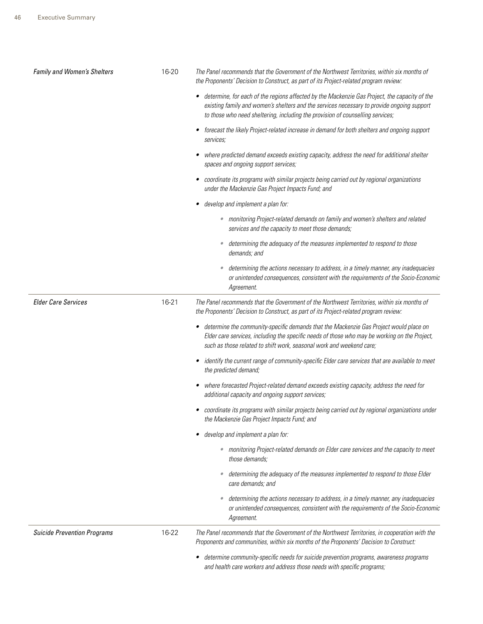| Family and Women's Shelters        | 16-20 | The Panel recommends that the Government of the Northwest Territories, within six months of<br>the Proponents' Decision to Construct, as part of its Project-related program review:                                                                                               |
|------------------------------------|-------|------------------------------------------------------------------------------------------------------------------------------------------------------------------------------------------------------------------------------------------------------------------------------------|
|                                    |       | determine, for each of the regions affected by the Mackenzie Gas Project, the capacity of the<br>٠<br>existing family and women's shelters and the services necessary to provide ongoing support<br>to those who need sheltering, including the provision of counselling services; |
|                                    |       | forecast the likely Project-related increase in demand for both shelters and ongoing support<br>services;                                                                                                                                                                          |
|                                    |       | where predicted demand exceeds existing capacity, address the need for additional shelter<br>spaces and ongoing support services;                                                                                                                                                  |
|                                    |       | coordinate its programs with similar projects being carried out by regional organizations<br>٠<br>under the Mackenzie Gas Project Impacts Fund; and                                                                                                                                |
|                                    |       | develop and implement a plan for:<br>٠                                                                                                                                                                                                                                             |
|                                    |       | · monitoring Project-related demands on family and women's shelters and related<br>services and the capacity to meet those demands;                                                                                                                                                |
|                                    |       | determining the adequacy of the measures implemented to respond to those<br>$\bullet$<br>demands; and                                                                                                                                                                              |
|                                    |       | determining the actions necessary to address, in a timely manner, any inadequacies<br>$\bullet$<br>or unintended consequences, consistent with the requirements of the Socio-Economic<br>Agreement.                                                                                |
| <b>Elder Care Services</b>         | 16-21 | The Panel recommends that the Government of the Northwest Territories, within six months of<br>the Proponents' Decision to Construct, as part of its Project-related program review:                                                                                               |
|                                    |       | determine the community-specific demands that the Mackenzie Gas Project would place on<br>٠<br>Elder care services, including the specific needs of those who may be working on the Project,<br>such as those related to shift work, seasonal work and weekend care;               |
|                                    |       | identify the current range of community-specific Elder care services that are available to meet<br>٠<br>the predicted demand;                                                                                                                                                      |
|                                    |       | where forecasted Project-related demand exceeds existing capacity, address the need for<br>٠<br>additional capacity and ongoing support services;                                                                                                                                  |
|                                    |       | coordinate its programs with similar projects being carried out by regional organizations under<br>the Mackenzie Gas Project Impacts Fund; and                                                                                                                                     |
|                                    |       | develop and implement a plan for:                                                                                                                                                                                                                                                  |
|                                    |       | • monitoring Project-related demands on Elder care services and the capacity to meet<br>those demands:                                                                                                                                                                             |
|                                    |       | determining the adequacy of the measures implemented to respond to those Elder<br>care demands; and                                                                                                                                                                                |
|                                    |       | determining the actions necessary to address, in a timely manner, any inadequacies<br>$\bullet$<br>or unintended consequences, consistent with the requirements of the Socio-Economic<br>Agreement.                                                                                |
| <b>Suicide Prevention Programs</b> | 16-22 | The Panel recommends that the Government of the Northwest Territories, in cooperation with the<br>Proponents and communities, within six months of the Proponents' Decision to Construct:                                                                                          |
|                                    |       | determine community-specific needs for suicide prevention programs, awareness programs<br>٠<br>and health care workers and address those needs with specific programs;                                                                                                             |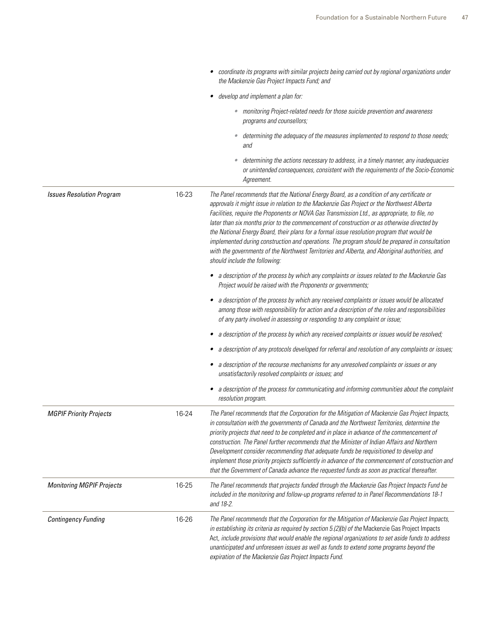|                                  |       | coordinate its programs with similar projects being carried out by regional organizations under<br>the Mackenzie Gas Project Impacts Fund; and                                                                                                                                                                                                                                                                                                                                                                                                                                                                                                                                                                             |
|----------------------------------|-------|----------------------------------------------------------------------------------------------------------------------------------------------------------------------------------------------------------------------------------------------------------------------------------------------------------------------------------------------------------------------------------------------------------------------------------------------------------------------------------------------------------------------------------------------------------------------------------------------------------------------------------------------------------------------------------------------------------------------------|
|                                  |       | develop and implement a plan for:                                                                                                                                                                                                                                                                                                                                                                                                                                                                                                                                                                                                                                                                                          |
|                                  |       | • monitoring Project-related needs for those suicide prevention and awareness<br>programs and counsellors;                                                                                                                                                                                                                                                                                                                                                                                                                                                                                                                                                                                                                 |
|                                  |       | determining the adequacy of the measures implemented to respond to those needs;<br>and                                                                                                                                                                                                                                                                                                                                                                                                                                                                                                                                                                                                                                     |
|                                  |       | determining the actions necessary to address, in a timely manner, any inadequacies<br>$\bullet$<br>or unintended consequences, consistent with the requirements of the Socio-Economic<br>Agreement.                                                                                                                                                                                                                                                                                                                                                                                                                                                                                                                        |
| <b>Issues Resolution Program</b> | 16-23 | The Panel recommends that the National Energy Board, as a condition of any certificate or<br>approvals it might issue in relation to the Mackenzie Gas Project or the Northwest Alberta<br>Facilities, require the Proponents or NOVA Gas Transmission Ltd., as appropriate, to file, no<br>later than six months prior to the commencement of construction or as otherwise directed by<br>the National Energy Board, their plans for a formal issue resolution program that would be<br>implemented during construction and operations. The program should be prepared in consultation<br>with the governments of the Northwest Territories and Alberta, and Aboriginal authorities, and<br>should include the following: |
|                                  |       | • a description of the process by which any complaints or issues related to the Mackenzie Gas<br>Project would be raised with the Proponents or governments;                                                                                                                                                                                                                                                                                                                                                                                                                                                                                                                                                               |
|                                  |       | a description of the process by which any received complaints or issues would be allocated<br>$\bullet$<br>among those with responsibility for action and a description of the roles and responsibilities<br>of any party involved in assessing or responding to any complaint or issue;                                                                                                                                                                                                                                                                                                                                                                                                                                   |
|                                  |       | a description of the process by which any received complaints or issues would be resolved;                                                                                                                                                                                                                                                                                                                                                                                                                                                                                                                                                                                                                                 |
|                                  |       | a description of any protocols developed for referral and resolution of any complaints or issues;                                                                                                                                                                                                                                                                                                                                                                                                                                                                                                                                                                                                                          |
|                                  |       | a description of the recourse mechanisms for any unresolved complaints or issues or any<br>unsatisfactorily resolved complaints or issues; and                                                                                                                                                                                                                                                                                                                                                                                                                                                                                                                                                                             |
|                                  |       | a description of the process for communicating and informing communities about the complaint<br>$\bullet$<br>resolution program.                                                                                                                                                                                                                                                                                                                                                                                                                                                                                                                                                                                           |
| <b>MGPIF Priority Projects</b>   | 16-24 | The Panel recommends that the Corporation for the Mitigation of Mackenzie Gas Project Impacts,<br>in consultation with the governments of Canada and the Northwest Territories, determine the<br>priority projects that need to be completed and in place in advance of the commencement of<br>construction. The Panel further recommends that the Minister of Indian Affairs and Northern<br>Development consider recommending that adequate funds be requisitioned to develop and<br>implement those priority projects sufficiently in advance of the commencement of construction and<br>that the Government of Canada advance the requested funds as soon as practical thereafter.                                     |
| <b>Monitoring MGPIF Projects</b> | 16-25 | The Panel recommends that projects funded through the Mackenzie Gas Project Impacts Fund be<br>included in the monitoring and follow-up programs referred to in Panel Recommendations 18-1<br>and 18-2.                                                                                                                                                                                                                                                                                                                                                                                                                                                                                                                    |
| <b>Contingency Funding</b>       | 16-26 | The Panel recommends that the Corporation for the Mitigation of Mackenzie Gas Project Impacts,<br>in establishing its criteria as required by section 5.(2)(b) of the Mackenzie Gas Project Impacts<br>Act, include provisions that would enable the regional organizations to set aside funds to address<br>unanticipated and unforeseen issues as well as funds to extend some programs beyond the<br>expiration of the Mackenzie Gas Project Impacts Fund.                                                                                                                                                                                                                                                              |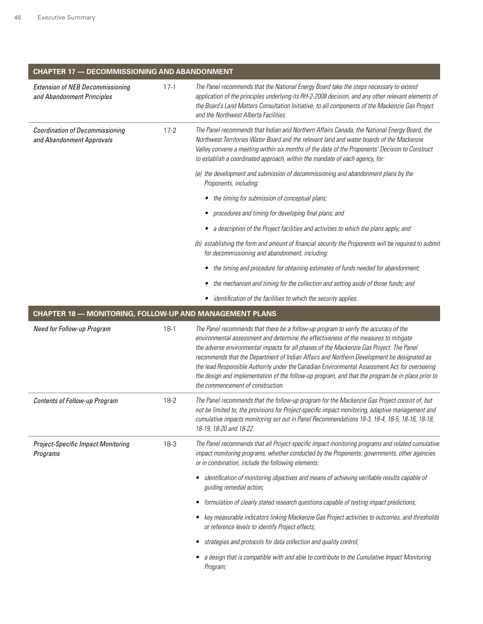| <b>CHAPTER 17 - DECOMMISSIONING AND ABANDONMENT</b>                   |        |                                                                                                                                                                                                                                                                                                                                                                                                                                                                                                                                                                                                                   |  |
|-----------------------------------------------------------------------|--------|-------------------------------------------------------------------------------------------------------------------------------------------------------------------------------------------------------------------------------------------------------------------------------------------------------------------------------------------------------------------------------------------------------------------------------------------------------------------------------------------------------------------------------------------------------------------------------------------------------------------|--|
| <b>Extension of NEB Decommissioning</b><br>and Abandonment Principles | $17-1$ | The Panel recommends that the National Energy Board take the steps necessary to extend<br>application of the principles underlying its RH-2-2008 decision, and any other relevant elements of<br>the Board's Land Matters Consultation Initiative, to all components of the Mackenzie Gas Project<br>and the Northwest Alberta Facilities.                                                                                                                                                                                                                                                                        |  |
| <b>Coordination of Decommissioning</b><br>and Abandonment Approvals   | $17-2$ | The Panel recommends that Indian and Northern Affairs Canada, the National Energy Board, the<br>Northwest Territories Water Board and the relevant land and water boards of the Mackenzie<br>Valley convene a meeting within six months of the date of the Proponents' Decision to Construct<br>to establish a coordinated approach, within the mandate of each agency, for:                                                                                                                                                                                                                                      |  |
|                                                                       |        | (a) the development and submission of decommissioning and abandonment plans by the<br>Proponents, including:                                                                                                                                                                                                                                                                                                                                                                                                                                                                                                      |  |
|                                                                       |        | the timing for submission of conceptual plans;                                                                                                                                                                                                                                                                                                                                                                                                                                                                                                                                                                    |  |
|                                                                       |        | procedures and timing for developing final plans; and                                                                                                                                                                                                                                                                                                                                                                                                                                                                                                                                                             |  |
|                                                                       |        | a description of the Project facilities and activities to which the plans apply; and                                                                                                                                                                                                                                                                                                                                                                                                                                                                                                                              |  |
|                                                                       |        | (b) establishing the form and amount of financial security the Proponents will be required to submit<br>for decommissioning and abandonment, including:                                                                                                                                                                                                                                                                                                                                                                                                                                                           |  |
|                                                                       |        | the timing and procedure for obtaining estimates of funds needed for abandonment;                                                                                                                                                                                                                                                                                                                                                                                                                                                                                                                                 |  |
|                                                                       |        | the mechanism and timing for the collection and setting aside of those funds; and                                                                                                                                                                                                                                                                                                                                                                                                                                                                                                                                 |  |
|                                                                       |        | identification of the facilities to which the security applies.                                                                                                                                                                                                                                                                                                                                                                                                                                                                                                                                                   |  |
| <b>CHAPTER 18 - MONITORING, FOLLOW-UP AND MANAGEMENT PLANS</b>        |        |                                                                                                                                                                                                                                                                                                                                                                                                                                                                                                                                                                                                                   |  |
| Need for Follow-up Program                                            | $18-1$ | The Panel recommends that there be a follow-up program to verify the accuracy of the<br>environmental assessment and determine the effectiveness of the measures to mitigate<br>the adverse environmental impacts for all phases of the Mackenzie Gas Project. The Panel<br>recommends that the Department of Indian Affairs and Northern Development be designated as<br>the lead Responsible Authority under the Canadian Environmental Assessment Act for overseeing<br>the design and implementation of the follow-up program, and that the program be in place prior to<br>the commencement of construction. |  |
| <b>Contents of Follow-up Program</b>                                  | 18-2   | The Panel recommends that the follow-up program for the Mackenzie Gas Project consist of, but<br>not be limited to, the provisions for Project-specific impact monitoring, adaptive management and<br>cumulative impacts monitoring set out in Panel Recommendations 18-3, 18-4, 18-5, 18-16, 18-18,<br>18-19, 18-20 and 18-22.                                                                                                                                                                                                                                                                                   |  |
| <b>Project-Specific Impact Monitoring</b><br>Programs                 | 18-3   | The Panel recommends that all Project-specific impact monitoring programs and related cumulative<br>impact monitoring programs, whether conducted by the Proponents, governments, other agencies<br>or in combination, include the following elements:                                                                                                                                                                                                                                                                                                                                                            |  |
|                                                                       |        | identification of monitoring objectives and means of achieving verifiable results capable of<br>٠<br>guiding remedial action;                                                                                                                                                                                                                                                                                                                                                                                                                                                                                     |  |
|                                                                       |        | formulation of clearly stated research questions capable of testing impact predictions;<br>٠                                                                                                                                                                                                                                                                                                                                                                                                                                                                                                                      |  |
|                                                                       |        | key measurable indicators linking Mackenzie Gas Project activities to outcomes, and thresholds<br>٠<br>or reference levels to identify Project effects;                                                                                                                                                                                                                                                                                                                                                                                                                                                           |  |
|                                                                       |        | strategies and protocols for data collection and quality control;                                                                                                                                                                                                                                                                                                                                                                                                                                                                                                                                                 |  |
|                                                                       |        | a design that is compatible with and able to contribute to the Cumulative Impact Monitoring<br>Program;                                                                                                                                                                                                                                                                                                                                                                                                                                                                                                           |  |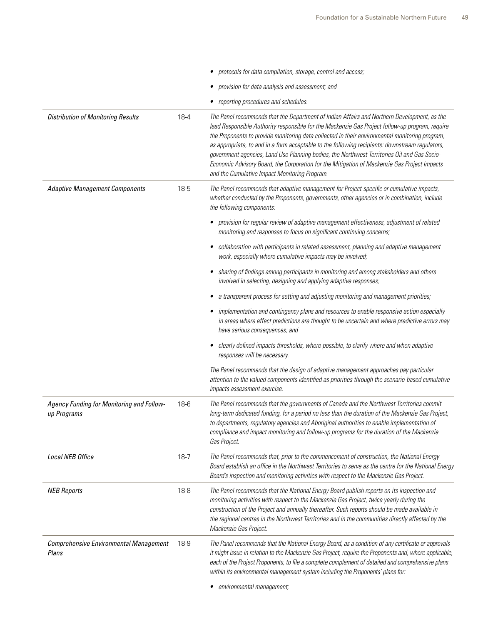|                                                          |          | protocols for data compilation, storage, control and access;                                                                                                                                                                                                                                                                                                                                                                                                                                                                                                                                                                                        |
|----------------------------------------------------------|----------|-----------------------------------------------------------------------------------------------------------------------------------------------------------------------------------------------------------------------------------------------------------------------------------------------------------------------------------------------------------------------------------------------------------------------------------------------------------------------------------------------------------------------------------------------------------------------------------------------------------------------------------------------------|
|                                                          |          | • provision for data analysis and assessment; and                                                                                                                                                                                                                                                                                                                                                                                                                                                                                                                                                                                                   |
|                                                          |          | • reporting procedures and schedules.                                                                                                                                                                                                                                                                                                                                                                                                                                                                                                                                                                                                               |
| <b>Distribution of Monitoring Results</b>                | $18 - 4$ | The Panel recommends that the Department of Indian Affairs and Northern Development, as the<br>lead Responsible Authority responsible for the Mackenzie Gas Project follow-up program, require<br>the Proponents to provide monitoring data collected in their environmental monitoring program,<br>as appropriate, to and in a form acceptable to the following recipients: downstream regulators,<br>government agencies, Land Use Planning bodies, the Northwest Territories Oil and Gas Socio-<br>Economic Advisory Board, the Corporation for the Mitigation of Mackenzie Gas Project Impacts<br>and the Cumulative Impact Monitoring Program. |
| <b>Adaptive Management Components</b>                    | 18-5     | The Panel recommends that adaptive management for Project-specific or cumulative impacts,<br>whether conducted by the Proponents, governments, other agencies or in combination, include<br>the following components:                                                                                                                                                                                                                                                                                                                                                                                                                               |
|                                                          |          | • provision for regular review of adaptive management effectiveness, adjustment of related<br>monitoring and responses to focus on significant continuing concerns;                                                                                                                                                                                                                                                                                                                                                                                                                                                                                 |
|                                                          |          | collaboration with participants in related assessment, planning and adaptive management<br>work, especially where cumulative impacts may be involved;                                                                                                                                                                                                                                                                                                                                                                                                                                                                                               |
|                                                          |          | sharing of findings among participants in monitoring and among stakeholders and others<br>٠<br>involved in selecting, designing and applying adaptive responses;                                                                                                                                                                                                                                                                                                                                                                                                                                                                                    |
|                                                          |          | a transparent process for setting and adjusting monitoring and management priorities;                                                                                                                                                                                                                                                                                                                                                                                                                                                                                                                                                               |
|                                                          |          | • implementation and contingency plans and resources to enable responsive action especially<br>in areas where effect predictions are thought to be uncertain and where predictive errors may<br>have serious consequences; and                                                                                                                                                                                                                                                                                                                                                                                                                      |
|                                                          |          | clearly defined impacts thresholds, where possible, to clarify where and when adaptive<br>responses will be necessary.                                                                                                                                                                                                                                                                                                                                                                                                                                                                                                                              |
|                                                          |          | The Panel recommends that the design of adaptive management approaches pay particular<br>attention to the valued components identified as priorities through the scenario-based cumulative<br>impacts assessment exercise.                                                                                                                                                                                                                                                                                                                                                                                                                          |
| Agency Funding for Monitoring and Follow-<br>up Programs | 18-6     | The Panel recommends that the governments of Canada and the Northwest Territories commit<br>long-term dedicated funding, for a period no less than the duration of the Mackenzie Gas Project,<br>to departments, regulatory agencies and Aboriginal authorities to enable implementation of<br>compliance and impact monitoring and follow-up programs for the duration of the Mackenzie<br>Gas Project.                                                                                                                                                                                                                                            |
| Local NEB Office                                         | $18 - 7$ | The Panel recommends that, prior to the commencement of construction, the National Energy<br>Board establish an office in the Northwest Territories to serve as the centre for the National Energy<br>Board's inspection and monitoring activities with respect to the Mackenzie Gas Project.                                                                                                                                                                                                                                                                                                                                                       |
| <b>NEB Reports</b>                                       | 18-8     | The Panel recommends that the National Energy Board publish reports on its inspection and<br>monitoring activities with respect to the Mackenzie Gas Project, twice yearly during the<br>construction of the Project and annually thereafter. Such reports should be made available in<br>the regional centres in the Northwest Territories and in the communities directly affected by the<br>Mackenzie Gas Project.                                                                                                                                                                                                                               |
| Comprehensive Environmental Management<br>Plans          | 18-9     | The Panel recommends that the National Energy Board, as a condition of any certificate or approvals<br>it might issue in relation to the Mackenzie Gas Project, require the Proponents and, where applicable,<br>each of the Project Proponents, to file a complete complement of detailed and comprehensive plans<br>within its environmental management system including the Proponents' plans for:<br>· environmental management;                                                                                                                                                                                                                |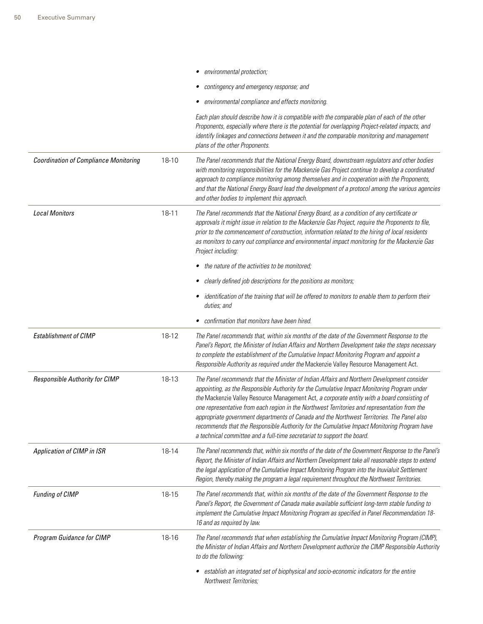|                                              |           | environmental protection;                                                                                                                                                                                                                                                                                                                                                                                                                                                                                                                                                                                                                                        |
|----------------------------------------------|-----------|------------------------------------------------------------------------------------------------------------------------------------------------------------------------------------------------------------------------------------------------------------------------------------------------------------------------------------------------------------------------------------------------------------------------------------------------------------------------------------------------------------------------------------------------------------------------------------------------------------------------------------------------------------------|
|                                              |           | contingency and emergency response; and                                                                                                                                                                                                                                                                                                                                                                                                                                                                                                                                                                                                                          |
|                                              |           | environmental compliance and effects monitoring.                                                                                                                                                                                                                                                                                                                                                                                                                                                                                                                                                                                                                 |
|                                              |           | Each plan should describe how it is compatible with the comparable plan of each of the other<br>Proponents, especially where there is the potential for overlapping Project-related impacts, and<br>identify linkages and connections between it and the comparable monitoring and management<br>plans of the other Proponents.                                                                                                                                                                                                                                                                                                                                  |
| <b>Coordination of Compliance Monitoring</b> | 18-10     | The Panel recommends that the National Energy Board, downstream regulators and other bodies<br>with monitoring responsibilities for the Mackenzie Gas Project continue to develop a coordinated<br>approach to compliance monitoring among themselves and in cooperation with the Proponents,<br>and that the National Energy Board lead the development of a protocol among the various agencies<br>and other bodies to implement this approach.                                                                                                                                                                                                                |
| <b>Local Monitors</b>                        | $18 - 11$ | The Panel recommends that the National Energy Board, as a condition of any certificate or<br>approvals it might issue in relation to the Mackenzie Gas Project, require the Proponents to file,<br>prior to the commencement of construction, information related to the hiring of local residents<br>as monitors to carry out compliance and environmental impact monitoring for the Mackenzie Gas<br>Project including:                                                                                                                                                                                                                                        |
|                                              |           | the nature of the activities to be monitored;                                                                                                                                                                                                                                                                                                                                                                                                                                                                                                                                                                                                                    |
|                                              |           | clearly defined job descriptions for the positions as monitors;                                                                                                                                                                                                                                                                                                                                                                                                                                                                                                                                                                                                  |
|                                              |           | identification of the training that will be offered to monitors to enable them to perform their<br>duties; and                                                                                                                                                                                                                                                                                                                                                                                                                                                                                                                                                   |
|                                              |           | confirmation that monitors have been hired.                                                                                                                                                                                                                                                                                                                                                                                                                                                                                                                                                                                                                      |
| <b>Establishment of CIMP</b>                 | 18-12     | The Panel recommends that, within six months of the date of the Government Response to the<br>Panel's Report, the Minister of Indian Affairs and Northern Development take the steps necessary<br>to complete the establishment of the Cumulative Impact Monitoring Program and appoint a<br>Responsible Authority as required under the Mackenzie Valley Resource Management Act.                                                                                                                                                                                                                                                                               |
| Responsible Authority for CIMP               | 18-13     | The Panel recommends that the Minister of Indian Affairs and Northern Development consider<br>appointing, as the Responsible Authority for the Cumulative Impact Monitoring Program under<br>the Mackenzie Valley Resource Management Act, a corporate entity with a board consisting of<br>one representative from each region in the Northwest Territories and representation from the<br>appropriate government departments of Canada and the Northwest Territories. The Panel also<br>recommends that the Responsible Authority for the Cumulative Impact Monitoring Program have<br>a technical committee and a full-time secretariat to support the board. |
| Application of CIMP in ISR                   | 18-14     | The Panel recommends that, within six months of the date of the Government Response to the Panel's<br>Report, the Minister of Indian Affairs and Northern Development take all reasonable steps to extend<br>the legal application of the Cumulative Impact Monitoring Program into the Inuvialuit Settlement<br>Region, thereby making the program a legal requirement throughout the Northwest Territories.                                                                                                                                                                                                                                                    |
| <b>Funding of CIMP</b>                       | 18-15     | The Panel recommends that, within six months of the date of the Government Response to the<br>Panel's Report, the Government of Canada make available sufficient long-term stable funding to<br>implement the Cumulative Impact Monitoring Program as specified in Panel Recommendation 18-<br>16 and as required by law.                                                                                                                                                                                                                                                                                                                                        |
| Program Guidance for CIMP                    | 18-16     | The Panel recommends that when establishing the Cumulative Impact Monitoring Program (CIMP),<br>the Minister of Indian Affairs and Northern Development authorize the CIMP Responsible Authority<br>to do the following:                                                                                                                                                                                                                                                                                                                                                                                                                                         |
|                                              |           | establish an integrated set of biophysical and socio-economic indicators for the entire<br>Northwest Territories;                                                                                                                                                                                                                                                                                                                                                                                                                                                                                                                                                |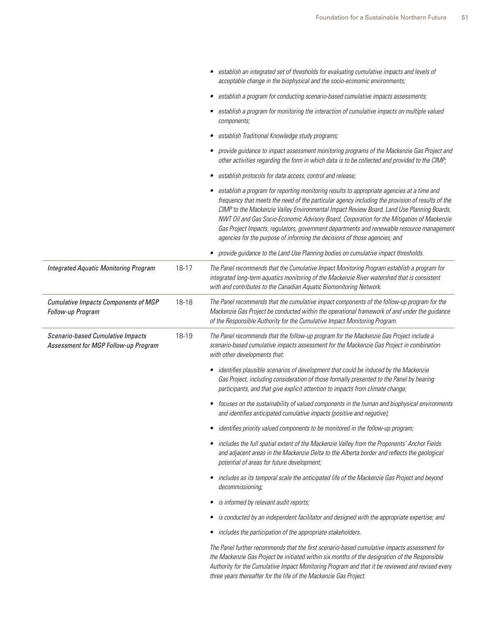|                                                                           |       | establish an integrated set of thresholds for evaluating cumulative impacts and levels of<br>acceptable change in the biophysical and the socio-economic environments;                                                                                                                                                                                                                                                                                                                                                                                                 |
|---------------------------------------------------------------------------|-------|------------------------------------------------------------------------------------------------------------------------------------------------------------------------------------------------------------------------------------------------------------------------------------------------------------------------------------------------------------------------------------------------------------------------------------------------------------------------------------------------------------------------------------------------------------------------|
|                                                                           |       | establish a program for conducting scenario-based cumulative impacts assessments;<br>٠                                                                                                                                                                                                                                                                                                                                                                                                                                                                                 |
|                                                                           |       | establish a program for monitoring the interaction of cumulative impacts on multiple valued<br>components;                                                                                                                                                                                                                                                                                                                                                                                                                                                             |
|                                                                           |       | establish Traditional Knowledge study programs;                                                                                                                                                                                                                                                                                                                                                                                                                                                                                                                        |
|                                                                           |       | provide guidance to impact assessment monitoring programs of the Mackenzie Gas Project and<br>other activities regarding the form in which data is to be collected and provided to the CIMP;                                                                                                                                                                                                                                                                                                                                                                           |
|                                                                           |       | establish protocols for data access, control and release;                                                                                                                                                                                                                                                                                                                                                                                                                                                                                                              |
|                                                                           |       | • establish a program for reporting monitoring results to appropriate agencies at a time and<br>frequency that meets the need of the particular agency including the provision of results of the<br>CIMP to the Mackenzie Valley Environmental Impact Review Board, Land Use Planning Boards,<br>NWT Oil and Gas Socio-Economic Advisory Board, Corporation for the Mitigation of Mackenzie<br>Gas Project Impacts, regulators, government departments and renewable resource management<br>agencies for the purpose of informing the decisions of those agencies; and |
|                                                                           |       | • provide guidance to the Land Use Planning bodies on cumulative impact thresholds.                                                                                                                                                                                                                                                                                                                                                                                                                                                                                    |
| <b>Integrated Aquatic Monitoring Program</b>                              | 18-17 | The Panel recommends that the Cumulative Impact Monitoring Program establish a program for<br>integrated long-term aquatics monitoring of the Mackenzie River watershed that is consistent<br>with and contributes to the Canadian Aquatic Biomonitoring Network.                                                                                                                                                                                                                                                                                                      |
| Cumulative Impacts Components of MGP<br>Follow-up Program                 | 18-18 | The Panel recommends that the cumulative impact components of the follow-up program for the<br>Mackenzie Gas Project be conducted within the operational framework of and under the guidance<br>of the Responsible Authority for the Cumulative Impact Monitoring Program.                                                                                                                                                                                                                                                                                             |
| Scenario-based Cumulative Impacts<br>Assessment for MGP Follow-up Program | 18-19 | The Panel recommends that the follow-up program for the Mackenzie Gas Project include a<br>scenario-based cumulative impacts assessment for the Mackenzie Gas Project in combination<br>with other developments that:                                                                                                                                                                                                                                                                                                                                                  |
|                                                                           |       | • identifies plausible scenarios of development that could be induced by the Mackenzie<br>Gas Project, including consideration of those formally presented to the Panel by hearing<br>participants, and that give explicit attention to impacts from climate change;                                                                                                                                                                                                                                                                                                   |
|                                                                           |       | focuses on the sustainability of valued components in the human and biophysical environments<br>٠<br>and identifies anticipated cumulative impacts (positive and negative);                                                                                                                                                                                                                                                                                                                                                                                            |
|                                                                           |       | • identifies priority valued components to be monitored in the follow-up program;                                                                                                                                                                                                                                                                                                                                                                                                                                                                                      |
|                                                                           |       | includes the full spatial extent of the Mackenzie Valley from the Proponents' Anchor Fields<br>٠<br>and adjacent areas in the Mackenzie Delta to the Alberta border and reflects the geological<br>potential of areas for future development;                                                                                                                                                                                                                                                                                                                          |
|                                                                           |       | includes as its temporal scale the anticipated life of the Mackenzie Gas Project and beyond<br>decommissioning;                                                                                                                                                                                                                                                                                                                                                                                                                                                        |
|                                                                           |       | is informed by relevant audit reports;<br>٠                                                                                                                                                                                                                                                                                                                                                                                                                                                                                                                            |
|                                                                           |       | is conducted by an independent facilitator and designed with the appropriate expertise; and<br>٠                                                                                                                                                                                                                                                                                                                                                                                                                                                                       |
|                                                                           |       |                                                                                                                                                                                                                                                                                                                                                                                                                                                                                                                                                                        |
|                                                                           |       | includes the participation of the appropriate stakeholders.                                                                                                                                                                                                                                                                                                                                                                                                                                                                                                            |